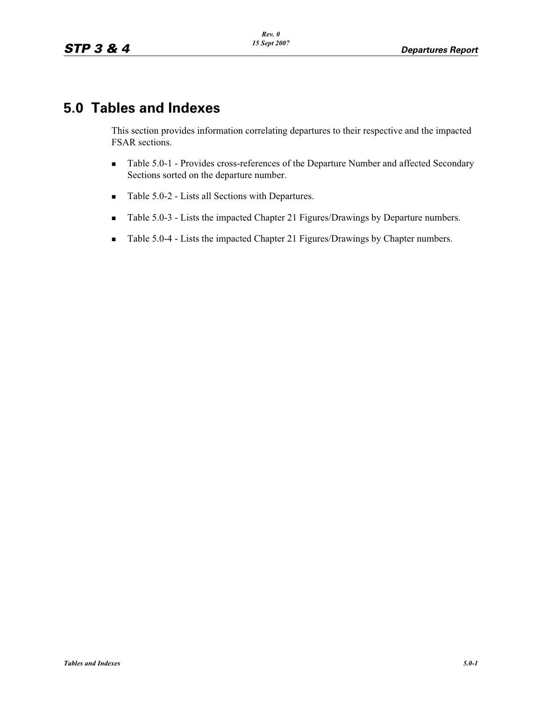# **5.0 Tables and Indexes**

This section provides information correlating departures to their respective and the impacted FSAR sections.

- - Table 5.0-1 - Provides cross-references of the Departure Number and affected Secondary Sections sorted on the departure number.
- -Table 5.0-2 - Lists all Sections with Departures.
- -Table 5.0-3 - Lists the impacted Chapter 21 Figures/Drawings by Departure numbers.
- -Table 5.0-4 - Lists the impacted Chapter 21 Figures/Drawings by Chapter numbers.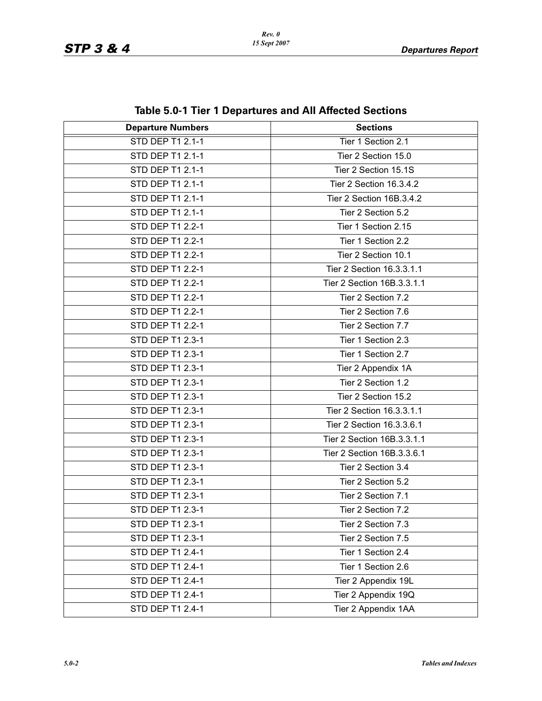| <b>Departure Numbers</b> | <b>Sections</b>            |
|--------------------------|----------------------------|
| STD DEP T1 2.1-1         | Tier 1 Section 2.1         |
| STD DEP T1 2.1-1         | Tier 2 Section 15.0        |
| STD DEP T1 2.1-1         | Tier 2 Section 15.1S       |
| STD DEP T1 2.1-1         | Tier 2 Section 16.3.4.2    |
| STD DEP T1 2.1-1         | Tier 2 Section 16B.3.4.2   |
| STD DEP T1 2.1-1         | Tier 2 Section 5.2         |
| STD DEP T1 2.2-1         | Tier 1 Section 2.15        |
| STD DEP T1 2.2-1         | Tier 1 Section 2.2         |
| STD DEP T1 2.2-1         | Tier 2 Section 10.1        |
| STD DEP T1 2.2-1         | Tier 2 Section 16.3.3.1.1  |
| STD DEP T1 2.2-1         | Tier 2 Section 16B.3.3.1.1 |
| STD DEP T1 2.2-1         | Tier 2 Section 7.2         |
| STD DEP T1 2.2-1         | Tier 2 Section 7.6         |
| STD DEP T1 2.2-1         | Tier 2 Section 7.7         |
| STD DEP T1 2.3-1         | Tier 1 Section 2.3         |
| STD DEP T1 2.3-1         | Tier 1 Section 2.7         |
| STD DEP T1 2.3-1         | Tier 2 Appendix 1A         |
| STD DEP T1 2.3-1         | Tier 2 Section 1.2         |
| STD DEP T1 2.3-1         | Tier 2 Section 15.2        |
| STD DEP T1 2.3-1         | Tier 2 Section 16.3.3.1.1  |
| STD DEP T1 2.3-1         | Tier 2 Section 16.3.3.6.1  |
| STD DEP T1 2.3-1         | Tier 2 Section 16B.3.3.1.1 |
| STD DEP T1 2.3-1         | Tier 2 Section 16B.3.3.6.1 |
| STD DEP T1 2.3-1         | Tier 2 Section 3.4         |
| STD DEP T1 2.3-1         | Tier 2 Section 5.2         |
| STD DEP T1 2.3-1         | Tier 2 Section 7.1         |
| STD DEP T1 2.3-1         | Tier 2 Section 7.2         |
| STD DEP T1 2.3-1         | Tier 2 Section 7.3         |
| STD DEP T1 2.3-1         | Tier 2 Section 7.5         |
| STD DEP T1 2.4-1         | Tier 1 Section 2.4         |
| STD DEP T1 2.4-1         | Tier 1 Section 2.6         |
| STD DEP T1 2.4-1         | Tier 2 Appendix 19L        |
| STD DEP T1 2.4-1         | Tier 2 Appendix 19Q        |
| STD DEP T1 2.4-1         | Tier 2 Appendix 1AA        |

**Table 5.0-1 Tier 1 Departures and All Affected Sections**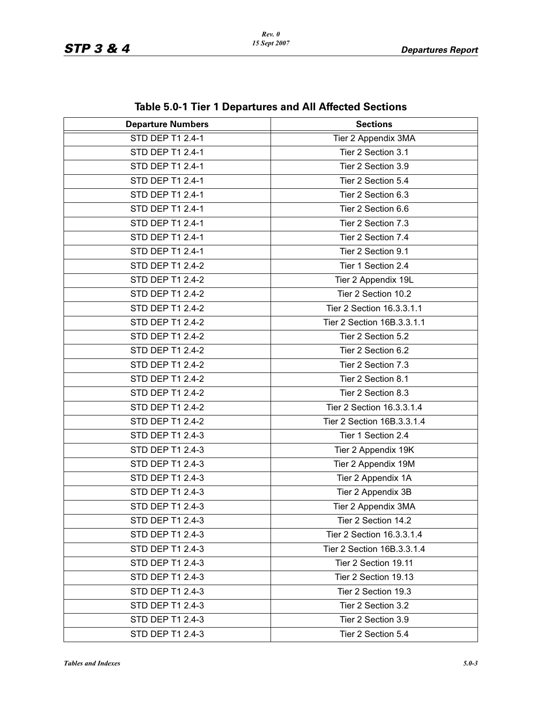| <b>Departure Numbers</b> | <b>Sections</b>            |
|--------------------------|----------------------------|
| <b>STD DEP T1 2.4-1</b>  | Tier 2 Appendix 3MA        |
| STD DEP T1 2.4-1         | Tier 2 Section 3.1         |
| STD DEP T1 2.4-1         | Tier 2 Section 3.9         |
| STD DEP T1 2.4-1         | Tier 2 Section 5.4         |
| STD DEP T1 2.4-1         | Tier 2 Section 6.3         |
| STD DEP T1 2.4-1         | Tier 2 Section 6.6         |
| STD DEP T1 2.4-1         | Tier 2 Section 7.3         |
| STD DEP T1 2.4-1         | Tier 2 Section 7.4         |
| STD DEP T1 2.4-1         | Tier 2 Section 9.1         |
| STD DEP T1 2.4-2         | Tier 1 Section 2.4         |
| STD DEP T1 2.4-2         | Tier 2 Appendix 19L        |
| STD DEP T1 2.4-2         | Tier 2 Section 10.2        |
| STD DEP T1 2.4-2         | Tier 2 Section 16.3.3.1.1  |
| STD DEP T1 2.4-2         | Tier 2 Section 16B.3.3.1.1 |
| STD DEP T1 2.4-2         | Tier 2 Section 5.2         |
| STD DEP T1 2.4-2         | Tier 2 Section 6.2         |
| STD DEP T1 2.4-2         | Tier 2 Section 7.3         |
| STD DEP T1 2.4-2         | Tier 2 Section 8.1         |
| STD DEP T1 2.4-2         | Tier 2 Section 8.3         |
| STD DEP T1 2.4-2         | Tier 2 Section 16.3.3.1.4  |
| STD DEP T1 2.4-2         | Tier 2 Section 16B.3.3.1.4 |
| STD DEP T1 2.4-3         | Tier 1 Section 2.4         |
| STD DEP T1 2.4-3         | Tier 2 Appendix 19K        |
| STD DEP T1 2.4-3         | Tier 2 Appendix 19M        |
| STD DEP T1 2.4-3         | Tier 2 Appendix 1A         |
| STD DEP T1 2.4-3         | Tier 2 Appendix 3B         |
| STD DEP T1 2.4-3         | Tier 2 Appendix 3MA        |
| STD DEP T1 2.4-3         | Tier 2 Section 14.2        |
| STD DEP T1 2.4-3         | Tier 2 Section 16.3.3.1.4  |
| STD DEP T1 2.4-3         | Tier 2 Section 16B.3.3.1.4 |
| STD DEP T1 2.4-3         | Tier 2 Section 19.11       |
| STD DEP T1 2.4-3         | Tier 2 Section 19.13       |
| STD DEP T1 2.4-3         | Tier 2 Section 19.3        |
| STD DEP T1 2.4-3         | Tier 2 Section 3.2         |
| STD DEP T1 2.4-3         | Tier 2 Section 3.9         |
| STD DEP T1 2.4-3         | Tier 2 Section 5.4         |

**Table 5.0-1 Tier 1 Departures and All Affected Sections**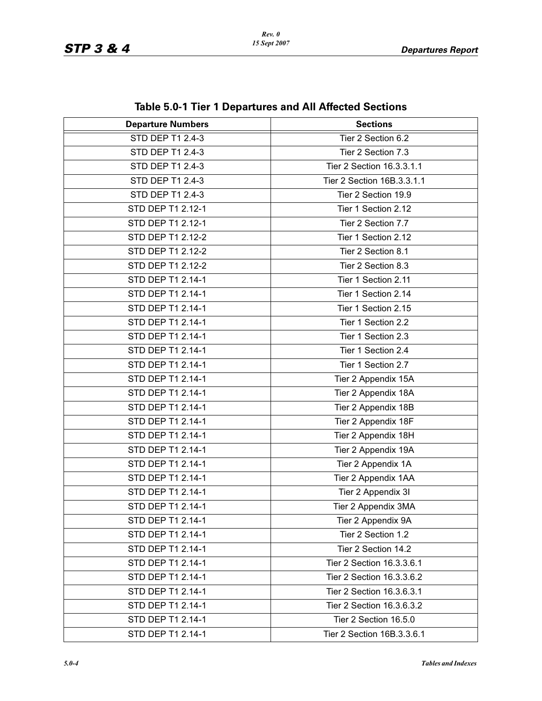| lable J.V. Liter T Departures and All Allected Occupiis |                            |
|---------------------------------------------------------|----------------------------|
| <b>Departure Numbers</b>                                | <b>Sections</b>            |
| <b>STD DEP T1 2.4-3</b>                                 | Tier 2 Section 6.2         |
| STD DEP T1 2.4-3                                        | Tier 2 Section 7.3         |
| STD DEP T1 2.4-3                                        | Tier 2 Section 16.3.3.1.1  |
| STD DEP T1 2.4-3                                        | Tier 2 Section 16B.3.3.1.1 |
| STD DEP T1 2.4-3                                        | Tier 2 Section 19.9        |
| STD DEP T1 2.12-1                                       | Tier 1 Section 2.12        |
| STD DEP T1 2.12-1                                       | Tier 2 Section 7.7         |
| STD DEP T1 2.12-2                                       | Tier 1 Section 2.12        |
| STD DEP T1 2.12-2                                       | Tier 2 Section 8.1         |
| STD DEP T1 2.12-2                                       | Tier 2 Section 8.3         |
| STD DEP T1 2.14-1                                       | Tier 1 Section 2.11        |
| STD DEP T1 2.14-1                                       | Tier 1 Section 2.14        |
| STD DEP T1 2.14-1                                       | Tier 1 Section 2.15        |
| STD DEP T1 2.14-1                                       | Tier 1 Section 2.2         |
| STD DEP T1 2.14-1                                       | Tier 1 Section 2.3         |
| STD DEP T1 2.14-1                                       | Tier 1 Section 2.4         |
| STD DEP T1 2.14-1                                       | Tier 1 Section 2.7         |
| STD DEP T1 2.14-1                                       | Tier 2 Appendix 15A        |
| STD DEP T1 2.14-1                                       | Tier 2 Appendix 18A        |
| STD DEP T1 2.14-1                                       | Tier 2 Appendix 18B        |
| STD DEP T1 2.14-1                                       | Tier 2 Appendix 18F        |
| STD DEP T1 2.14-1                                       | Tier 2 Appendix 18H        |
| STD DEP T1 2.14-1                                       | Tier 2 Appendix 19A        |
| STD DEP T1 2.14-1                                       | Tier 2 Appendix 1A         |
| STD DEP T1 2.14-1                                       | Tier 2 Appendix 1AA        |
| STD DEP T1 2.14-1                                       | Tier 2 Appendix 3I         |
| STD DEP T1 2.14-1                                       | Tier 2 Appendix 3MA        |
| STD DEP T1 2.14-1                                       | Tier 2 Appendix 9A         |
| STD DEP T1 2.14-1                                       | Tier 2 Section 1.2         |
| STD DEP T1 2.14-1                                       | Tier 2 Section 14.2        |
| STD DEP T1 2.14-1                                       | Tier 2 Section 16.3.3.6.1  |
| STD DEP T1 2.14-1                                       | Tier 2 Section 16.3.3.6.2  |
| STD DEP T1 2.14-1                                       | Tier 2 Section 16.3.6.3.1  |
| STD DEP T1 2.14-1                                       | Tier 2 Section 16.3.6.3.2  |
| STD DEP T1 2.14-1                                       | Tier 2 Section 16.5.0      |
| STD DEP T1 2.14-1                                       | Tier 2 Section 16B.3.3.6.1 |

**Table 5.0-1 Tier 1 Departures and All Affected Sections**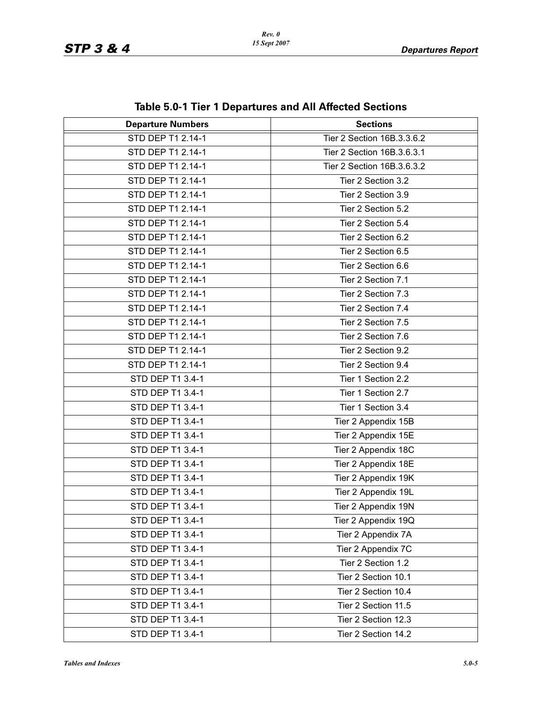| <b>Departure Numbers</b> | <b>Sections</b>            |
|--------------------------|----------------------------|
| STD DEP T1 2.14-1        | Tier 2 Section 16B.3.3.6.2 |
| STD DEP T1 2.14-1        | Tier 2 Section 16B.3.6.3.1 |
| STD DEP T1 2.14-1        | Tier 2 Section 16B.3.6.3.2 |
| STD DEP T1 2.14-1        | Tier 2 Section 3.2         |
| STD DEP T1 2.14-1        | Tier 2 Section 3.9         |
| STD DEP T1 2.14-1        | Tier 2 Section 5.2         |
| STD DEP T1 2.14-1        | Tier 2 Section 5.4         |
| STD DEP T1 2.14-1        | Tier 2 Section 6.2         |
| STD DEP T1 2.14-1        | Tier 2 Section 6.5         |
| STD DEP T1 2.14-1        | Tier 2 Section 6.6         |
| STD DEP T1 2.14-1        | Tier 2 Section 7.1         |
| STD DEP T1 2.14-1        | Tier 2 Section 7.3         |
| STD DEP T1 2.14-1        | Tier 2 Section 7.4         |
| STD DEP T1 2.14-1        | Tier 2 Section 7.5         |
| STD DEP T1 2.14-1        | Tier 2 Section 7.6         |
| STD DEP T1 2.14-1        | Tier 2 Section 9.2         |
| STD DEP T1 2.14-1        | Tier 2 Section 9.4         |
| STD DEP T1 3.4-1         | Tier 1 Section 2.2         |
| STD DEP T1 3.4-1         | Tier 1 Section 2.7         |
| STD DEP T1 3.4-1         | Tier 1 Section 3.4         |
| STD DEP T1 3.4-1         | Tier 2 Appendix 15B        |
| STD DEP T1 3.4-1         | Tier 2 Appendix 15E        |
| STD DEP T1 3.4-1         | Tier 2 Appendix 18C        |
| STD DEP T1 3.4-1         | Tier 2 Appendix 18E        |
| STD DEP T1 3.4-1         | Tier 2 Appendix 19K        |
| STD DEP T1 3.4-1         | Tier 2 Appendix 19L        |
| STD DEP T1 3.4-1         | Tier 2 Appendix 19N        |
| STD DEP T1 3.4-1         | Tier 2 Appendix 19Q        |
| STD DEP T1 3.4-1         | Tier 2 Appendix 7A         |
| STD DEP T1 3.4-1         | Tier 2 Appendix 7C         |
| STD DEP T1 3.4-1         | Tier 2 Section 1.2         |
| STD DEP T1 3.4-1         | Tier 2 Section 10.1        |
| STD DEP T1 3.4-1         | Tier 2 Section 10.4        |
| STD DEP T1 3.4-1         | Tier 2 Section 11.5        |
| STD DEP T1 3.4-1         | Tier 2 Section 12.3        |
| STD DEP T1 3.4-1         | Tier 2 Section 14.2        |

**Table 5.0-1 Tier 1 Departures and All Affected Sections**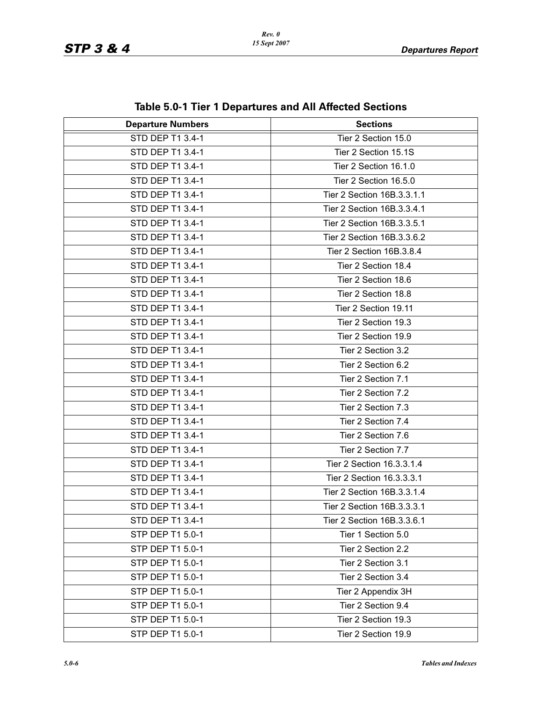| lable J.V. Lilet T Departures and All Allected Occupiis |                            |
|---------------------------------------------------------|----------------------------|
| <b>Departure Numbers</b>                                | <b>Sections</b>            |
| <b>STD DEP T1 3.4-1</b>                                 | Tier 2 Section 15.0        |
| STD DEP T1 3.4-1                                        | Tier 2 Section 15.1S       |
| STD DEP T1 3.4-1                                        | Tier 2 Section 16.1.0      |
| STD DEP T1 3.4-1                                        | Tier 2 Section 16.5.0      |
| STD DEP T1 3.4-1                                        | Tier 2 Section 16B.3.3.1.1 |
| STD DEP T1 3.4-1                                        | Tier 2 Section 16B.3.3.4.1 |
| STD DEP T1 3.4-1                                        | Tier 2 Section 16B.3.3.5.1 |
| STD DEP T1 3.4-1                                        | Tier 2 Section 16B.3.3.6.2 |
| STD DEP T1 3.4-1                                        | Tier 2 Section 16B.3.8.4   |
| STD DEP T1 3.4-1                                        | Tier 2 Section 18.4        |
| STD DEP T1 3.4-1                                        | Tier 2 Section 18.6        |
| STD DEP T1 3.4-1                                        | Tier 2 Section 18.8        |
| STD DEP T1 3.4-1                                        | Tier 2 Section 19.11       |
| STD DEP T1 3.4-1                                        | Tier 2 Section 19.3        |
| STD DEP T1 3.4-1                                        | Tier 2 Section 19.9        |
| STD DEP T1 3.4-1                                        | Tier 2 Section 3.2         |
| STD DEP T1 3.4-1                                        | Tier 2 Section 6.2         |
| STD DEP T1 3.4-1                                        | Tier 2 Section 7.1         |
| STD DEP T1 3.4-1                                        | Tier 2 Section 7.2         |
| STD DEP T1 3.4-1                                        | Tier 2 Section 7.3         |
| STD DEP T1 3.4-1                                        | Tier 2 Section 7.4         |
| STD DEP T1 3.4-1                                        | Tier 2 Section 7.6         |
| STD DEP T1 3.4-1                                        | Tier 2 Section 7.7         |
| STD DEP T1 3.4-1                                        | Tier 2 Section 16.3.3.1.4  |
| STD DEP T1 3.4-1                                        | Tier 2 Section 16.3.3.3.1  |
| STD DEP T1 3.4-1                                        | Tier 2 Section 16B.3.3.1.4 |
| STD DEP T1 3.4-1                                        | Tier 2 Section 16B.3.3.3.1 |
| STD DEP T1 3.4-1                                        | Tier 2 Section 16B.3.3.6.1 |
| STP DEP T1 5.0-1                                        | Tier 1 Section 5.0         |
| STP DEP T1 5.0-1                                        | Tier 2 Section 2.2         |
| STP DEP T1 5.0-1                                        | Tier 2 Section 3.1         |
| STP DEP T1 5.0-1                                        | Tier 2 Section 3.4         |
| STP DEP T1 5.0-1                                        | Tier 2 Appendix 3H         |
| STP DEP T1 5.0-1                                        | Tier 2 Section 9.4         |
| STP DEP T1 5.0-1                                        | Tier 2 Section 19.3        |
| STP DEP T1 5.0-1                                        | Tier 2 Section 19.9        |

**Table 5.0-1 Tier 1 Departures and All Affected Sections**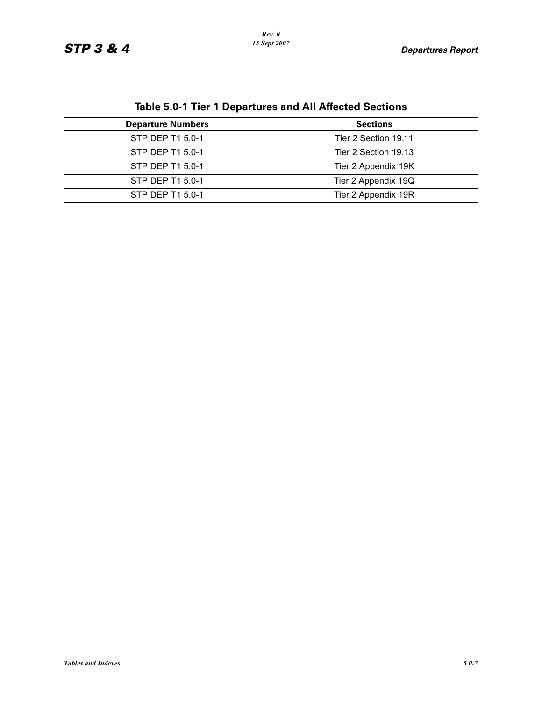| <b>Table 5.0-1 Tier 1 Departures and All Affected Sections</b> |
|----------------------------------------------------------------|
|----------------------------------------------------------------|

| <b>Departure Numbers</b> | <b>Sections</b>      |
|--------------------------|----------------------|
| STP DEP T1 5.0-1         | Tier 2 Section 19.11 |
| STP DEP T1 5.0-1         | Tier 2 Section 19.13 |
| STP DEP T1 5.0-1         | Tier 2 Appendix 19K  |
| STP DEP T1 5.0-1         | Tier 2 Appendix 19Q  |
| STP DEP T1 5.0-1         | Tier 2 Appendix 19R  |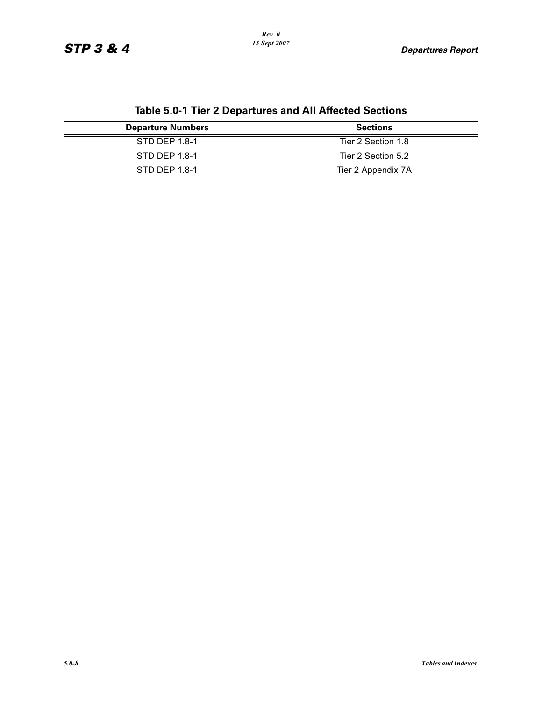| <b>Departure Numbers</b> | <b>Sections</b>    |
|--------------------------|--------------------|
| STD DEP 1.8-1            | Tier 2 Section 1.8 |
| STD DEP 1.8-1            | Tier 2 Section 5.2 |
| STD DEP 1.8-1            | Tier 2 Appendix 7A |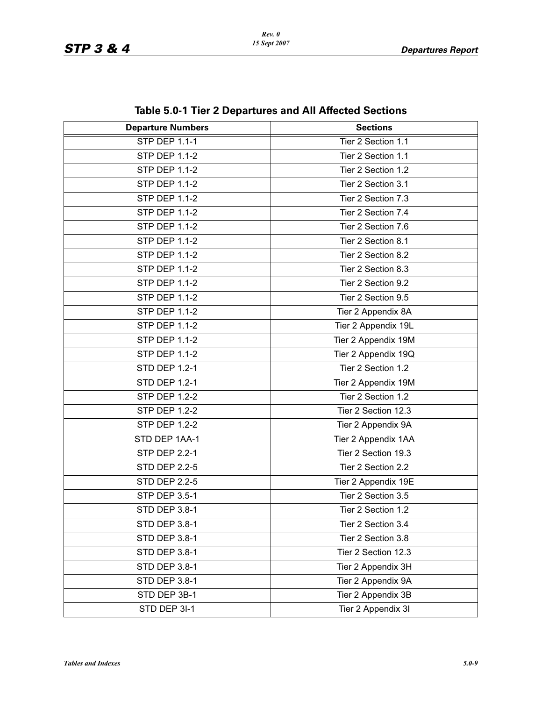| <b>Departure Numbers</b> | <b>Sections</b>     |
|--------------------------|---------------------|
| <b>STP DEP 1.1-1</b>     | Tier 2 Section 1.1  |
| <b>STP DEP 1.1-2</b>     | Tier 2 Section 1.1  |
| <b>STP DEP 1.1-2</b>     | Tier 2 Section 1.2  |
| <b>STP DEP 1.1-2</b>     | Tier 2 Section 3.1  |
| <b>STP DEP 1.1-2</b>     | Tier 2 Section 7.3  |
| <b>STP DEP 1.1-2</b>     | Tier 2 Section 7.4  |
| <b>STP DEP 1.1-2</b>     | Tier 2 Section 7.6  |
| <b>STP DEP 1.1-2</b>     | Tier 2 Section 8.1  |
| <b>STP DEP 1.1-2</b>     | Tier 2 Section 8.2  |
| <b>STP DEP 1.1-2</b>     | Tier 2 Section 8.3  |
| <b>STP DEP 1.1-2</b>     | Tier 2 Section 9.2  |
| <b>STP DEP 1.1-2</b>     | Tier 2 Section 9.5  |
| <b>STP DEP 1.1-2</b>     | Tier 2 Appendix 8A  |
| <b>STP DEP 1.1-2</b>     | Tier 2 Appendix 19L |
| <b>STP DEP 1.1-2</b>     | Tier 2 Appendix 19M |
| <b>STP DEP 1.1-2</b>     | Tier 2 Appendix 19Q |
| <b>STD DEP 1.2-1</b>     | Tier 2 Section 1.2  |
| <b>STD DEP 1.2-1</b>     | Tier 2 Appendix 19M |
| <b>STP DEP 1.2-2</b>     | Tier 2 Section 1.2  |
| <b>STP DEP 1.2-2</b>     | Tier 2 Section 12.3 |
| <b>STP DEP 1.2-2</b>     | Tier 2 Appendix 9A  |
| STD DEP 1AA-1            | Tier 2 Appendix 1AA |
| <b>STP DEP 2.2-1</b>     | Tier 2 Section 19.3 |
| <b>STD DEP 2.2-5</b>     | Tier 2 Section 2.2  |
| <b>STD DEP 2.2-5</b>     | Tier 2 Appendix 19E |
| <b>STP DEP 3.5-1</b>     | Tier 2 Section 3.5  |
| STD DEP 3.8-1            | Tier 2 Section 1.2  |
| STD DEP 3.8-1            | Tier 2 Section 3.4  |
| STD DEP 3.8-1            | Tier 2 Section 3.8  |
| STD DEP 3.8-1            | Tier 2 Section 12.3 |
| STD DEP 3.8-1            | Tier 2 Appendix 3H  |
| STD DEP 3.8-1            | Tier 2 Appendix 9A  |
| STD DEP 3B-1             | Tier 2 Appendix 3B  |
| STD DEP 3I-1             | Tier 2 Appendix 3I  |

**Table 5.0-1 Tier 2 Departures and All Affected Sections**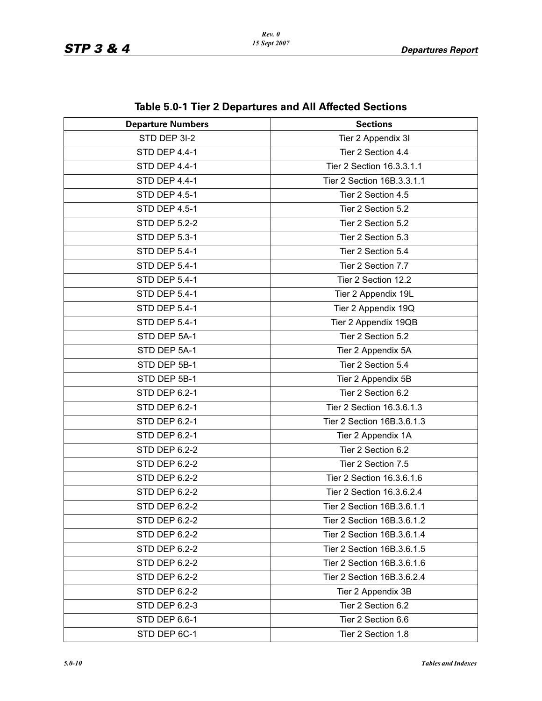| <b>Departure Numbers</b> | <b>DIG 0.0</b> T TIGHT DUPUL GILGS UND AIL ANGULOG OGUNUMS<br><b>Sections</b> |
|--------------------------|-------------------------------------------------------------------------------|
| STD DEP 3I-2             | Tier 2 Appendix 3I                                                            |
| <b>STD DEP 4.4-1</b>     | Tier 2 Section 4.4                                                            |
| STD DEP 4.4-1            | Tier 2 Section 16.3.3.1.1                                                     |
| STD DEP 4.4-1            | Tier 2 Section 16B.3.3.1.1                                                    |
| STD DEP 4.5-1            | Tier 2 Section 4.5                                                            |
| STD DEP 4.5-1            | Tier 2 Section 5.2                                                            |
| <b>STD DEP 5.2-2</b>     | Tier 2 Section 5.2                                                            |
| STD DEP 5.3-1            | Tier 2 Section 5.3                                                            |
| STD DEP 5.4-1            | Tier 2 Section 5.4                                                            |
| STD DEP 5.4-1            | Tier 2 Section 7.7                                                            |
| STD DEP 5.4-1            | Tier 2 Section 12.2                                                           |
| STD DEP 5.4-1            | Tier 2 Appendix 19L                                                           |
| STD DEP 5.4-1            | Tier 2 Appendix 19Q                                                           |
| STD DEP 5.4-1            | Tier 2 Appendix 19QB                                                          |
| STD DEP 5A-1             | Tier 2 Section 5.2                                                            |
| STD DEP 5A-1             | Tier 2 Appendix 5A                                                            |
| STD DEP 5B-1             | Tier 2 Section 5.4                                                            |
| STD DEP 5B-1             | Tier 2 Appendix 5B                                                            |
| STD DEP 6.2-1            | Tier 2 Section 6.2                                                            |
| <b>STD DEP 6.2-1</b>     | Tier 2 Section 16.3.6.1.3                                                     |
| STD DEP 6.2-1            | Tier 2 Section 16B.3.6.1.3                                                    |
| STD DEP 6.2-1            | Tier 2 Appendix 1A                                                            |
| <b>STD DEP 6.2-2</b>     | Tier 2 Section 6.2                                                            |
| <b>STD DEP 6.2-2</b>     | Tier 2 Section 7.5                                                            |
| <b>STD DEP 6.2-2</b>     | Tier 2 Section 16.3.6.1.6                                                     |
| <b>STD DEP 6.2-2</b>     | Tier 2 Section 16.3.6.2.4                                                     |
| STD DEP 6.2-2            | Tier 2 Section 16B.3.6.1.1                                                    |
| <b>STD DEP 6.2-2</b>     | Tier 2 Section 16B.3.6.1.2                                                    |
| STD DEP 6.2-2            | Tier 2 Section 16B.3.6.1.4                                                    |
| <b>STD DEP 6.2-2</b>     | Tier 2 Section 16B.3.6.1.5                                                    |
| <b>STD DEP 6.2-2</b>     | Tier 2 Section 16B.3.6.1.6                                                    |
| STD DEP 6.2-2            | Tier 2 Section 16B.3.6.2.4                                                    |
| <b>STD DEP 6.2-2</b>     | Tier 2 Appendix 3B                                                            |
| STD DEP 6.2-3            | Tier 2 Section 6.2                                                            |
| STD DEP 6.6-1            | Tier 2 Section 6.6                                                            |
| STD DEP 6C-1             | Tier 2 Section 1.8                                                            |

**Table 5.0-1 Tier 2 Departures and All Affected Sections**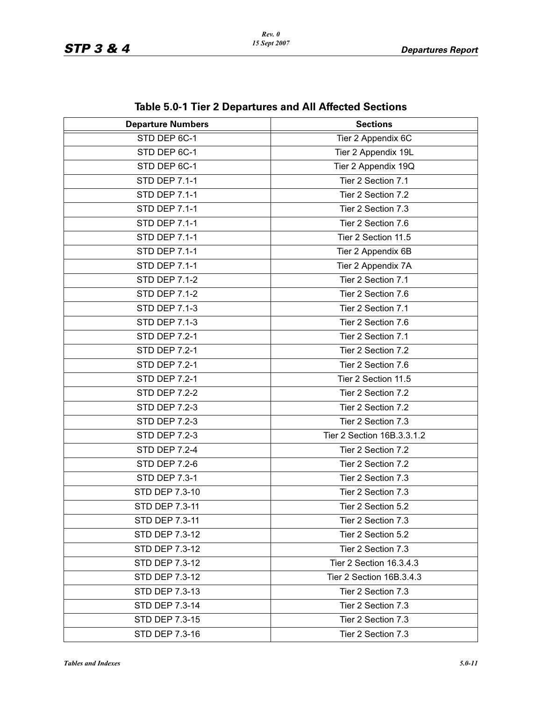| <b>Departure Numbers</b> | <b>DIO 0.0</b> T TIOL E DOPULGIOJ UNU / \II / \IIO0\00 OO0\IO<br><b>Sections</b> |
|--------------------------|----------------------------------------------------------------------------------|
| STD DEP 6C-1             | Tier 2 Appendix 6C                                                               |
| STD DEP 6C-1             | Tier 2 Appendix 19L                                                              |
| STD DEP 6C-1             | Tier 2 Appendix 19Q                                                              |
| <b>STD DEP 7.1-1</b>     | Tier 2 Section 7.1                                                               |
|                          |                                                                                  |
| STD DEP 7.1-1            | Tier 2 Section 7.2                                                               |
| <b>STD DEP 7.1-1</b>     | Tier 2 Section 7.3                                                               |
| <b>STD DEP 7.1-1</b>     | Tier 2 Section 7.6                                                               |
| <b>STD DEP 7.1-1</b>     | Tier 2 Section 11.5                                                              |
| <b>STD DEP 7.1-1</b>     | Tier 2 Appendix 6B                                                               |
| <b>STD DEP 7.1-1</b>     | Tier 2 Appendix 7A                                                               |
| <b>STD DEP 7.1-2</b>     | Tier 2 Section 7.1                                                               |
| <b>STD DEP 7.1-2</b>     | Tier 2 Section 7.6                                                               |
| <b>STD DEP 7.1-3</b>     | Tier 2 Section 7.1                                                               |
| <b>STD DEP 7.1-3</b>     | Tier 2 Section 7.6                                                               |
| <b>STD DEP 7.2-1</b>     | Tier 2 Section 7.1                                                               |
| <b>STD DEP 7.2-1</b>     | Tier 2 Section 7.2                                                               |
| <b>STD DEP 7.2-1</b>     | Tier 2 Section 7.6                                                               |
| <b>STD DEP 7.2-1</b>     | Tier 2 Section 11.5                                                              |
| <b>STD DEP 7.2-2</b>     | Tier 2 Section 7.2                                                               |
| <b>STD DEP 7.2-3</b>     | Tier 2 Section 7.2                                                               |
| <b>STD DEP 7.2-3</b>     | Tier 2 Section 7.3                                                               |
| <b>STD DEP 7.2-3</b>     | Tier 2 Section 16B.3.3.1.2                                                       |
| <b>STD DEP 7.2-4</b>     | Tier 2 Section 7.2                                                               |
| <b>STD DEP 7.2-6</b>     | Tier 2 Section 7.2                                                               |
| STD DEP 7.3-1            | Tier 2 Section 7.3                                                               |
| STD DEP 7.3-10           | Tier 2 Section 7.3                                                               |
| STD DEP 7.3-11           | Tier 2 Section 5.2                                                               |
| STD DEP 7.3-11           | Tier 2 Section 7.3                                                               |
| STD DEP 7.3-12           | Tier 2 Section 5.2                                                               |
| STD DEP 7.3-12           | Tier 2 Section 7.3                                                               |
| STD DEP 7.3-12           | Tier 2 Section 16.3.4.3                                                          |
| STD DEP 7.3-12           | Tier 2 Section 16B.3.4.3                                                         |
| STD DEP 7.3-13           | Tier 2 Section 7.3                                                               |
| STD DEP 7.3-14           | Tier 2 Section 7.3                                                               |
| STD DEP 7.3-15           | Tier 2 Section 7.3                                                               |
| STD DEP 7.3-16           | Tier 2 Section 7.3                                                               |

**Table 5.0-1 Tier 2 Departures and All Affected Sections**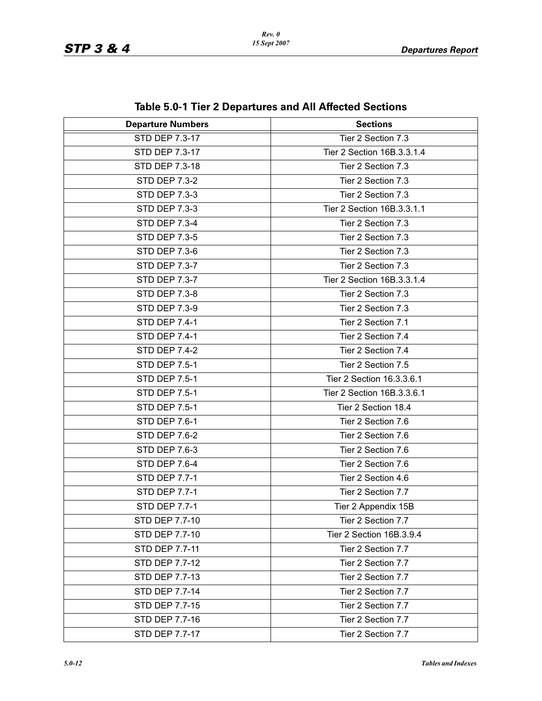| adio 9.0   Tior 2 Dopartaros and An Anotica Octavists |                            |  |
|-------------------------------------------------------|----------------------------|--|
| <b>Departure Numbers</b>                              | <b>Sections</b>            |  |
| <b>STD DEP 7.3-17</b>                                 | Tier 2 Section 7.3         |  |
| STD DEP 7.3-17                                        | Tier 2 Section 16B.3.3.1.4 |  |
| STD DEP 7.3-18                                        | Tier 2 Section 7.3         |  |
| <b>STD DEP 7.3-2</b>                                  | Tier 2 Section 7.3         |  |
| <b>STD DEP 7.3-3</b>                                  | Tier 2 Section 7.3         |  |
| <b>STD DEP 7.3-3</b>                                  | Tier 2 Section 16B.3.3.1.1 |  |
| <b>STD DEP 7.3-4</b>                                  | Tier 2 Section 7.3         |  |
| <b>STD DEP 7.3-5</b>                                  | Tier 2 Section 7.3         |  |
| <b>STD DEP 7.3-6</b>                                  | Tier 2 Section 7.3         |  |
| <b>STD DEP 7.3-7</b>                                  | Tier 2 Section 7.3         |  |
| STD DEP 7.3-7                                         | Tier 2 Section 16B.3.3.1.4 |  |
| <b>STD DEP 7.3-8</b>                                  | Tier 2 Section 7.3         |  |
| <b>STD DEP 7.3-9</b>                                  | Tier 2 Section 7.3         |  |
| <b>STD DEP 7.4-1</b>                                  | Tier 2 Section 7.1         |  |
| STD DEP 7.4-1                                         | Tier 2 Section 7.4         |  |
| <b>STD DEP 7.4-2</b>                                  | Tier 2 Section 7.4         |  |
| <b>STD DEP 7.5-1</b>                                  | Tier 2 Section 7.5         |  |
| <b>STD DEP 7.5-1</b>                                  | Tier 2 Section 16.3.3.6.1  |  |
| <b>STD DEP 7.5-1</b>                                  | Tier 2 Section 16B.3.3.6.1 |  |
| <b>STD DEP 7.5-1</b>                                  | Tier 2 Section 18.4        |  |
| <b>STD DEP 7.6-1</b>                                  | Tier 2 Section 7.6         |  |
| <b>STD DEP 7.6-2</b>                                  | Tier 2 Section 7.6         |  |
| <b>STD DEP 7.6-3</b>                                  | Tier 2 Section 7.6         |  |
| STD DEP 7.6-4                                         | Tier 2 Section 7.6         |  |
| <b>STD DEP 7.7-1</b>                                  | Tier 2 Section 4.6         |  |
| <b>STD DEP 7.7-1</b>                                  | Tier 2 Section 7.7         |  |
| STD DEP 7.7-1                                         | Tier 2 Appendix 15B        |  |
| STD DEP 7.7-10                                        | Tier 2 Section 7.7         |  |
| STD DEP 7.7-10                                        | Tier 2 Section 16B.3.9.4   |  |
| STD DEP 7.7-11                                        | Tier 2 Section 7.7         |  |
| STD DEP 7.7-12                                        | Tier 2 Section 7.7         |  |
| STD DEP 7.7-13                                        | Tier 2 Section 7.7         |  |
| STD DEP 7.7-14                                        | Tier 2 Section 7.7         |  |
| <b>STD DEP 7.7-15</b>                                 | Tier 2 Section 7.7         |  |
| STD DEP 7.7-16                                        | Tier 2 Section 7.7         |  |
| STD DEP 7.7-17                                        | Tier 2 Section 7.7         |  |

**Table 5.0-1 Tier 2 Departures and All Affected Sections**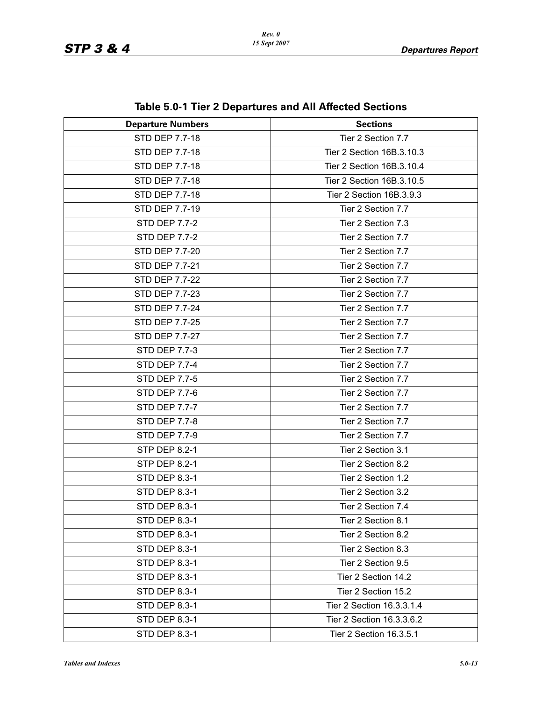| iable J.V-T Tiel Z Departures and All Allected Sections |                           |  |  |
|---------------------------------------------------------|---------------------------|--|--|
| <b>Departure Numbers</b>                                | <b>Sections</b>           |  |  |
| <b>STD DEP 7.7-18</b>                                   | Tier 2 Section 7.7        |  |  |
| <b>STD DEP 7.7-18</b>                                   | Tier 2 Section 16B.3.10.3 |  |  |
| STD DEP 7.7-18                                          | Tier 2 Section 16B.3.10.4 |  |  |
| STD DEP 7.7-18                                          | Tier 2 Section 16B.3.10.5 |  |  |
| STD DEP 7.7-18                                          | Tier 2 Section 16B.3.9.3  |  |  |
| STD DEP 7.7-19                                          | Tier 2 Section 7.7        |  |  |
| <b>STD DEP 7.7-2</b>                                    | Tier 2 Section 7.3        |  |  |
| <b>STD DEP 7.7-2</b>                                    | Tier 2 Section 7.7        |  |  |
| STD DEP 7.7-20                                          | Tier 2 Section 7.7        |  |  |
| STD DEP 7.7-21                                          | Tier 2 Section 7.7        |  |  |
| STD DEP 7.7-22                                          | Tier 2 Section 7.7        |  |  |
| STD DEP 7.7-23                                          | Tier 2 Section 7.7        |  |  |
| STD DEP 7.7-24                                          | Tier 2 Section 7.7        |  |  |
| STD DEP 7.7-25                                          | Tier 2 Section 7.7        |  |  |
| STD DEP 7.7-27                                          | Tier 2 Section 7.7        |  |  |
| STD DEP 7.7-3                                           | Tier 2 Section 7.7        |  |  |
| <b>STD DEP 7.7-4</b>                                    | Tier 2 Section 7.7        |  |  |
| <b>STD DEP 7.7-5</b>                                    | Tier 2 Section 7.7        |  |  |
| <b>STD DEP 7.7-6</b>                                    | Tier 2 Section 7.7        |  |  |
| STD DEP 7.7-7                                           | Tier 2 Section 7.7        |  |  |
| <b>STD DEP 7.7-8</b>                                    | Tier 2 Section 7.7        |  |  |
| <b>STD DEP 7.7-9</b>                                    | Tier 2 Section 7.7        |  |  |
| <b>STP DEP 8.2-1</b>                                    | Tier 2 Section 3.1        |  |  |
| <b>STP DEP 8.2-1</b>                                    | Tier 2 Section 8.2        |  |  |
| STD DEP 8.3-1                                           | Tier 2 Section 1.2        |  |  |
| <b>STD DEP 8.3-1</b>                                    | Tier 2 Section 3.2        |  |  |
| STD DEP 8.3-1                                           | Tier 2 Section 7.4        |  |  |
| STD DEP 8.3-1                                           | Tier 2 Section 8.1        |  |  |
| STD DEP 8.3-1                                           | Tier 2 Section 8.2        |  |  |
| <b>STD DEP 8.3-1</b>                                    | Tier 2 Section 8.3        |  |  |
| STD DEP 8.3-1                                           | Tier 2 Section 9.5        |  |  |
| STD DEP 8.3-1                                           | Tier 2 Section 14.2       |  |  |
| <b>STD DEP 8.3-1</b>                                    | Tier 2 Section 15.2       |  |  |
| STD DEP 8.3-1                                           | Tier 2 Section 16.3.3.1.4 |  |  |
| STD DEP 8.3-1                                           | Tier 2 Section 16.3.3.6.2 |  |  |
| STD DEP 8.3-1                                           | Tier 2 Section 16.3.5.1   |  |  |

**Table 5.0-1 Tier 2 Departures and All Affected Sections**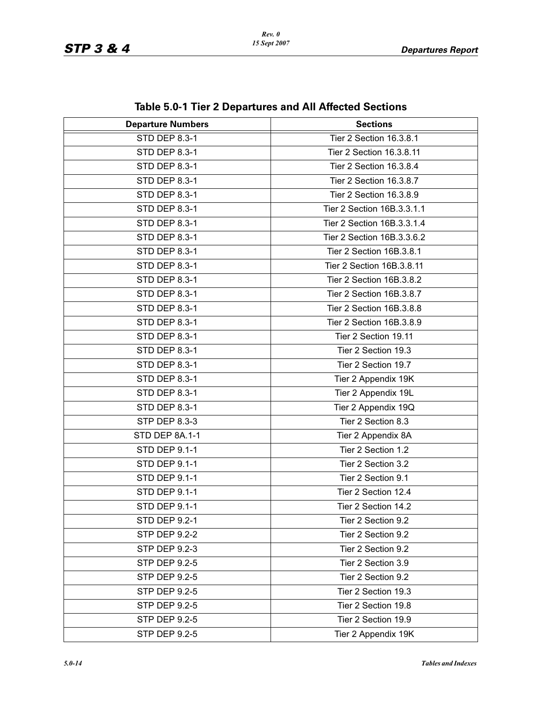| lable J.V-T Tiel Z Departures and All Allected Sections |                            |  |  |
|---------------------------------------------------------|----------------------------|--|--|
| <b>Departure Numbers</b><br><b>Sections</b>             |                            |  |  |
| <b>STD DEP 8.3-1</b>                                    | Tier 2 Section 16.3.8.1    |  |  |
| STD DEP 8.3-1                                           | Tier 2 Section 16.3.8.11   |  |  |
| <b>STD DEP 8.3-1</b>                                    | Tier 2 Section 16.3.8.4    |  |  |
| <b>STD DEP 8.3-1</b>                                    | Tier 2 Section 16.3.8.7    |  |  |
| STD DEP 8.3-1                                           | Tier 2 Section 16.3.8.9    |  |  |
| <b>STD DEP 8.3-1</b>                                    | Tier 2 Section 16B.3.3.1.1 |  |  |
| STD DEP 8.3-1                                           | Tier 2 Section 16B.3.3.1.4 |  |  |
| STD DEP 8.3-1                                           | Tier 2 Section 16B.3.3.6.2 |  |  |
| STD DEP 8.3-1                                           | Tier 2 Section 16B.3.8.1   |  |  |
| STD DEP 8.3-1                                           | Tier 2 Section 16B.3.8.11  |  |  |
| STD DEP 8.3-1                                           | Tier 2 Section 16B.3.8.2   |  |  |
| STD DEP 8.3-1                                           | Tier 2 Section 16B.3.8.7   |  |  |
| STD DEP 8.3-1                                           | Tier 2 Section 16B.3.8.8   |  |  |
| STD DEP 8.3-1                                           | Tier 2 Section 16B.3.8.9   |  |  |
| STD DEP 8.3-1                                           | Tier 2 Section 19.11       |  |  |
| STD DEP 8.3-1                                           | Tier 2 Section 19.3        |  |  |
| STD DEP 8.3-1                                           | Tier 2 Section 19.7        |  |  |
| STD DEP 8.3-1                                           | Tier 2 Appendix 19K        |  |  |
| STD DEP 8.3-1                                           | Tier 2 Appendix 19L        |  |  |
| STD DEP 8.3-1                                           | Tier 2 Appendix 19Q        |  |  |
| STP DEP 8.3-3                                           | Tier 2 Section 8.3         |  |  |
| STD DEP 8A.1-1                                          | Tier 2 Appendix 8A         |  |  |
| <b>STD DEP 9.1-1</b>                                    | Tier 2 Section 1.2         |  |  |
| <b>STD DEP 9.1-1</b>                                    | Tier 2 Section 3.2         |  |  |
| STD DEP 9.1-1                                           | Tier 2 Section 9.1         |  |  |
| STD DEP 9.1-1                                           | Tier 2 Section 12.4        |  |  |
| STD DEP 9.1-1                                           | Tier 2 Section 14.2        |  |  |
| <b>STD DEP 9.2-1</b>                                    | Tier 2 Section 9.2         |  |  |
| STP DEP 9.2-2                                           | Tier 2 Section 9.2         |  |  |
| STP DEP 9.2-3                                           | Tier 2 Section 9.2         |  |  |
| STP DEP 9.2-5                                           | Tier 2 Section 3.9         |  |  |
| STP DEP 9.2-5                                           | Tier 2 Section 9.2         |  |  |
| <b>STP DEP 9.2-5</b>                                    | Tier 2 Section 19.3        |  |  |
| STP DEP 9.2-5                                           | Tier 2 Section 19.8        |  |  |
| STP DEP 9.2-5                                           | Tier 2 Section 19.9        |  |  |
| STP DEP 9.2-5                                           | Tier 2 Appendix 19K        |  |  |

#### **Table 5.0-1 Tier 2 Departures and All Affected Sections**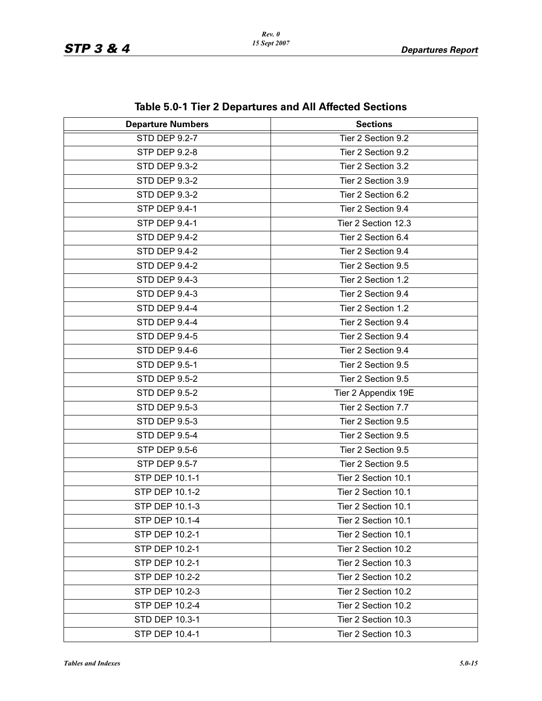| lable J.C. Life & Departures and All Allected Occupiis |                     |  |  |
|--------------------------------------------------------|---------------------|--|--|
| <b>Departure Numbers</b>                               | <b>Sections</b>     |  |  |
| <b>STD DEP 9.2-7</b>                                   | Tier 2 Section 9.2  |  |  |
| <b>STP DEP 9.2-8</b>                                   | Tier 2 Section 9.2  |  |  |
| <b>STD DEP 9.3-2</b>                                   | Tier 2 Section 3.2  |  |  |
| <b>STD DEP 9.3-2</b>                                   | Tier 2 Section 3.9  |  |  |
| <b>STD DEP 9.3-2</b>                                   | Tier 2 Section 6.2  |  |  |
| STP DEP 9.4-1                                          | Tier 2 Section 9.4  |  |  |
| <b>STP DEP 9.4-1</b>                                   | Tier 2 Section 12.3 |  |  |
| <b>STD DEP 9.4-2</b>                                   | Tier 2 Section 6.4  |  |  |
| <b>STD DEP 9.4-2</b>                                   | Tier 2 Section 9.4  |  |  |
| <b>STD DEP 9.4-2</b>                                   | Tier 2 Section 9.5  |  |  |
| <b>STD DEP 9.4-3</b>                                   | Tier 2 Section 1.2  |  |  |
| <b>STD DEP 9.4-3</b>                                   | Tier 2 Section 9.4  |  |  |
| STD DEP 9.4-4                                          | Tier 2 Section 1.2  |  |  |
| STD DEP 9.4-4                                          | Tier 2 Section 9.4  |  |  |
| <b>STD DEP 9.4-5</b>                                   | Tier 2 Section 9.4  |  |  |
| STD DEP 9.4-6                                          | Tier 2 Section 9.4  |  |  |
| <b>STD DEP 9.5-1</b>                                   | Tier 2 Section 9.5  |  |  |
| <b>STD DEP 9.5-2</b>                                   | Tier 2 Section 9.5  |  |  |
| <b>STD DEP 9.5-2</b>                                   | Tier 2 Appendix 19E |  |  |
| <b>STD DEP 9.5-3</b>                                   | Tier 2 Section 7.7  |  |  |
| STD DEP 9.5-3                                          | Tier 2 Section 9.5  |  |  |
| <b>STD DEP 9.5-4</b>                                   | Tier 2 Section 9.5  |  |  |
| STP DEP 9.5-6                                          | Tier 2 Section 9.5  |  |  |
| STP DEP 9.5-7                                          | Tier 2 Section 9.5  |  |  |
| STP DEP 10.1-1                                         | Tier 2 Section 10.1 |  |  |
| STP DEP 10.1-2                                         | Tier 2 Section 10.1 |  |  |
| STP DEP 10.1-3                                         | Tier 2 Section 10.1 |  |  |
| STP DEP 10.1-4                                         | Tier 2 Section 10.1 |  |  |
| STP DEP 10.2-1                                         | Tier 2 Section 10.1 |  |  |
| STP DEP 10.2-1                                         | Tier 2 Section 10.2 |  |  |
| STP DEP 10.2-1                                         | Tier 2 Section 10.3 |  |  |
| STP DEP 10.2-2                                         | Tier 2 Section 10.2 |  |  |
| STP DEP 10.2-3                                         | Tier 2 Section 10.2 |  |  |
| STP DEP 10.2-4                                         | Tier 2 Section 10.2 |  |  |
| STD DEP 10.3-1                                         | Tier 2 Section 10.3 |  |  |
| STP DEP 10.4-1                                         | Tier 2 Section 10.3 |  |  |

**Table 5.0-1 Tier 2 Departures and All Affected Sections**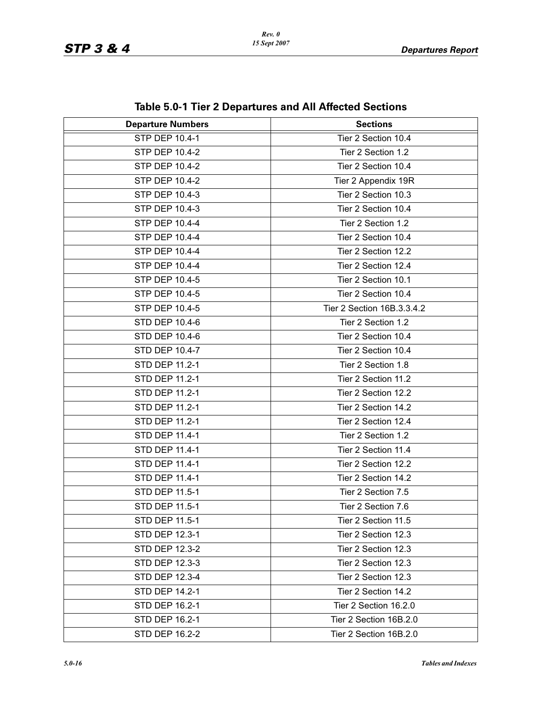| $1800$ J.0 $1101$ Z Departates and All Anceled Ocenons |                            |  |
|--------------------------------------------------------|----------------------------|--|
| <b>Departure Numbers</b>                               | <b>Sections</b>            |  |
| <b>STP DEP 10.4-1</b>                                  | Tier 2 Section 10.4        |  |
| STP DEP 10.4-2                                         | Tier 2 Section 1.2         |  |
| STP DEP 10.4-2                                         | Tier 2 Section 10.4        |  |
| STP DEP 10.4-2                                         | Tier 2 Appendix 19R        |  |
| STP DEP 10.4-3                                         | Tier 2 Section 10.3        |  |
| STP DEP 10.4-3                                         | Tier 2 Section 10.4        |  |
| STP DEP 10.4-4                                         | Tier 2 Section 1.2         |  |
| STP DEP 10.4-4                                         | Tier 2 Section 10.4        |  |
| STP DEP 10.4-4                                         | Tier 2 Section 12.2        |  |
| STP DEP 10.4-4                                         | Tier 2 Section 12.4        |  |
| STP DEP 10.4-5                                         | Tier 2 Section 10.1        |  |
| STP DEP 10.4-5                                         | Tier 2 Section 10.4        |  |
| STP DEP 10.4-5                                         | Tier 2 Section 16B.3.3.4.2 |  |
| <b>STD DEP 10.4-6</b>                                  | Tier 2 Section 1.2         |  |
| STD DEP 10.4-6                                         | Tier 2 Section 10.4        |  |
| STD DEP 10.4-7                                         | Tier 2 Section 10.4        |  |
| <b>STD DEP 11.2-1</b>                                  | Tier 2 Section 1.8         |  |
| STD DEP 11.2-1                                         | Tier 2 Section 11.2        |  |
| <b>STD DEP 11.2-1</b>                                  | Tier 2 Section 12.2        |  |
| STD DEP 11.2-1                                         | Tier 2 Section 14.2        |  |
| STD DEP 11.2-1                                         | Tier 2 Section 12.4        |  |
| STD DEP 11.4-1                                         | Tier 2 Section 1.2         |  |
| STD DEP 11.4-1                                         | Tier 2 Section 11.4        |  |
| STD DEP 11.4-1                                         | Tier 2 Section 12.2        |  |
| STD DEP 11.4-1                                         | Tier 2 Section 14.2        |  |
| STD DEP 11.5-1                                         | Tier 2 Section 7.5         |  |
| STD DEP 11.5-1                                         | Tier 2 Section 7.6         |  |
| STD DEP 11.5-1                                         | Tier 2 Section 11.5        |  |
| STD DEP 12.3-1                                         | Tier 2 Section 12.3        |  |
| STD DEP 12.3-2                                         | Tier 2 Section 12.3        |  |
| STD DEP 12.3-3                                         | Tier 2 Section 12.3        |  |
| STD DEP 12.3-4                                         | Tier 2 Section 12.3        |  |
| STD DEP 14.2-1                                         | Tier 2 Section 14.2        |  |
| <b>STD DEP 16.2-1</b>                                  | Tier 2 Section 16.2.0      |  |
| STD DEP 16.2-1                                         | Tier 2 Section 16B.2.0     |  |
| STD DEP 16.2-2                                         | Tier 2 Section 16B.2.0     |  |

**Table 5.0-1 Tier 2 Departures and All Affected Sections**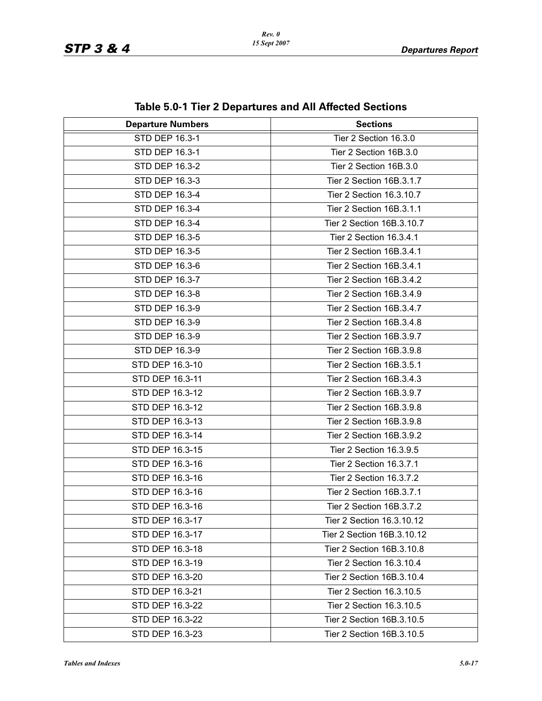| <b>1996 0.0</b> T TIOLE DUPUT GITO GITA AIR AIROLUM OCONOMO<br><b>Departure Numbers</b><br><b>Sections</b> |                            |  |
|------------------------------------------------------------------------------------------------------------|----------------------------|--|
| <b>STD DEP 16.3-1</b>                                                                                      | Tier 2 Section 16.3.0      |  |
| STD DEP 16.3-1                                                                                             | Tier 2 Section 16B.3.0     |  |
| STD DEP 16.3-2                                                                                             | Tier 2 Section 16B.3.0     |  |
| STD DEP 16.3-3                                                                                             | Tier 2 Section 16B.3.1.7   |  |
| STD DEP 16.3-4                                                                                             | Tier 2 Section 16.3.10.7   |  |
| STD DEP 16.3-4                                                                                             | Tier 2 Section 16B.3.1.1   |  |
| STD DEP 16.3-4                                                                                             | Tier 2 Section 16B.3.10.7  |  |
| STD DEP 16.3-5                                                                                             | Tier 2 Section 16.3.4.1    |  |
| STD DEP 16.3-5                                                                                             | Tier 2 Section 16B.3.4.1   |  |
|                                                                                                            |                            |  |
| STD DEP 16.3-6                                                                                             | Tier 2 Section 16B.3.4.1   |  |
| STD DEP 16.3-7                                                                                             | Tier 2 Section 16B.3.4.2   |  |
| STD DEP 16.3-8                                                                                             | Tier 2 Section 16B.3.4.9   |  |
| STD DEP 16.3-9                                                                                             | Tier 2 Section 16B.3.4.7   |  |
| STD DEP 16.3-9                                                                                             | Tier 2 Section 16B.3.4.8   |  |
| STD DEP 16.3-9                                                                                             | Tier 2 Section 16B.3.9.7   |  |
| STD DEP 16.3-9                                                                                             | Tier 2 Section 16B.3.9.8   |  |
| STD DEP 16.3-10                                                                                            | Tier 2 Section 16B.3.5.1   |  |
| STD DEP 16.3-11                                                                                            | Tier 2 Section 16B.3.4.3   |  |
| STD DEP 16.3-12                                                                                            | Tier 2 Section 16B.3.9.7   |  |
| STD DEP 16.3-12                                                                                            | Tier 2 Section 16B.3.9.8   |  |
| STD DEP 16.3-13                                                                                            | Tier 2 Section 16B.3.9.8   |  |
| STD DEP 16.3-14                                                                                            | Tier 2 Section 16B.3.9.2   |  |
| STD DEP 16.3-15                                                                                            | Tier 2 Section 16.3.9.5    |  |
| STD DEP 16.3-16                                                                                            | Tier 2 Section 16.3.7.1    |  |
| STD DEP 16.3-16                                                                                            | Tier 2 Section 16.3.7.2    |  |
| STD DEP 16.3-16                                                                                            | Tier 2 Section 16B.3.7.1   |  |
| STD DEP 16.3-16                                                                                            | Tier 2 Section 16B.3.7.2   |  |
| STD DEP 16.3-17                                                                                            | Tier 2 Section 16.3.10.12  |  |
| STD DEP 16.3-17                                                                                            | Tier 2 Section 16B.3.10.12 |  |
| STD DEP 16.3-18                                                                                            | Tier 2 Section 16B.3.10.8  |  |
| STD DEP 16.3-19                                                                                            | Tier 2 Section 16.3.10.4   |  |
| STD DEP 16.3-20                                                                                            | Tier 2 Section 16B.3.10.4  |  |
| STD DEP 16.3-21                                                                                            | Tier 2 Section 16.3.10.5   |  |
| STD DEP 16.3-22                                                                                            | Tier 2 Section 16.3.10.5   |  |
| STD DEP 16.3-22                                                                                            | Tier 2 Section 16B.3.10.5  |  |
| STD DEP 16.3-23                                                                                            | Tier 2 Section 16B.3.10.5  |  |

|  | Table 5.0-1 Tier 2 Departures and All Affected Sections |  |  |
|--|---------------------------------------------------------|--|--|
|--|---------------------------------------------------------|--|--|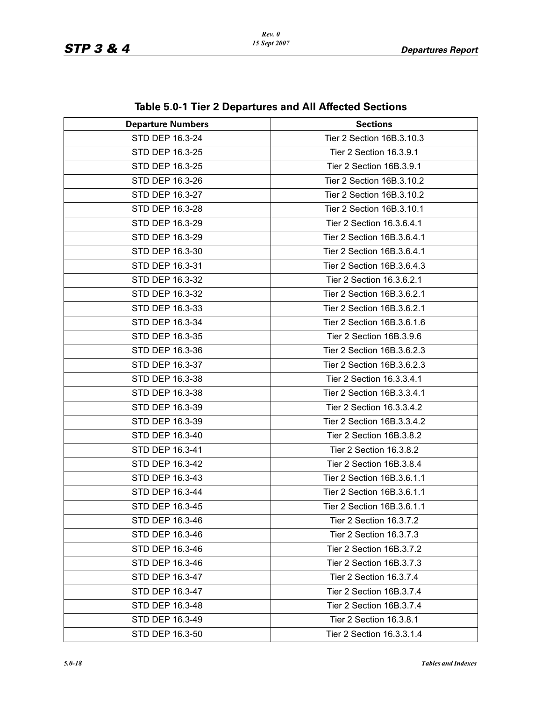| $1800$ $300$ $100$ $200$ $100$ $200$ |                            |  |  |
|--------------------------------------|----------------------------|--|--|
| <b>Departure Numbers</b>             | <b>Sections</b>            |  |  |
| STD DEP 16.3-24                      | Tier 2 Section 16B.3.10.3  |  |  |
| STD DEP 16.3-25                      | Tier 2 Section 16.3.9.1    |  |  |
| STD DEP 16.3-25                      | Tier 2 Section 16B.3.9.1   |  |  |
| STD DEP 16.3-26                      | Tier 2 Section 16B.3.10.2  |  |  |
| STD DEP 16.3-27                      | Tier 2 Section 16B.3.10.2  |  |  |
| STD DEP 16.3-28                      | Tier 2 Section 16B.3.10.1  |  |  |
| STD DEP 16.3-29                      | Tier 2 Section 16.3.6.4.1  |  |  |
| STD DEP 16.3-29                      | Tier 2 Section 16B.3.6.4.1 |  |  |
| STD DEP 16.3-30                      | Tier 2 Section 16B.3.6.4.1 |  |  |
| STD DEP 16.3-31                      | Tier 2 Section 16B.3.6.4.3 |  |  |
| STD DEP 16.3-32                      | Tier 2 Section 16.3.6.2.1  |  |  |
| STD DEP 16.3-32                      | Tier 2 Section 16B.3.6.2.1 |  |  |
| STD DEP 16.3-33                      | Tier 2 Section 16B.3.6.2.1 |  |  |
| STD DEP 16.3-34                      | Tier 2 Section 16B.3.6.1.6 |  |  |
| STD DEP 16.3-35                      | Tier 2 Section 16B.3.9.6   |  |  |
| STD DEP 16.3-36                      | Tier 2 Section 16B.3.6.2.3 |  |  |
| STD DEP 16.3-37                      | Tier 2 Section 16B.3.6.2.3 |  |  |
| STD DEP 16.3-38                      | Tier 2 Section 16.3.3.4.1  |  |  |
| STD DEP 16.3-38                      | Tier 2 Section 16B.3.3.4.1 |  |  |
| STD DEP 16.3-39                      | Tier 2 Section 16.3.3.4.2  |  |  |
| STD DEP 16.3-39                      | Tier 2 Section 16B.3.3.4.2 |  |  |
| STD DEP 16.3-40                      | Tier 2 Section 16B.3.8.2   |  |  |
| STD DEP 16.3-41                      | Tier 2 Section 16.3.8.2    |  |  |
| STD DEP 16.3-42                      | Tier 2 Section 16B.3.8.4   |  |  |
| STD DEP 16.3-43                      | Tier 2 Section 16B.3.6.1.1 |  |  |
| STD DEP 16.3-44                      | Tier 2 Section 16B.3.6.1.1 |  |  |
| STD DEP 16.3-45                      | Tier 2 Section 16B.3.6.1.1 |  |  |
| STD DEP 16.3-46                      | Tier 2 Section 16.3.7.2    |  |  |
| STD DEP 16.3-46                      | Tier 2 Section 16.3.7.3    |  |  |
| STD DEP 16.3-46                      | Tier 2 Section 16B.3.7.2   |  |  |
| STD DEP 16.3-46                      | Tier 2 Section 16B.3.7.3   |  |  |
| STD DEP 16.3-47                      | Tier 2 Section 16.3.7.4    |  |  |
| STD DEP 16.3-47                      | Tier 2 Section 16B.3.7.4   |  |  |
| STD DEP 16.3-48                      | Tier 2 Section 16B.3.7.4   |  |  |
| STD DEP 16.3-49                      | Tier 2 Section 16.3.8.1    |  |  |
| STD DEP 16.3-50                      | Tier 2 Section 16.3.3.1.4  |  |  |

**Table 5.0-1 Tier 2 Departures and All Affected Sections**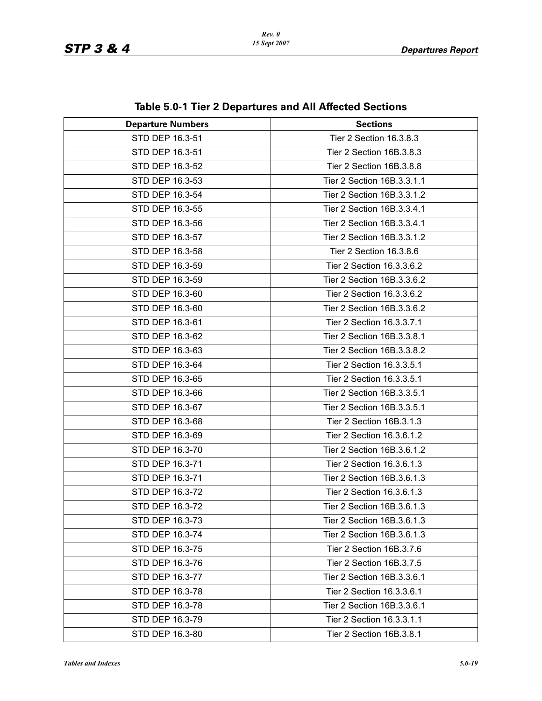| <b>Departure Numbers</b> | <b>Sections</b>            |  |  |
|--------------------------|----------------------------|--|--|
| STD DEP 16.3-51          | Tier 2 Section 16.3.8.3    |  |  |
| STD DEP 16.3-51          | Tier 2 Section 16B.3.8.3   |  |  |
| STD DEP 16.3-52          | Tier 2 Section 16B.3.8.8   |  |  |
| STD DEP 16.3-53          | Tier 2 Section 16B.3.3.1.1 |  |  |
| STD DEP 16.3-54          | Tier 2 Section 16B.3.3.1.2 |  |  |
| STD DEP 16.3-55          | Tier 2 Section 16B.3.3.4.1 |  |  |
| STD DEP 16.3-56          | Tier 2 Section 16B.3.3.4.1 |  |  |
| STD DEP 16.3-57          | Tier 2 Section 16B.3.3.1.2 |  |  |
| STD DEP 16.3-58          | Tier 2 Section 16.3.8.6    |  |  |
| STD DEP 16.3-59          | Tier 2 Section 16.3.3.6.2  |  |  |
| STD DEP 16.3-59          | Tier 2 Section 16B.3.3.6.2 |  |  |
| STD DEP 16.3-60          | Tier 2 Section 16.3.3.6.2  |  |  |
| STD DEP 16.3-60          | Tier 2 Section 16B.3.3.6.2 |  |  |
| STD DEP 16.3-61          | Tier 2 Section 16.3.3.7.1  |  |  |
| STD DEP 16.3-62          | Tier 2 Section 16B.3.3.8.1 |  |  |
| STD DEP 16.3-63          | Tier 2 Section 16B.3.3.8.2 |  |  |
| STD DEP 16.3-64          | Tier 2 Section 16.3.3.5.1  |  |  |
| STD DEP 16.3-65          | Tier 2 Section 16.3.3.5.1  |  |  |
| STD DEP 16.3-66          | Tier 2 Section 16B.3.3.5.1 |  |  |
| STD DEP 16.3-67          | Tier 2 Section 16B.3.3.5.1 |  |  |
| STD DEP 16.3-68          | Tier 2 Section 16B.3.1.3   |  |  |
| STD DEP 16.3-69          | Tier 2 Section 16.3.6.1.2  |  |  |
| STD DEP 16.3-70          | Tier 2 Section 16B.3.6.1.2 |  |  |
| STD DEP 16.3-71          | Tier 2 Section 16.3.6.1.3  |  |  |
| STD DEP 16.3-71          | Tier 2 Section 16B.3.6.1.3 |  |  |
| STD DEP 16.3-72          | Tier 2 Section 16.3.6.1.3  |  |  |
| STD DEP 16.3-72          | Tier 2 Section 16B.3.6.1.3 |  |  |
| STD DEP 16.3-73          | Tier 2 Section 16B.3.6.1.3 |  |  |
| STD DEP 16.3-74          | Tier 2 Section 16B.3.6.1.3 |  |  |
| STD DEP 16.3-75          | Tier 2 Section 16B.3.7.6   |  |  |
| STD DEP 16.3-76          | Tier 2 Section 16B.3.7.5   |  |  |
| STD DEP 16.3-77          | Tier 2 Section 16B.3.3.6.1 |  |  |
| STD DEP 16.3-78          | Tier 2 Section 16.3.3.6.1  |  |  |
| STD DEP 16.3-78          | Tier 2 Section 16B.3.3.6.1 |  |  |
| STD DEP 16.3-79          | Tier 2 Section 16.3.3.1.1  |  |  |
| STD DEP 16.3-80          | Tier 2 Section 16B.3.8.1   |  |  |

#### **Table 5.0-1 Tier 2 Departures and All Affected Sections**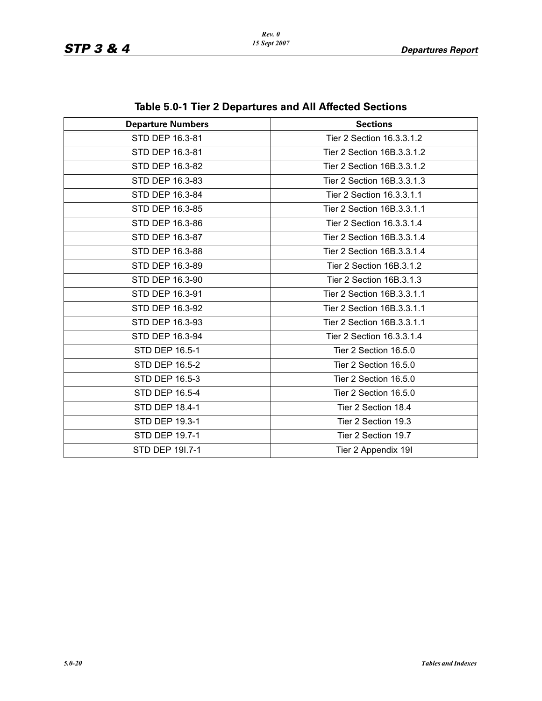| <b>Departure Numbers</b> | <b>Sections</b>            |  |  |
|--------------------------|----------------------------|--|--|
| STD DEP 16.3-81          | Tier 2 Section 16.3.3.1.2  |  |  |
| STD DEP 16.3-81          | Tier 2 Section 16B.3.3.1.2 |  |  |
| STD DEP 16.3-82          | Tier 2 Section 16B.3.3.1.2 |  |  |
| STD DEP 16.3-83          | Tier 2 Section 16B.3.3.1.3 |  |  |
| STD DEP 16.3-84          | Tier 2 Section 16.3.3.1.1  |  |  |
| STD DEP 16.3-85          | Tier 2 Section 16B.3.3.1.1 |  |  |
| STD DEP 16.3-86          | Tier 2 Section 16.3.3.1.4  |  |  |
| STD DEP 16.3-87          | Tier 2 Section 16B.3.3.1.4 |  |  |
| STD DEP 16.3-88          | Tier 2 Section 16B.3.3.1.4 |  |  |
| STD DEP 16.3-89          | Tier 2 Section 16B.3.1.2   |  |  |
| STD DEP 16.3-90          | Tier 2 Section 16B.3.1.3   |  |  |
| STD DEP 16.3-91          | Tier 2 Section 16B.3.3.1.1 |  |  |
| STD DEP 16.3-92          | Tier 2 Section 16B.3.3.1.1 |  |  |
| STD DEP 16.3-93          | Tier 2 Section 16B.3.3.1.1 |  |  |
| STD DEP 16.3-94          | Tier 2 Section 16.3.3.1.4  |  |  |
| <b>STD DEP 16.5-1</b>    | Tier 2 Section 16.5.0      |  |  |
| STD DEP 16.5-2           | Tier 2 Section 16.5.0      |  |  |
| STD DEP 16.5-3           | Tier 2 Section 16.5.0      |  |  |
| STD DEP 16.5-4           | Tier 2 Section 16.5.0      |  |  |
| <b>STD DEP 18.4-1</b>    | Tier 2 Section 18.4        |  |  |
| <b>STD DEP 19.3-1</b>    | Tier 2 Section 19.3        |  |  |
| STD DEP 19.7-1           | Tier 2 Section 19.7        |  |  |
| STD DEP 191.7-1          | Tier 2 Appendix 19I        |  |  |

**Table 5.0-1 Tier 2 Departures and All Affected Sections**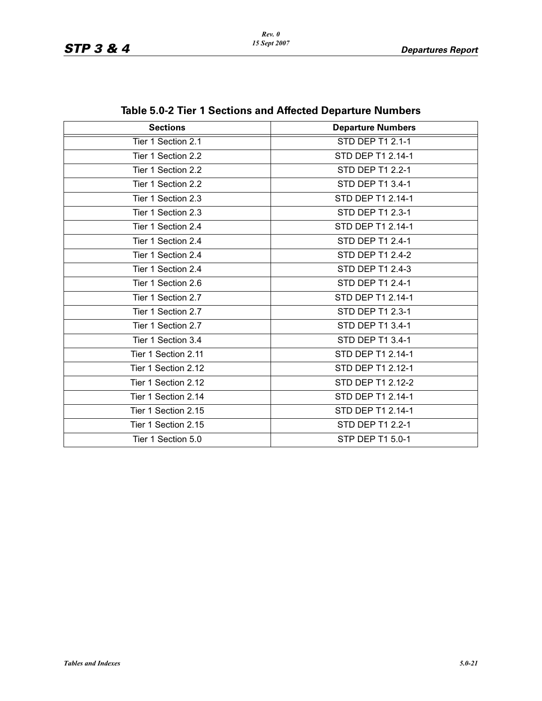| <b>Sections</b>     | <b>Departure Numbers</b> |  |
|---------------------|--------------------------|--|
| Tier 1 Section 2.1  | STD DEP T1 2.1-1         |  |
| Tier 1 Section 2.2  | STD DEP T1 2.14-1        |  |
| Tier 1 Section 2.2  | STD DEP T1 2.2-1         |  |
| Tier 1 Section 2.2  | STD DEP T1 3.4-1         |  |
| Tier 1 Section 2.3  | STD DEP T1 2.14-1        |  |
| Tier 1 Section 2.3  | STD DEP T1 2.3-1         |  |
| Tier 1 Section 2.4  | STD DEP T1 2.14-1        |  |
| Tier 1 Section 2.4  | STD DEP T1 2.4-1         |  |
| Tier 1 Section 2.4  | STD DEP T1 2.4-2         |  |
| Tier 1 Section 2.4  | STD DEP T1 2.4-3         |  |
| Tier 1 Section 2.6  | STD DEP T1 2.4-1         |  |
| Tier 1 Section 2.7  | STD DEP T1 2.14-1        |  |
| Tier 1 Section 2.7  | STD DEP T1 2.3-1         |  |
| Tier 1 Section 2.7  | STD DEP T1 3.4-1         |  |
| Tier 1 Section 3.4  | STD DEP T1 3.4-1         |  |
| Tier 1 Section 2.11 | STD DEP T1 2.14-1        |  |
| Tier 1 Section 2.12 | STD DEP T1 2.12-1        |  |
| Tier 1 Section 2.12 | STD DEP T1 2.12-2        |  |
| Tier 1 Section 2.14 | STD DEP T1 2.14-1        |  |
| Tier 1 Section 2.15 | STD DEP T1 2.14-1        |  |
| Tier 1 Section 2.15 | STD DEP T1 2.2-1         |  |
| Tier 1 Section 5.0  | STP DEP T1 5.0-1         |  |

|  |  |  | Table 5.0-2 Tier 1 Sections and Affected Departure Numbers |
|--|--|--|------------------------------------------------------------|
|--|--|--|------------------------------------------------------------|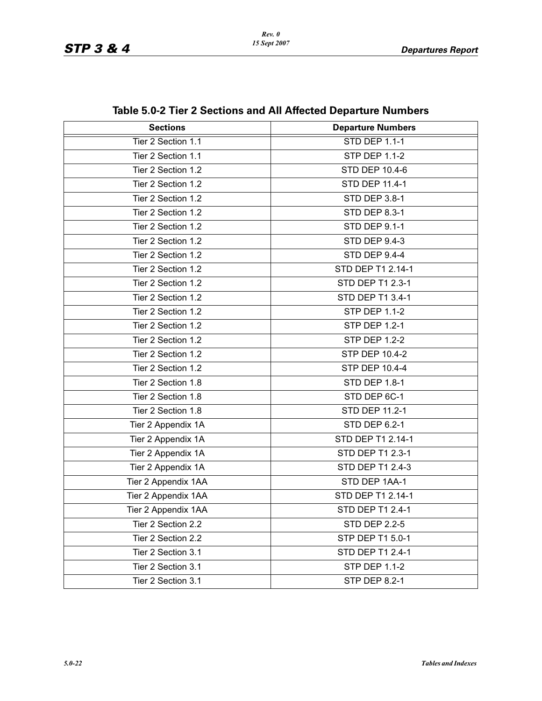| <b>Sections</b>     | <b>Departure Numbers</b> |
|---------------------|--------------------------|
| Tier 2 Section 1.1  | <b>STD DEP 1.1-1</b>     |
| Tier 2 Section 1.1  | <b>STP DEP 1.1-2</b>     |
| Tier 2 Section 1.2  | STD DEP 10.4-6           |
| Tier 2 Section 1.2  | STD DEP 11.4-1           |
| Tier 2 Section 1.2  | STD DEP 3.8-1            |
| Tier 2 Section 1.2  | <b>STD DEP 8.3-1</b>     |
| Tier 2 Section 1.2  | <b>STD DEP 9.1-1</b>     |
| Tier 2 Section 1.2  | <b>STD DEP 9.4-3</b>     |
| Tier 2 Section 1.2  | <b>STD DEP 9.4-4</b>     |
| Tier 2 Section 1.2  | STD DEP T1 2.14-1        |
| Tier 2 Section 1.2  | STD DEP T1 2.3-1         |
| Tier 2 Section 1.2  | STD DEP T1 3.4-1         |
| Tier 2 Section 1.2  | <b>STP DEP 1.1-2</b>     |
| Tier 2 Section 1.2  | <b>STP DEP 1.2-1</b>     |
| Tier 2 Section 1.2  | <b>STP DEP 1.2-2</b>     |
| Tier 2 Section 1.2  | STP DEP 10.4-2           |
| Tier 2 Section 1.2  | <b>STP DEP 10.4-4</b>    |
| Tier 2 Section 1.8  | STD DEP 1.8-1            |
| Tier 2 Section 1.8  | STD DEP 6C-1             |
| Tier 2 Section 1.8  | STD DEP 11.2-1           |
| Tier 2 Appendix 1A  | <b>STD DEP 6.2-1</b>     |
| Tier 2 Appendix 1A  | STD DEP T1 2.14-1        |
| Tier 2 Appendix 1A  | STD DEP T1 2.3-1         |
| Tier 2 Appendix 1A  | STD DEP T1 2.4-3         |
| Tier 2 Appendix 1AA | STD DEP 1AA-1            |
| Tier 2 Appendix 1AA | STD DEP T1 2.14-1        |
| Tier 2 Appendix 1AA | STD DEP T1 2.4-1         |
| Tier 2 Section 2.2  | <b>STD DEP 2.2-5</b>     |
| Tier 2 Section 2.2  | STP DEP T1 5.0-1         |
| Tier 2 Section 3.1  | STD DEP T1 2.4-1         |
| Tier 2 Section 3.1  | <b>STP DEP 1.1-2</b>     |
| Tier 2 Section 3.1  | <b>STP DEP 8.2-1</b>     |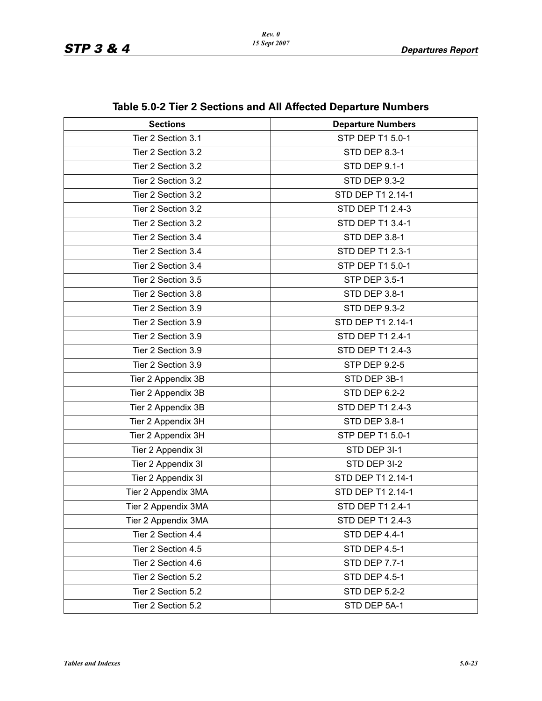| <b>Sections</b>     | <b>Departure Numbers</b> |
|---------------------|--------------------------|
| Tier 2 Section 3.1  | <b>STP DEP T1 5.0-1</b>  |
| Tier 2 Section 3.2  | STD DEP 8.3-1            |
| Tier 2 Section 3.2  | <b>STD DEP 9.1-1</b>     |
| Tier 2 Section 3.2  | <b>STD DEP 9.3-2</b>     |
| Tier 2 Section 3.2  | STD DEP T1 2.14-1        |
| Tier 2 Section 3.2  | STD DEP T1 2.4-3         |
| Tier 2 Section 3.2  | STD DEP T1 3.4-1         |
| Tier 2 Section 3.4  | <b>STD DEP 3.8-1</b>     |
| Tier 2 Section 3.4  | STD DEP T1 2.3-1         |
| Tier 2 Section 3.4  | STP DEP T1 5.0-1         |
| Tier 2 Section 3.5  | <b>STP DEP 3.5-1</b>     |
| Tier 2 Section 3.8  | <b>STD DEP 3.8-1</b>     |
| Tier 2 Section 3.9  | <b>STD DEP 9.3-2</b>     |
| Tier 2 Section 3.9  | STD DEP T1 2.14-1        |
| Tier 2 Section 3.9  | STD DEP T1 2.4-1         |
| Tier 2 Section 3.9  | STD DEP T1 2.4-3         |
| Tier 2 Section 3.9  | STP DEP 9.2-5            |
| Tier 2 Appendix 3B  | STD DEP 3B-1             |
| Tier 2 Appendix 3B  | STD DEP 6.2-2            |
| Tier 2 Appendix 3B  | STD DEP T1 2.4-3         |
| Tier 2 Appendix 3H  | STD DEP 3.8-1            |
| Tier 2 Appendix 3H  | STP DEP T1 5.0-1         |
| Tier 2 Appendix 3I  | STD DEP 3I-1             |
| Tier 2 Appendix 3I  | STD DEP 3I-2             |
| Tier 2 Appendix 3I  | STD DEP T1 2.14-1        |
| Tier 2 Appendix 3MA | STD DEP T1 2.14-1        |
| Tier 2 Appendix 3MA | STD DEP T1 2.4-1         |
| Tier 2 Appendix 3MA | STD DEP T1 2.4-3         |
| Tier 2 Section 4.4  | <b>STD DEP 4.4-1</b>     |
| Tier 2 Section 4.5  | <b>STD DEP 4.5-1</b>     |
| Tier 2 Section 4.6  | <b>STD DEP 7.7-1</b>     |
| Tier 2 Section 5.2  | <b>STD DEP 4.5-1</b>     |
| Tier 2 Section 5.2  | <b>STD DEP 5.2-2</b>     |
| Tier 2 Section 5.2  | STD DEP 5A-1             |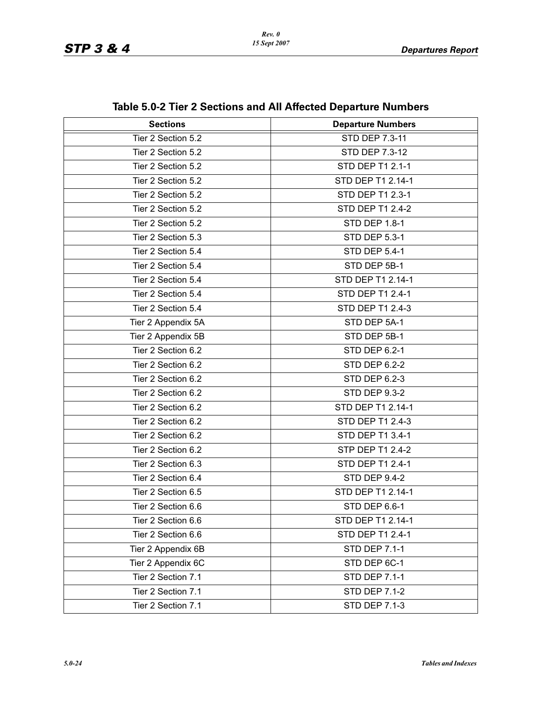| <b>Sections</b>    | <b>Departure Numbers</b> |
|--------------------|--------------------------|
| Tier 2 Section 5.2 | STD DEP 7.3-11           |
| Tier 2 Section 5.2 | STD DEP 7.3-12           |
| Tier 2 Section 5.2 | <b>STD DEP T1 2.1-1</b>  |
| Tier 2 Section 5.2 | STD DEP T1 2.14-1        |
| Tier 2 Section 5.2 | STD DEP T1 2.3-1         |
| Tier 2 Section 5.2 | <b>STD DEP T1 2.4-2</b>  |
| Tier 2 Section 5.2 | <b>STD DEP 1.8-1</b>     |
| Tier 2 Section 5.3 | <b>STD DEP 5.3-1</b>     |
|                    |                          |
| Tier 2 Section 5.4 | <b>STD DEP 5.4-1</b>     |
| Tier 2 Section 5.4 | STD DEP 5B-1             |
| Tier 2 Section 5.4 | STD DEP T1 2.14-1        |
| Tier 2 Section 5.4 | STD DEP T1 2.4-1         |
| Tier 2 Section 5.4 | STD DEP T1 2.4-3         |
| Tier 2 Appendix 5A | STD DEP 5A-1             |
| Tier 2 Appendix 5B | STD DEP 5B-1             |
| Tier 2 Section 6.2 | <b>STD DEP 6.2-1</b>     |
| Tier 2 Section 6.2 | <b>STD DEP 6.2-2</b>     |
| Tier 2 Section 6.2 | <b>STD DEP 6.2-3</b>     |
| Tier 2 Section 6.2 | <b>STD DEP 9.3-2</b>     |
| Tier 2 Section 6.2 | STD DEP T1 2.14-1        |
| Tier 2 Section 6.2 | STD DEP T1 2.4-3         |
| Tier 2 Section 6.2 | STD DEP T1 3.4-1         |
| Tier 2 Section 6.2 | STP DEP T1 2.4-2         |
| Tier 2 Section 6.3 | <b>STD DEP T1 2.4-1</b>  |
| Tier 2 Section 6.4 | <b>STD DEP 9.4-2</b>     |
| Tier 2 Section 6.5 | STD DEP T1 2.14-1        |
| Tier 2 Section 6.6 | <b>STD DEP 6.6-1</b>     |
| Tier 2 Section 6.6 | STD DEP T1 2.14-1        |
| Tier 2 Section 6.6 | STD DEP T1 2.4-1         |
| Tier 2 Appendix 6B | <b>STD DEP 7.1-1</b>     |
| Tier 2 Appendix 6C | STD DEP 6C-1             |
| Tier 2 Section 7.1 | <b>STD DEP 7.1-1</b>     |
| Tier 2 Section 7.1 | <b>STD DEP 7.1-2</b>     |
| Tier 2 Section 7.1 | <b>STD DEP 7.1-3</b>     |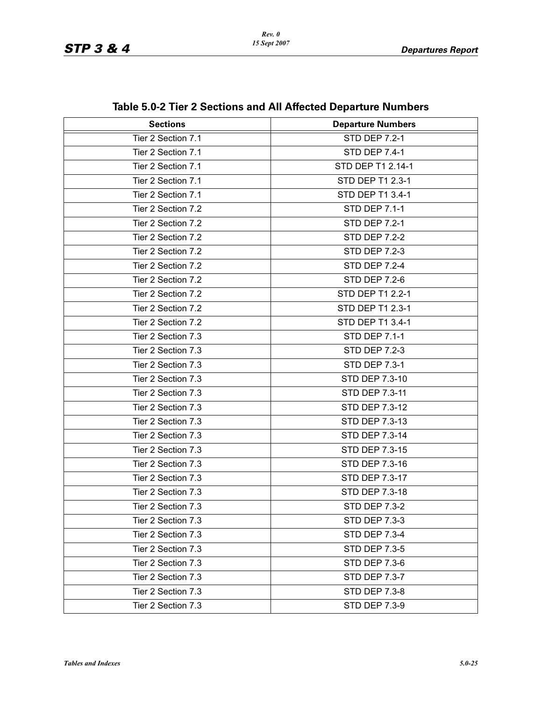| <b>Sections</b>    | <b>Departure Numbers</b> |
|--------------------|--------------------------|
| Tier 2 Section 7.1 | <b>STD DEP 7.2-1</b>     |
| Tier 2 Section 7.1 | <b>STD DEP 7.4-1</b>     |
| Tier 2 Section 7.1 | STD DEP T1 2.14-1        |
| Tier 2 Section 7.1 | STD DEP T1 2.3-1         |
| Tier 2 Section 7.1 | STD DEP T1 3.4-1         |
| Tier 2 Section 7.2 | <b>STD DEP 7.1-1</b>     |
| Tier 2 Section 7.2 | <b>STD DEP 7.2-1</b>     |
| Tier 2 Section 7.2 | <b>STD DEP 7.2-2</b>     |
| Tier 2 Section 7.2 | <b>STD DEP 7.2-3</b>     |
| Tier 2 Section 7.2 | <b>STD DEP 7.2-4</b>     |
| Tier 2 Section 7.2 | <b>STD DEP 7.2-6</b>     |
| Tier 2 Section 7.2 | STD DEP T1 2.2-1         |
| Tier 2 Section 7.2 | STD DEP T1 2.3-1         |
| Tier 2 Section 7.2 | STD DEP T1 3.4-1         |
| Tier 2 Section 7.3 | <b>STD DEP 7.1-1</b>     |
| Tier 2 Section 7.3 | <b>STD DEP 7.2-3</b>     |
| Tier 2 Section 7.3 | <b>STD DEP 7.3-1</b>     |
| Tier 2 Section 7.3 | STD DEP 7.3-10           |
| Tier 2 Section 7.3 | STD DEP 7.3-11           |
| Tier 2 Section 7.3 | STD DEP 7.3-12           |
| Tier 2 Section 7.3 | STD DEP 7.3-13           |
| Tier 2 Section 7.3 | STD DEP 7.3-14           |
| Tier 2 Section 7.3 | STD DEP 7.3-15           |
| Tier 2 Section 7.3 | STD DEP 7.3-16           |
| Tier 2 Section 7.3 | STD DEP 7.3-17           |
| Tier 2 Section 7.3 | STD DEP 7.3-18           |
| Tier 2 Section 7.3 | <b>STD DEP 7.3-2</b>     |
| Tier 2 Section 7.3 | STD DEP 7.3-3            |
| Tier 2 Section 7.3 | <b>STD DEP 7.3-4</b>     |
| Tier 2 Section 7.3 | <b>STD DEP 7.3-5</b>     |
| Tier 2 Section 7.3 | <b>STD DEP 7.3-6</b>     |
| Tier 2 Section 7.3 | <b>STD DEP 7.3-7</b>     |
| Tier 2 Section 7.3 | STD DEP 7.3-8            |
| Tier 2 Section 7.3 | <b>STD DEP 7.3-9</b>     |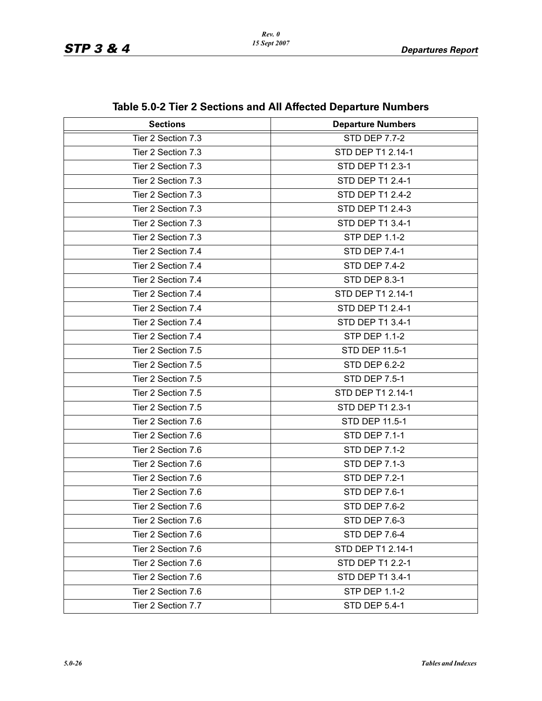| <b>Sections</b>    | <b>Departure Numbers</b> |
|--------------------|--------------------------|
| Tier 2 Section 7.3 | <b>STD DEP 7.7-2</b>     |
| Tier 2 Section 7.3 | STD DEP T1 2.14-1        |
| Tier 2 Section 7.3 | STD DEP T1 2.3-1         |
| Tier 2 Section 7.3 | STD DEP T1 2.4-1         |
| Tier 2 Section 7.3 | <b>STD DEP T1 2.4-2</b>  |
| Tier 2 Section 7.3 | STD DEP T1 2.4-3         |
| Tier 2 Section 7.3 | STD DEP T1 3.4-1         |
| Tier 2 Section 7.3 | <b>STP DEP 1.1-2</b>     |
| Tier 2 Section 7.4 | <b>STD DEP 7.4-1</b>     |
| Tier 2 Section 7.4 | <b>STD DEP 7.4-2</b>     |
| Tier 2 Section 7.4 | <b>STD DEP 8.3-1</b>     |
| Tier 2 Section 7.4 | STD DEP T1 2.14-1        |
| Tier 2 Section 7.4 | STD DEP T1 2.4-1         |
| Tier 2 Section 7.4 | STD DEP T1 3.4-1         |
| Tier 2 Section 7.4 | <b>STP DEP 1.1-2</b>     |
| Tier 2 Section 7.5 | STD DEP 11.5-1           |
| Tier 2 Section 7.5 | <b>STD DEP 6.2-2</b>     |
| Tier 2 Section 7.5 | <b>STD DEP 7.5-1</b>     |
| Tier 2 Section 7.5 | STD DEP T1 2.14-1        |
| Tier 2 Section 7.5 | STD DEP T1 2.3-1         |
| Tier 2 Section 7.6 | STD DEP 11.5-1           |
| Tier 2 Section 7.6 | <b>STD DEP 7.1-1</b>     |
| Tier 2 Section 7.6 | <b>STD DEP 7.1-2</b>     |
| Tier 2 Section 7.6 | <b>STD DEP 7.1-3</b>     |
| Tier 2 Section 7.6 | <b>STD DEP 7.2-1</b>     |
| Tier 2 Section 7.6 | <b>STD DEP 7.6-1</b>     |
| Tier 2 Section 7.6 | STD DEP 7.6-2            |
| Tier 2 Section 7.6 | STD DEP 7.6-3            |
| Tier 2 Section 7.6 | STD DEP 7.6-4            |
| Tier 2 Section 7.6 | STD DEP T1 2.14-1        |
| Tier 2 Section 7.6 | STD DEP T1 2.2-1         |
| Tier 2 Section 7.6 | STD DEP T1 3.4-1         |
| Tier 2 Section 7.6 | STP DEP 1.1-2            |
| Tier 2 Section 7.7 | <b>STD DEP 5.4-1</b>     |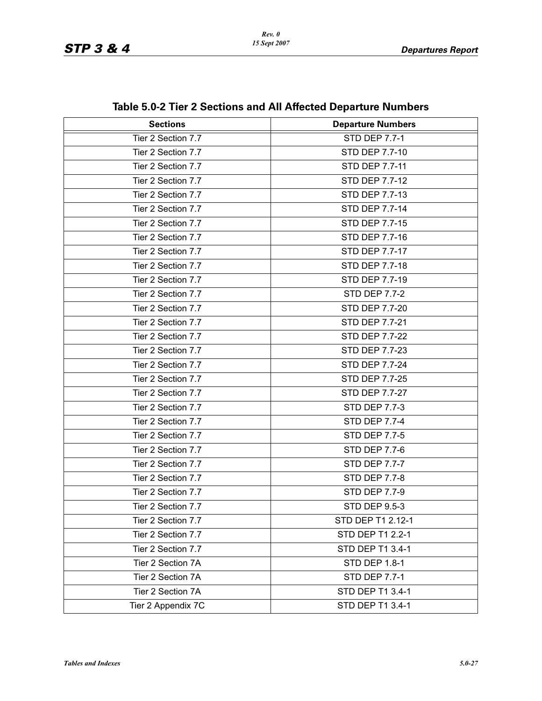| <b>Sections</b>    | <b>Departure Numbers</b> |
|--------------------|--------------------------|
| Tier 2 Section 7.7 | <b>STD DEP 7.7-1</b>     |
| Tier 2 Section 7.7 | STD DEP 7.7-10           |
| Tier 2 Section 7.7 | STD DEP 7.7-11           |
| Tier 2 Section 7.7 | STD DEP 7.7-12           |
| Tier 2 Section 7.7 | STD DEP 7.7-13           |
| Tier 2 Section 7.7 | STD DEP 7.7-14           |
| Tier 2 Section 7.7 | <b>STD DEP 7.7-15</b>    |
| Tier 2 Section 7.7 | STD DEP 7.7-16           |
| Tier 2 Section 7.7 | STD DEP 7.7-17           |
| Tier 2 Section 7.7 | STD DEP 7.7-18           |
| Tier 2 Section 7.7 | STD DEP 7.7-19           |
| Tier 2 Section 7.7 | <b>STD DEP 7.7-2</b>     |
| Tier 2 Section 7.7 | STD DEP 7.7-20           |
| Tier 2 Section 7.7 | STD DEP 7.7-21           |
| Tier 2 Section 7.7 | STD DEP 7.7-22           |
| Tier 2 Section 7.7 | STD DEP 7.7-23           |
| Tier 2 Section 7.7 | STD DEP 7.7-24           |
| Tier 2 Section 7.7 | <b>STD DEP 7.7-25</b>    |
| Tier 2 Section 7.7 | STD DEP 7.7-27           |
| Tier 2 Section 7.7 | STD DEP 7.7-3            |
| Tier 2 Section 7.7 | <b>STD DEP 7.7-4</b>     |
| Tier 2 Section 7.7 | <b>STD DEP 7.7-5</b>     |
| Tier 2 Section 7.7 | <b>STD DEP 7.7-6</b>     |
| Tier 2 Section 7.7 | <b>STD DEP 7.7-7</b>     |
| Tier 2 Section 7.7 | <b>STD DEP 7.7-8</b>     |
| Tier 2 Section 7.7 | <b>STD DEP 7.7-9</b>     |
| Tier 2 Section 7.7 | STD DEP 9.5-3            |
| Tier 2 Section 7.7 | STD DEP T1 2.12-1        |
| Tier 2 Section 7.7 | STD DEP T1 2.2-1         |
| Tier 2 Section 7.7 | STD DEP T1 3.4-1         |
| Tier 2 Section 7A  | STD DEP 1.8-1            |
| Tier 2 Section 7A  | <b>STD DEP 7.7-1</b>     |
| Tier 2 Section 7A  | STD DEP T1 3.4-1         |
| Tier 2 Appendix 7C | STD DEP T1 3.4-1         |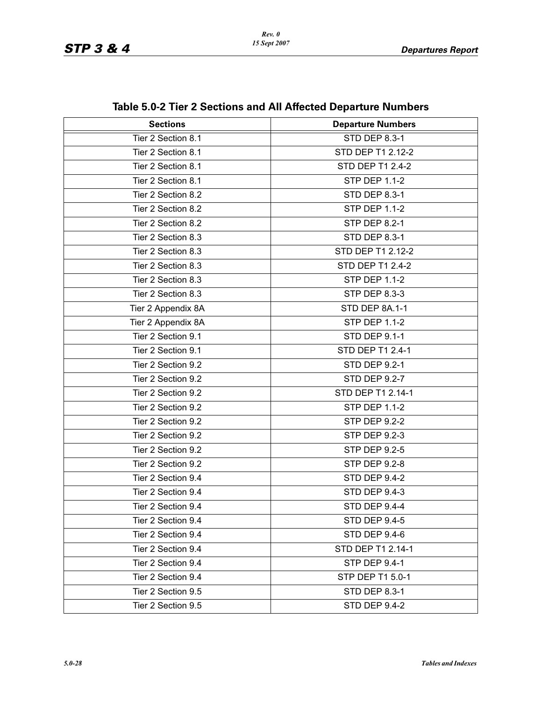| <b>Sections</b>    | <b>Departure Numbers</b> |
|--------------------|--------------------------|
| Tier 2 Section 8.1 | <b>STD DEP 8.3-1</b>     |
| Tier 2 Section 8.1 | STD DEP T1 2.12-2        |
| Tier 2 Section 8.1 | STD DEP T1 2.4-2         |
| Tier 2 Section 8.1 | <b>STP DEP 1.1-2</b>     |
| Tier 2 Section 8.2 | <b>STD DEP 8.3-1</b>     |
| Tier 2 Section 8.2 | <b>STP DEP 1.1-2</b>     |
| Tier 2 Section 8.2 | <b>STP DEP 8.2-1</b>     |
| Tier 2 Section 8.3 | <b>STD DEP 8.3-1</b>     |
| Tier 2 Section 8.3 | STD DEP T1 2.12-2        |
| Tier 2 Section 8.3 | STD DEP T1 2.4-2         |
| Tier 2 Section 8.3 | <b>STP DEP 1.1-2</b>     |
| Tier 2 Section 8.3 | <b>STP DEP 8.3-3</b>     |
| Tier 2 Appendix 8A | STD DEP 8A.1-1           |
| Tier 2 Appendix 8A | <b>STP DEP 1.1-2</b>     |
| Tier 2 Section 9.1 | <b>STD DEP 9.1-1</b>     |
| Tier 2 Section 9.1 | STD DEP T1 2.4-1         |
| Tier 2 Section 9.2 | <b>STD DEP 9.2-1</b>     |
| Tier 2 Section 9.2 | <b>STD DEP 9.2-7</b>     |
| Tier 2 Section 9.2 | STD DEP T1 2.14-1        |
| Tier 2 Section 9.2 | <b>STP DEP 1.1-2</b>     |
| Tier 2 Section 9.2 | <b>STP DEP 9.2-2</b>     |
| Tier 2 Section 9.2 | STP DEP 9.2-3            |
| Tier 2 Section 9.2 | <b>STP DEP 9.2-5</b>     |
| Tier 2 Section 9.2 | <b>STP DEP 9.2-8</b>     |
| Tier 2 Section 9.4 | <b>STD DEP 9.4-2</b>     |
| Tier 2 Section 9.4 | <b>STD DEP 9.4-3</b>     |
| Tier 2 Section 9.4 | STD DEP 9.4-4            |
| Tier 2 Section 9.4 | STD DEP 9.4-5            |
| Tier 2 Section 9.4 | <b>STD DEP 9.4-6</b>     |
| Tier 2 Section 9.4 | STD DEP T1 2.14-1        |
| Tier 2 Section 9.4 | <b>STP DEP 9.4-1</b>     |
| Tier 2 Section 9.4 | STP DEP T1 5.0-1         |
| Tier 2 Section 9.5 | STD DEP 8.3-1            |
| Tier 2 Section 9.5 | <b>STD DEP 9.4-2</b>     |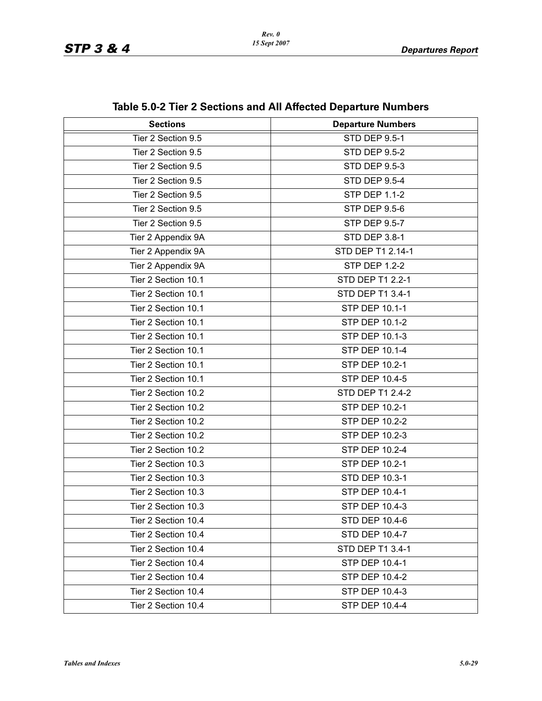| <b>Sections</b>     | <b>Departure Numbers</b> |
|---------------------|--------------------------|
| Tier 2 Section 9.5  | <b>STD DEP 9.5-1</b>     |
| Tier 2 Section 9.5  | <b>STD DEP 9.5-2</b>     |
| Tier 2 Section 9.5  | <b>STD DEP 9.5-3</b>     |
| Tier 2 Section 9.5  | <b>STD DEP 9.5-4</b>     |
| Tier 2 Section 9.5  | <b>STP DEP 1.1-2</b>     |
| Tier 2 Section 9.5  | <b>STP DEP 9.5-6</b>     |
| Tier 2 Section 9.5  | <b>STP DEP 9.5-7</b>     |
|                     | STD DEP 3.8-1            |
| Tier 2 Appendix 9A  |                          |
| Tier 2 Appendix 9A  | STD DEP T1 2.14-1        |
| Tier 2 Appendix 9A  | <b>STP DEP 1.2-2</b>     |
| Tier 2 Section 10.1 | STD DEP T1 2.2-1         |
| Tier 2 Section 10.1 | STD DEP T1 3.4-1         |
| Tier 2 Section 10.1 | STP DEP 10.1-1           |
| Tier 2 Section 10.1 | STP DEP 10.1-2           |
| Tier 2 Section 10.1 | STP DEP 10.1-3           |
| Tier 2 Section 10.1 | <b>STP DEP 10.1-4</b>    |
| Tier 2 Section 10.1 | STP DEP 10.2-1           |
| Tier 2 Section 10.1 | STP DEP 10.4-5           |
| Tier 2 Section 10.2 | STD DEP T1 2.4-2         |
| Tier 2 Section 10.2 | STP DEP 10.2-1           |
| Tier 2 Section 10.2 | STP DEP 10.2-2           |
| Tier 2 Section 10.2 | STP DEP 10.2-3           |
| Tier 2 Section 10.2 | STP DEP 10.2-4           |
| Tier 2 Section 10.3 | STP DEP 10.2-1           |
| Tier 2 Section 10.3 | STD DEP 10.3-1           |
| Tier 2 Section 10.3 | STP DEP 10.4-1           |
| Tier 2 Section 10.3 | STP DEP 10.4-3           |
| Tier 2 Section 10.4 | STD DEP 10.4-6           |
| Tier 2 Section 10.4 | STD DEP 10.4-7           |
| Tier 2 Section 10.4 | STD DEP T1 3.4-1         |
| Tier 2 Section 10.4 | STP DEP 10.4-1           |
| Tier 2 Section 10.4 | STP DEP 10.4-2           |
| Tier 2 Section 10.4 | STP DEP 10.4-3           |
| Tier 2 Section 10.4 | <b>STP DEP 10.4-4</b>    |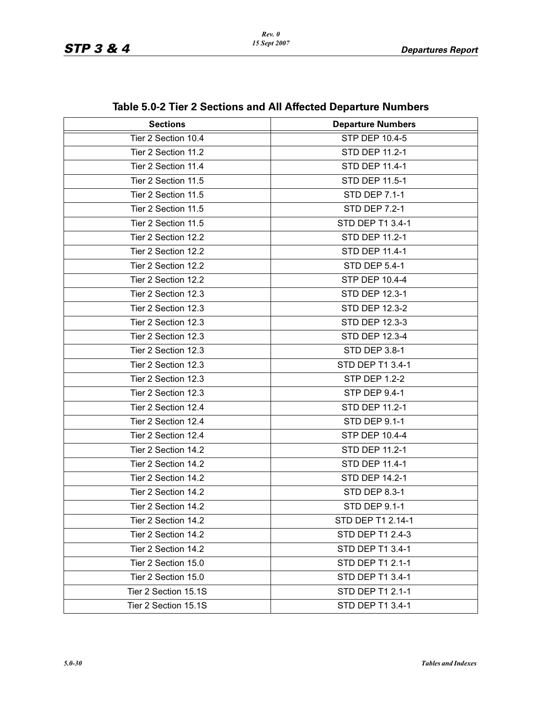| <b>Sections</b>      | <b>Departure Numbers</b> |
|----------------------|--------------------------|
| Tier 2 Section 10.4  | <b>STP DEP 10.4-5</b>    |
| Tier 2 Section 11.2  | STD DEP 11.2-1           |
| Tier 2 Section 11.4  | <b>STD DEP 11.4-1</b>    |
| Tier 2 Section 11.5  | STD DEP 11.5-1           |
| Tier 2 Section 11.5  | <b>STD DEP 7.1-1</b>     |
| Tier 2 Section 11.5  | <b>STD DEP 7.2-1</b>     |
| Tier 2 Section 11.5  | STD DEP T1 3.4-1         |
| Tier 2 Section 12.2  | STD DEP 11.2-1           |
| Tier 2 Section 12.2  | STD DEP 11.4-1           |
| Tier 2 Section 12.2  | <b>STD DEP 5.4-1</b>     |
| Tier 2 Section 12.2  | STP DEP 10.4-4           |
| Tier 2 Section 12.3  | <b>STD DEP 12.3-1</b>    |
| Tier 2 Section 12.3  | STD DEP 12.3-2           |
| Tier 2 Section 12.3  | STD DEP 12.3-3           |
| Tier 2 Section 12.3  | <b>STD DEP 12.3-4</b>    |
| Tier 2 Section 12.3  | STD DEP 3.8-1            |
| Tier 2 Section 12.3  | STD DEP T1 3.4-1         |
| Tier 2 Section 12.3  | <b>STP DEP 1.2-2</b>     |
| Tier 2 Section 12.3  | <b>STP DEP 9.4-1</b>     |
| Tier 2 Section 12.4  | STD DEP 11.2-1           |
| Tier 2 Section 12.4  | <b>STD DEP 9.1-1</b>     |
| Tier 2 Section 12.4  | <b>STP DEP 10.4-4</b>    |
| Tier 2 Section 14.2  | STD DEP 11.2-1           |
| Tier 2 Section 14.2  | <b>STD DEP 11.4-1</b>    |
| Tier 2 Section 14.2  | <b>STD DEP 14.2-1</b>    |
| Tier 2 Section 14.2  | <b>STD DEP 8.3-1</b>     |
| Tier 2 Section 14.2  | STD DEP 9.1-1            |
| Tier 2 Section 14.2  | STD DEP T1 2.14-1        |
| Tier 2 Section 14.2  | STD DEP T1 2.4-3         |
| Tier 2 Section 14.2  | STD DEP T1 3.4-1         |
| Tier 2 Section 15.0  | STD DEP T1 2.1-1         |
| Tier 2 Section 15.0  | STD DEP T1 3.4-1         |
| Tier 2 Section 15.1S | STD DEP T1 2.1-1         |
| Tier 2 Section 15.1S | STD DEP T1 3.4-1         |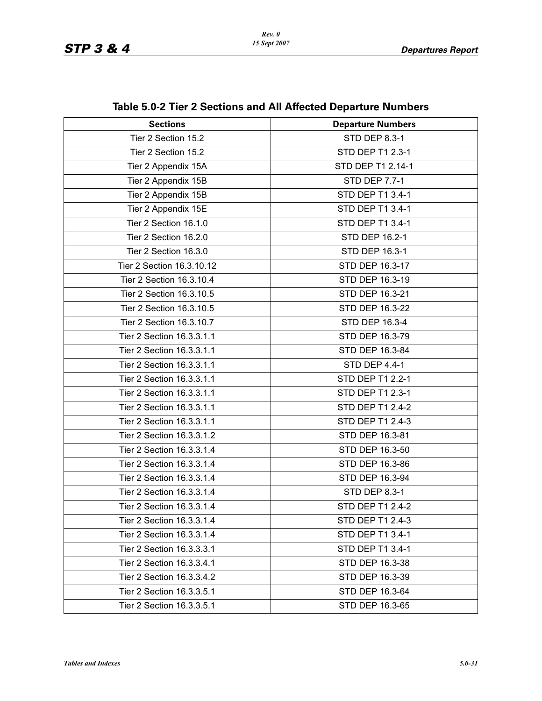| <b>Sections</b>           | <b>Departure Numbers</b> |
|---------------------------|--------------------------|
| Tier 2 Section 15.2       | <b>STD DEP 8.3-1</b>     |
| Tier 2 Section 15.2       | STD DEP T1 2.3-1         |
| Tier 2 Appendix 15A       | STD DEP T1 2.14-1        |
| Tier 2 Appendix 15B       | <b>STD DEP 7.7-1</b>     |
| Tier 2 Appendix 15B       | STD DEP T1 3.4-1         |
| Tier 2 Appendix 15E       | STD DEP T1 3.4-1         |
| Tier 2 Section 16.1.0     | STD DEP T1 3.4-1         |
| Tier 2 Section 16.2.0     | STD DEP 16.2-1           |
| Tier 2 Section 16.3.0     | STD DEP 16.3-1           |
| Tier 2 Section 16.3.10.12 | STD DEP 16.3-17          |
| Tier 2 Section 16.3.10.4  | STD DEP 16.3-19          |
| Tier 2 Section 16.3.10.5  | STD DEP 16.3-21          |
| Tier 2 Section 16.3.10.5  | STD DEP 16.3-22          |
| Tier 2 Section 16.3.10.7  | STD DEP 16.3-4           |
| Tier 2 Section 16.3.3.1.1 | STD DEP 16.3-79          |
| Tier 2 Section 16.3.3.1.1 | STD DEP 16.3-84          |
| Tier 2 Section 16.3.3.1.1 | STD DEP 4.4-1            |
| Tier 2 Section 16.3.3.1.1 | STD DEP T1 2.2-1         |
| Tier 2 Section 16.3.3.1.1 | STD DEP T1 2.3-1         |
| Tier 2 Section 16.3.3.1.1 | STD DEP T1 2.4-2         |
| Tier 2 Section 16.3.3.1.1 | STD DEP T1 2.4-3         |
| Tier 2 Section 16.3.3.1.2 | STD DEP 16.3-81          |
| Tier 2 Section 16.3.3.1.4 | STD DEP 16.3-50          |
| Tier 2 Section 16.3.3.1.4 | STD DEP 16.3-86          |
| Tier 2 Section 16.3.3.1.4 | STD DEP 16.3-94          |
| Tier 2 Section 16.3.3.1.4 | STD DEP 8.3-1            |
| Tier 2 Section 16.3.3.1.4 | STD DEP T1 2.4-2         |
| Tier 2 Section 16.3.3.1.4 | STD DEP T1 2.4-3         |
| Tier 2 Section 16.3.3.1.4 | STD DEP T1 3.4-1         |
| Tier 2 Section 16.3.3.3.1 | STD DEP T1 3.4-1         |
| Tier 2 Section 16.3.3.4.1 | STD DEP 16.3-38          |
| Tier 2 Section 16.3.3.4.2 | STD DEP 16.3-39          |
| Tier 2 Section 16.3.3.5.1 | STD DEP 16.3-64          |
| Tier 2 Section 16.3.3.5.1 | STD DEP 16.3-65          |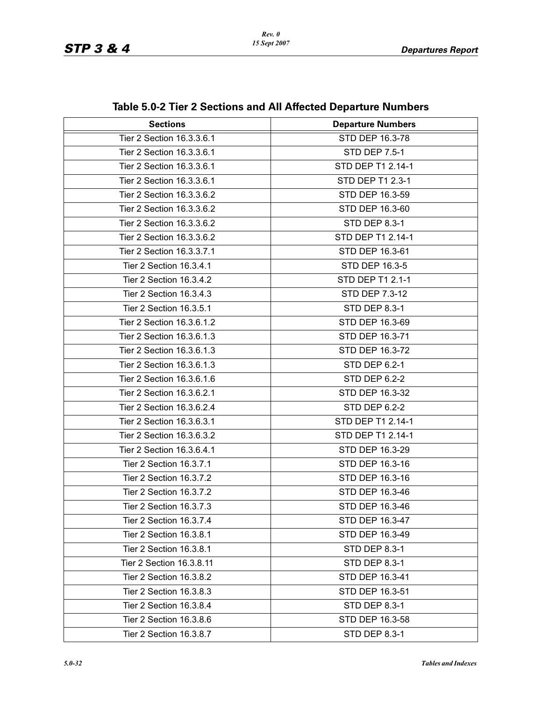| <b>Sections</b>           | <b>Departure Numbers</b> |
|---------------------------|--------------------------|
| Tier 2 Section 16.3.3.6.1 | STD DEP 16.3-78          |
| Tier 2 Section 16.3.3.6.1 | STD DEP 7.5-1            |
| Tier 2 Section 16.3.3.6.1 | STD DEP T1 2.14-1        |
| Tier 2 Section 16.3.3.6.1 | STD DEP T1 2.3-1         |
| Tier 2 Section 16.3.3.6.2 | STD DEP 16.3-59          |
| Tier 2 Section 16.3.3.6.2 | STD DEP 16.3-60          |
| Tier 2 Section 16.3.3.6.2 | <b>STD DEP 8.3-1</b>     |
| Tier 2 Section 16.3.3.6.2 | STD DEP T1 2.14-1        |
| Tier 2 Section 16.3.3.7.1 | STD DEP 16.3-61          |
| Tier 2 Section 16.3.4.1   | STD DEP 16.3-5           |
| Tier 2 Section 16.3.4.2   | STD DEP T1 2.1-1         |
| Tier 2 Section 16.3.4.3   | STD DEP 7.3-12           |
| Tier 2 Section 16.3.5.1   | <b>STD DEP 8.3-1</b>     |
| Tier 2 Section 16.3.6.1.2 | STD DEP 16.3-69          |
| Tier 2 Section 16.3.6.1.3 | STD DEP 16.3-71          |
| Tier 2 Section 16.3.6.1.3 | STD DEP 16.3-72          |
| Tier 2 Section 16.3.6.1.3 | <b>STD DEP 6.2-1</b>     |
| Tier 2 Section 16.3.6.1.6 | <b>STD DEP 6.2-2</b>     |
| Tier 2 Section 16.3.6.2.1 | STD DEP 16.3-32          |
| Tier 2 Section 16.3.6.2.4 | <b>STD DEP 6.2-2</b>     |
| Tier 2 Section 16.3.6.3.1 | STD DEP T1 2.14-1        |
| Tier 2 Section 16.3.6.3.2 | STD DEP T1 2.14-1        |
| Tier 2 Section 16.3.6.4.1 | STD DEP 16.3-29          |
| Tier 2 Section 16.3.7.1   | STD DEP 16.3-16          |
| Tier 2 Section 16.3.7.2   | STD DEP 16.3-16          |
| Tier 2 Section 16.3.7.2   | STD DEP 16.3-46          |
| Tier 2 Section 16.3.7.3   | STD DEP 16.3-46          |
| Tier 2 Section 16.3.7.4   | STD DEP 16.3-47          |
| Tier 2 Section 16.3.8.1   | STD DEP 16.3-49          |
| Tier 2 Section 16.3.8.1   | STD DEP 8.3-1            |
| Tier 2 Section 16.3.8.11  | STD DEP 8.3-1            |
| Tier 2 Section 16.3.8.2   | STD DEP 16.3-41          |
| Tier 2 Section 16.3.8.3   | STD DEP 16.3-51          |
| Tier 2 Section 16.3.8.4   | <b>STD DEP 8.3-1</b>     |
| Tier 2 Section 16.3.8.6   | STD DEP 16.3-58          |
| Tier 2 Section 16.3.8.7   | STD DEP 8.3-1            |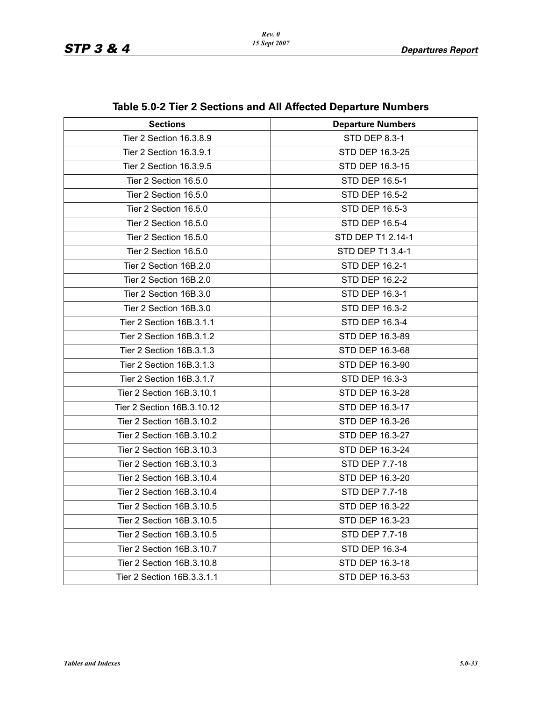| <b>Sections</b>            | <b>Departure Numbers</b> |
|----------------------------|--------------------------|
| Tier 2 Section 16.3.8.9    | <b>STD DEP 8.3-1</b>     |
| Tier 2 Section 16.3.9.1    | STD DEP 16.3-25          |
| Tier 2 Section 16.3.9.5    | STD DEP 16.3-15          |
| Tier 2 Section 16.5.0      | STD DEP 16.5-1           |
| Tier 2 Section 16.5.0      | <b>STD DEP 16.5-2</b>    |
| Tier 2 Section 16.5.0      | STD DEP 16.5-3           |
| Tier 2 Section 16.5.0      | STD DEP 16.5-4           |
| Tier 2 Section 16.5.0      | STD DEP T1 2.14-1        |
| Tier 2 Section 16.5.0      | STD DEP T1 3.4-1         |
| Tier 2 Section 16B.2.0     | STD DEP 16.2-1           |
| Tier 2 Section 16B.2.0     | STD DEP 16.2-2           |
| Tier 2 Section 16B.3.0     | STD DEP 16.3-1           |
| Tier 2 Section 16B.3.0     | STD DEP 16.3-2           |
| Tier 2 Section 16B.3.1.1   | STD DEP 16.3-4           |
| Tier 2 Section 16B.3.1.2   | STD DEP 16.3-89          |
| Tier 2 Section 16B.3.1.3   | STD DEP 16.3-68          |
| Tier 2 Section 16B.3.1.3   | STD DEP 16.3-90          |
| Tier 2 Section 16B.3.1.7   | STD DEP 16.3-3           |
| Tier 2 Section 16B.3.10.1  | STD DEP 16.3-28          |
| Tier 2 Section 16B.3.10.12 | STD DEP 16.3-17          |
| Tier 2 Section 16B.3.10.2  | STD DEP 16.3-26          |
| Tier 2 Section 16B.3.10.2  | STD DEP 16.3-27          |
| Tier 2 Section 16B.3.10.3  | STD DEP 16.3-24          |
| Tier 2 Section 16B.3.10.3  | STD DEP 7.7-18           |
| Tier 2 Section 16B.3.10.4  | STD DEP 16.3-20          |
| Tier 2 Section 16B.3.10.4  | STD DEP 7.7-18           |
| Tier 2 Section 16B.3.10.5  | STD DEP 16.3-22          |
| Tier 2 Section 16B.3.10.5  | STD DEP 16.3-23          |
| Tier 2 Section 16B.3.10.5  | STD DEP 7.7-18           |
| Tier 2 Section 16B.3.10.7  | STD DEP 16.3-4           |
| Tier 2 Section 16B.3.10.8  | STD DEP 16.3-18          |
| Tier 2 Section 16B.3.3.1.1 | STD DEP 16.3-53          |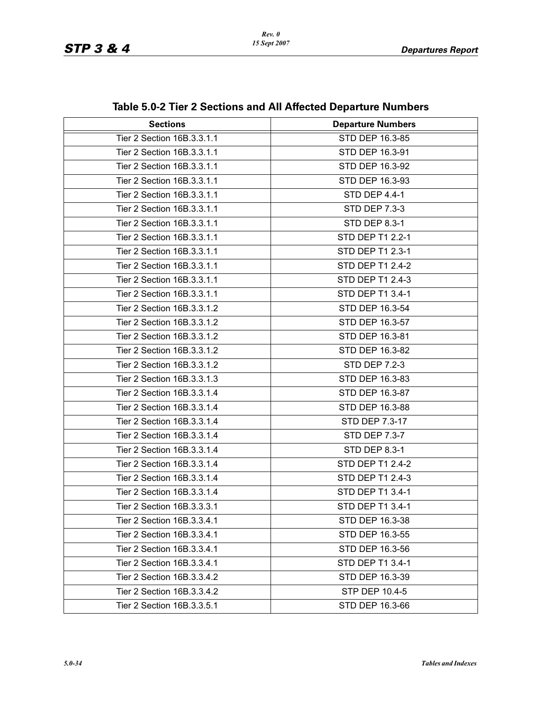| <b>Sections</b>            | <b>Departure Numbers</b> |
|----------------------------|--------------------------|
| Tier 2 Section 16B.3.3.1.1 | STD DEP 16.3-85          |
| Tier 2 Section 16B.3.3.1.1 | STD DEP 16.3-91          |
| Tier 2 Section 16B.3.3.1.1 | STD DEP 16.3-92          |
| Tier 2 Section 16B.3.3.1.1 | STD DEP 16.3-93          |
| Tier 2 Section 16B.3.3.1.1 |                          |
|                            | STD DEP 4.4-1            |
| Tier 2 Section 16B.3.3.1.1 | <b>STD DEP 7.3-3</b>     |
| Tier 2 Section 16B.3.3.1.1 | STD DEP 8.3-1            |
| Tier 2 Section 16B.3.3.1.1 | STD DEP T1 2.2-1         |
| Tier 2 Section 16B.3.3.1.1 | STD DEP T1 2.3-1         |
| Tier 2 Section 16B.3.3.1.1 | STD DEP T1 2.4-2         |
| Tier 2 Section 16B.3.3.1.1 | STD DEP T1 2.4-3         |
| Tier 2 Section 16B.3.3.1.1 | STD DEP T1 3.4-1         |
| Tier 2 Section 16B.3.3.1.2 | STD DEP 16.3-54          |
| Tier 2 Section 16B.3.3.1.2 | STD DEP 16.3-57          |
| Tier 2 Section 16B.3.3.1.2 | STD DEP 16.3-81          |
| Tier 2 Section 16B.3.3.1.2 | STD DEP 16.3-82          |
| Tier 2 Section 16B.3.3.1.2 | STD DEP 7.2-3            |
| Tier 2 Section 16B.3.3.1.3 | STD DEP 16.3-83          |
| Tier 2 Section 16B.3.3.1.4 | STD DEP 16.3-87          |
| Tier 2 Section 16B.3.3.1.4 | STD DEP 16.3-88          |
| Tier 2 Section 16B.3.3.1.4 | STD DEP 7.3-17           |
| Tier 2 Section 16B.3.3.1.4 | STD DEP 7.3-7            |
| Tier 2 Section 16B.3.3.1.4 | STD DEP 8.3-1            |
| Tier 2 Section 16B.3.3.1.4 | STD DEP T1 2.4-2         |
| Tier 2 Section 16B.3.3.1.4 | STD DEP T1 2.4-3         |
| Tier 2 Section 16B.3.3.1.4 | STD DEP T1 3.4-1         |
| Tier 2 Section 16B.3.3.3.1 | STD DEP T1 3.4-1         |
| Tier 2 Section 16B.3.3.4.1 | STD DEP 16.3-38          |
| Tier 2 Section 16B.3.3.4.1 | STD DEP 16.3-55          |
| Tier 2 Section 16B.3.3.4.1 | STD DEP 16.3-56          |
| Tier 2 Section 16B.3.3.4.1 | STD DEP T1 3.4-1         |
| Tier 2 Section 16B.3.3.4.2 | STD DEP 16.3-39          |
| Tier 2 Section 16B.3.3.4.2 | STP DEP 10.4-5           |
| Tier 2 Section 16B.3.3.5.1 | STD DEP 16.3-66          |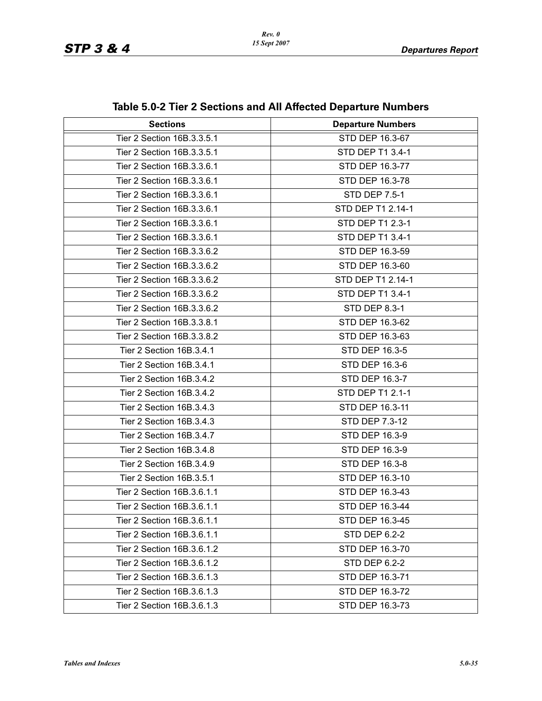| <b>Sections</b>            | <b>Departure Numbers</b> |
|----------------------------|--------------------------|
| Tier 2 Section 16B.3.3.5.1 | STD DEP 16.3-67          |
| Tier 2 Section 16B.3.3.5.1 | STD DEP T1 3.4-1         |
| Tier 2 Section 16B.3.3.6.1 | STD DEP 16.3-77          |
| Tier 2 Section 16B.3.3.6.1 | STD DEP 16.3-78          |
| Tier 2 Section 16B.3.3.6.1 | STD DEP 7.5-1            |
| Tier 2 Section 16B.3.3.6.1 | STD DEP T1 2.14-1        |
| Tier 2 Section 16B.3.3.6.1 | STD DEP T1 2.3-1         |
| Tier 2 Section 16B.3.3.6.1 | STD DEP T1 3.4-1         |
| Tier 2 Section 16B.3.3.6.2 | STD DEP 16.3-59          |
| Tier 2 Section 16B.3.3.6.2 | STD DEP 16.3-60          |
| Tier 2 Section 16B.3.3.6.2 | STD DEP T1 2.14-1        |
| Tier 2 Section 16B.3.3.6.2 | STD DEP T1 3.4-1         |
| Tier 2 Section 16B.3.3.6.2 | STD DEP 8.3-1            |
| Tier 2 Section 16B.3.3.8.1 | STD DEP 16.3-62          |
| Tier 2 Section 16B.3.3.8.2 | STD DEP 16.3-63          |
| Tier 2 Section 16B.3.4.1   | STD DEP 16.3-5           |
| Tier 2 Section 16B.3.4.1   | STD DEP 16.3-6           |
| Tier 2 Section 16B.3.4.2   | STD DEP 16.3-7           |
| Tier 2 Section 16B.3.4.2   | STD DEP T1 2.1-1         |
| Tier 2 Section 16B.3.4.3   | STD DEP 16.3-11          |
| Tier 2 Section 16B.3.4.3   | STD DEP 7.3-12           |
| Tier 2 Section 16B.3.4.7   | STD DEP 16.3-9           |
| Tier 2 Section 16B.3.4.8   | STD DEP 16.3-9           |
| Tier 2 Section 16B.3.4.9   | STD DEP 16.3-8           |
| Tier 2 Section 16B.3.5.1   | STD DEP 16.3-10          |
| Tier 2 Section 16B.3.6.1.1 | STD DEP 16.3-43          |
| Tier 2 Section 16B.3.6.1.1 | STD DEP 16.3-44          |
| Tier 2 Section 16B.3.6.1.1 | STD DEP 16.3-45          |
| Tier 2 Section 16B.3.6.1.1 | STD DEP 6.2-2            |
| Tier 2 Section 16B.3.6.1.2 | STD DEP 16.3-70          |
| Tier 2 Section 16B.3.6.1.2 | <b>STD DEP 6.2-2</b>     |
| Tier 2 Section 16B.3.6.1.3 | STD DEP 16.3-71          |
| Tier 2 Section 16B.3.6.1.3 | STD DEP 16.3-72          |
| Tier 2 Section 16B.3.6.1.3 | STD DEP 16.3-73          |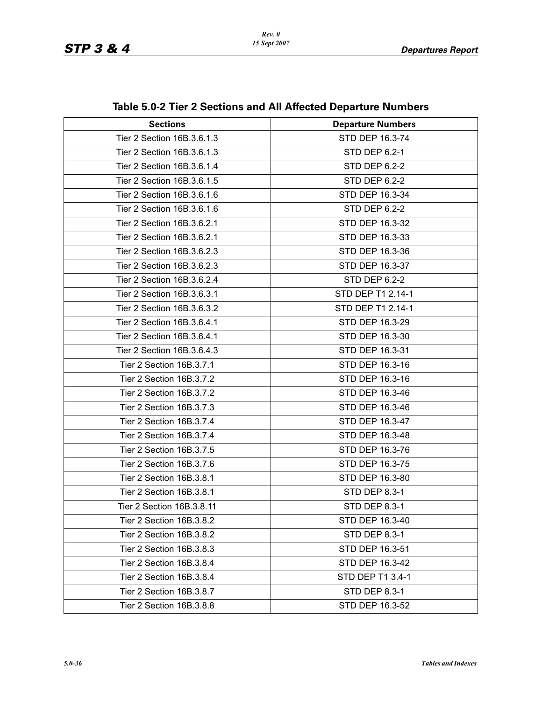| <b>Sections</b>            | <b>Departure Numbers</b> |
|----------------------------|--------------------------|
| Tier 2 Section 16B.3.6.1.3 | STD DEP 16.3-74          |
| Tier 2 Section 16B.3.6.1.3 | STD DEP 6.2-1            |
| Tier 2 Section 16B.3.6.1.4 | STD DEP 6.2-2            |
| Tier 2 Section 16B.3.6.1.5 | STD DEP 6.2-2            |
| Tier 2 Section 16B.3.6.1.6 | STD DEP 16.3-34          |
| Tier 2 Section 16B.3.6.1.6 | <b>STD DEP 6.2-2</b>     |
| Tier 2 Section 16B.3.6.2.1 | STD DEP 16.3-32          |
| Tier 2 Section 16B.3.6.2.1 | STD DEP 16.3-33          |
| Tier 2 Section 16B.3.6.2.3 | STD DEP 16.3-36          |
| Tier 2 Section 16B.3.6.2.3 | STD DEP 16.3-37          |
| Tier 2 Section 16B.3.6.2.4 | <b>STD DEP 6.2-2</b>     |
| Tier 2 Section 16B.3.6.3.1 | STD DEP T1 2.14-1        |
| Tier 2 Section 16B.3.6.3.2 | STD DEP T1 2.14-1        |
| Tier 2 Section 16B.3.6.4.1 | STD DEP 16.3-29          |
| Tier 2 Section 16B.3.6.4.1 | STD DEP 16.3-30          |
| Tier 2 Section 16B.3.6.4.3 | STD DEP 16.3-31          |
| Tier 2 Section 16B.3.7.1   | STD DEP 16.3-16          |
| Tier 2 Section 16B.3.7.2   | STD DEP 16.3-16          |
| Tier 2 Section 16B.3.7.2   | STD DEP 16.3-46          |
| Tier 2 Section 16B.3.7.3   | STD DEP 16.3-46          |
| Tier 2 Section 16B.3.7.4   | STD DEP 16.3-47          |
| Tier 2 Section 16B.3.7.4   | STD DEP 16.3-48          |
| Tier 2 Section 16B.3.7.5   | STD DEP 16.3-76          |
| Tier 2 Section 16B.3.7.6   | STD DEP 16.3-75          |
| Tier 2 Section 16B.3.8.1   | STD DEP 16.3-80          |
| Tier 2 Section 16B.3.8.1   | <b>STD DEP 8.3-1</b>     |
| Tier 2 Section 16B.3.8.11  | <b>STD DEP 8.3-1</b>     |
| Tier 2 Section 16B.3.8.2   | STD DEP 16.3-40          |
| Tier 2 Section 16B.3.8.2   | STD DEP 8.3-1            |
| Tier 2 Section 16B.3.8.3   | STD DEP 16.3-51          |
| Tier 2 Section 16B.3.8.4   | STD DEP 16.3-42          |
| Tier 2 Section 16B.3.8.4   | STD DEP T1 3.4-1         |
| Tier 2 Section 16B.3.8.7   | <b>STD DEP 8.3-1</b>     |
| Tier 2 Section 16B.3.8.8   | STD DEP 16.3-52          |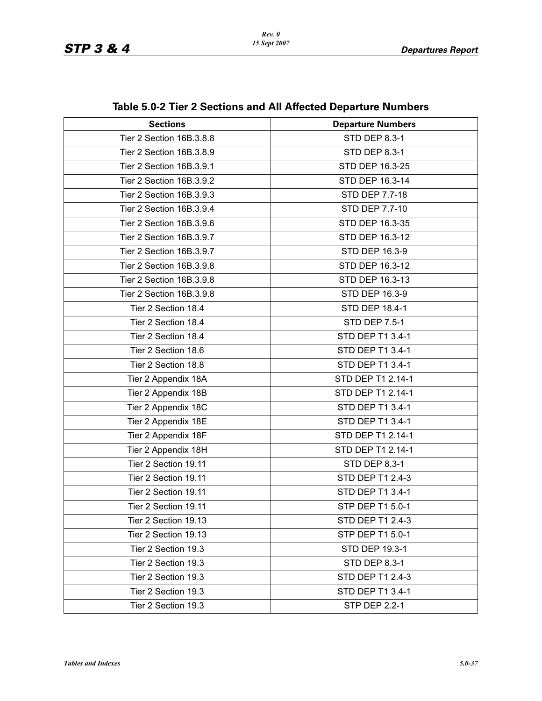| <b>Sections</b>          | .<br><b>Departure Numbers</b> |
|--------------------------|-------------------------------|
| Tier 2 Section 16B.3.8.8 | <b>STD DEP 8.3-1</b>          |
| Tier 2 Section 16B.3.8.9 | <b>STD DEP 8.3-1</b>          |
| Tier 2 Section 16B.3.9.1 | STD DEP 16.3-25               |
| Tier 2 Section 16B.3.9.2 |                               |
|                          | STD DEP 16.3-14               |
| Tier 2 Section 16B.3.9.3 | <b>STD DEP 7.7-18</b>         |
| Tier 2 Section 16B.3.9.4 | <b>STD DEP 7.7-10</b>         |
| Tier 2 Section 16B.3.9.6 | STD DEP 16.3-35               |
| Tier 2 Section 16B.3.9.7 | STD DEP 16.3-12               |
| Tier 2 Section 16B.3.9.7 | STD DEP 16.3-9                |
| Tier 2 Section 16B.3.9.8 | STD DEP 16.3-12               |
| Tier 2 Section 16B.3.9.8 | STD DEP 16.3-13               |
| Tier 2 Section 16B.3.9.8 | <b>STD DEP 16.3-9</b>         |
| Tier 2 Section 18.4      | STD DEP 18.4-1                |
| Tier 2 Section 18.4      | <b>STD DEP 7.5-1</b>          |
| Tier 2 Section 18.4      | STD DEP T1 3.4-1              |
| Tier 2 Section 18.6      | STD DEP T1 3.4-1              |
| Tier 2 Section 18.8      | STD DEP T1 3.4-1              |
| Tier 2 Appendix 18A      | STD DEP T1 2.14-1             |
| Tier 2 Appendix 18B      | STD DEP T1 2.14-1             |
| Tier 2 Appendix 18C      | STD DEP T1 3.4-1              |
| Tier 2 Appendix 18E      | STD DEP T1 3.4-1              |
| Tier 2 Appendix 18F      | STD DEP T1 2.14-1             |
| Tier 2 Appendix 18H      | STD DEP T1 2.14-1             |
| Tier 2 Section 19.11     | <b>STD DEP 8.3-1</b>          |
| Tier 2 Section 19.11     | STD DEP T1 2.4-3              |
| Tier 2 Section 19.11     | STD DEP T1 3.4-1              |
| Tier 2 Section 19.11     | STP DEP T1 5.0-1              |
| Tier 2 Section 19.13     | STD DEP T1 2.4-3              |
| Tier 2 Section 19.13     | STP DEP T1 5.0-1              |
| Tier 2 Section 19.3      | STD DEP 19.3-1                |
| Tier 2 Section 19.3      | <b>STD DEP 8.3-1</b>          |
| Tier 2 Section 19.3      | STD DEP T1 2.4-3              |
| Tier 2 Section 19.3      | STD DEP T1 3.4-1              |
| Tier 2 Section 19.3      | <b>STP DEP 2.2-1</b>          |

### **Table 5.0-2 Tier 2 Sections and All Affected Departure Numbers**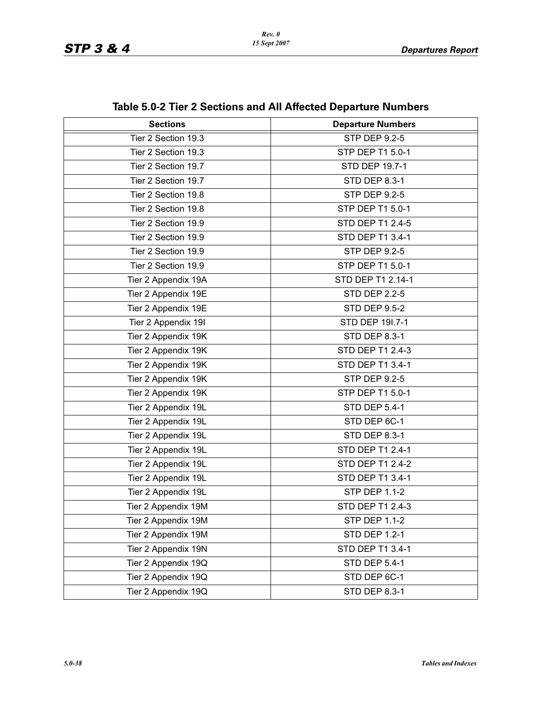| <b>Sections</b>     | <b>Departure Numbers</b> |
|---------------------|--------------------------|
| Tier 2 Section 19.3 | <b>STP DEP 9.2-5</b>     |
| Tier 2 Section 19.3 | STP DEP T1 5.0-1         |
| Tier 2 Section 19.7 | STD DEP 19.7-1           |
| Tier 2 Section 19.7 | <b>STD DEP 8.3-1</b>     |
| Tier 2 Section 19.8 | STP DEP 9.2-5            |
| Tier 2 Section 19.8 | STP DEP T1 5.0-1         |
| Tier 2 Section 19.9 | <b>STD DEP T1 2.4-5</b>  |
| Tier 2 Section 19.9 | STD DEP T1 3.4-1         |
| Tier 2 Section 19.9 | <b>STP DEP 9.2-5</b>     |
| Tier 2 Section 19.9 | STP DEP T1 5.0-1         |
| Tier 2 Appendix 19A | STD DEP T1 2.14-1        |
| Tier 2 Appendix 19E | <b>STD DEP 2.2-5</b>     |
| Tier 2 Appendix 19E | <b>STD DEP 9.5-2</b>     |
| Tier 2 Appendix 19I | STD DEP 191.7-1          |
| Tier 2 Appendix 19K | <b>STD DEP 8.3-1</b>     |
| Tier 2 Appendix 19K | STD DEP T1 2.4-3         |
| Tier 2 Appendix 19K | STD DEP T1 3.4-1         |
| Tier 2 Appendix 19K | STP DEP 9.2-5            |
| Tier 2 Appendix 19K | STP DEP T1 5.0-1         |
| Tier 2 Appendix 19L | <b>STD DEP 5.4-1</b>     |
| Tier 2 Appendix 19L | STD DEP 6C-1             |
| Tier 2 Appendix 19L | <b>STD DEP 8.3-1</b>     |
| Tier 2 Appendix 19L | STD DEP T1 2.4-1         |
| Tier 2 Appendix 19L | STD DEP T1 2.4-2         |
| Tier 2 Appendix 19L | STD DEP T1 3.4-1         |
| Tier 2 Appendix 19L | <b>STP DEP 1.1-2</b>     |
| Tier 2 Appendix 19M | STD DEP T1 2.4-3         |
| Tier 2 Appendix 19M | <b>STP DEP 1.1-2</b>     |
| Tier 2 Appendix 19M | <b>STD DEP 1.2-1</b>     |
| Tier 2 Appendix 19N | STD DEP T1 3.4-1         |
| Tier 2 Appendix 19Q | <b>STD DEP 5.4-1</b>     |
| Tier 2 Appendix 19Q | STD DEP 6C-1             |
| Tier 2 Appendix 19Q | STD DEP 8.3-1            |

### **Table 5.0-2 Tier 2 Sections and All Affected Departure Numbers**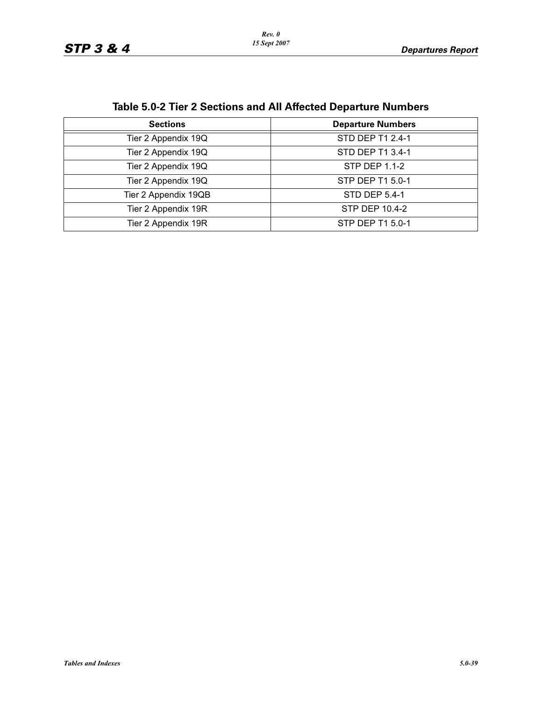|                      | lable 5.0-2 Tier 2 Sections and All Affected Departure Numbers |
|----------------------|----------------------------------------------------------------|
| <b>Sections</b>      | <b>Departure Numbers</b>                                       |
| Tier 2 Appendix 19Q  | STD DEP T1 2.4-1                                               |
| Tier 2 Appendix 19Q  | STD DEP T1 3.4-1                                               |
| Tier 2 Appendix 19Q  | STP DEP 1.1-2                                                  |
| Tier 2 Appendix 19Q  | STP DEP T1 5.0-1                                               |
| Tier 2 Appendix 19QB | STD DEP 5.4-1                                                  |
| Tier 2 Appendix 19R  | STP DEP 10.4-2                                                 |
| Tier 2 Appendix 19R  | STP DEP T1 5.0-1                                               |

**Table 5.0-2 Tier 2 Sections and All Affected Departure Numbers**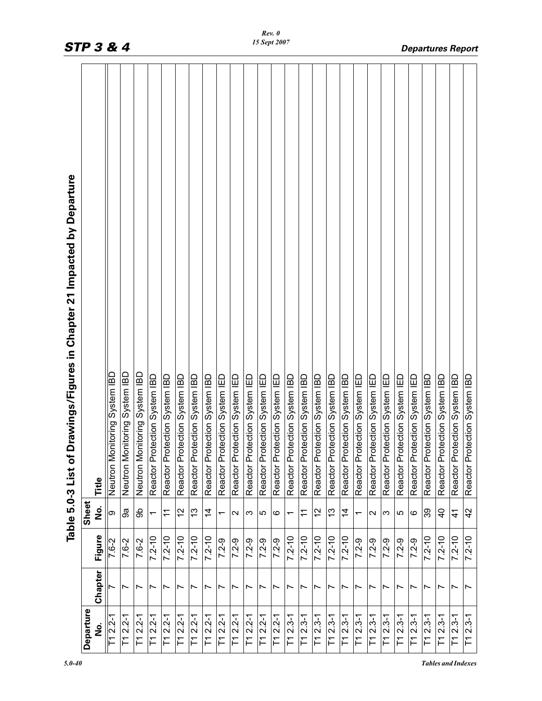| <b>STP 3 &amp; 4</b>                                                     |           |          |                               |                               |                               |                               |                               |                               |                               |                               |                               |                               |                               |                               | 15 Sept 2007                  |                               |                               |                               |                               |                               |                               |                               |                               |                               |                               |                               |                               |                               | <b>Departures Report</b>      |
|--------------------------------------------------------------------------|-----------|----------|-------------------------------|-------------------------------|-------------------------------|-------------------------------|-------------------------------|-------------------------------|-------------------------------|-------------------------------|-------------------------------|-------------------------------|-------------------------------|-------------------------------|-------------------------------|-------------------------------|-------------------------------|-------------------------------|-------------------------------|-------------------------------|-------------------------------|-------------------------------|-------------------------------|-------------------------------|-------------------------------|-------------------------------|-------------------------------|-------------------------------|-------------------------------|
| Table 5.0-3 List of Drawings/Figures in Chapter 21 Impacted by Departure |           | Title    | Neutron Monitoring System IBD | Neutron Monitoring System IBD | Neutron Monitoring System IBD | Reactor Protection System IBD | Reactor Protection System IBD | Reactor Protection System IBD | Reactor Protection System IBD | Reactor Protection System IBD | Reactor Protection System IED | Reactor Protection System IED | Reactor Protection System IED | Reactor Protection System IED | Reactor Protection System IED | Reactor Protection System IBD | Reactor Protection System IBD | Reactor Protection System IBD | Reactor Protection System IBD | Reactor Protection System IBD | Reactor Protection System IED | Reactor Protection System IED | Reactor Protection System IED | Reactor Protection System IED | Reactor Protection System IED | Reactor Protection System IBD | Reactor Protection System IBD | Reactor Protection System IBD | Reactor Protection System IBD |
|                                                                          | Sheet     | <u>ہ</u> | ග                             | 9ã                            | န္တ                           | $\overline{\phantom{0}}$      | $\mathbf{r}$                  | $\tilde{c}$                   | $\frac{3}{2}$                 | $\overline{4}$                | $\overline{\phantom{0}}$      | $\sim$                        | က                             | 5                             | ဖ                             | ↽                             | $\tilde{\tau}$                | $\frac{2}{3}$                 | $\frac{3}{2}$                 | $\overline{4}$                | $\overline{\phantom{0}}$      | N                             | ω                             | 5                             | ဖ                             | 39                            | $\overline{4}$                | $\frac{4}{1}$                 | 42                            |
|                                                                          |           | Figure   | $7 - 6 - 2$                   | 7.6-2                         | 7.6-2                         | $7.2 - 10$                    | $7.2 - 10$                    | $7.2 - 10$                    | $7.2 - 10$                    | $7.2 - 10$                    | $7.2 - 9$                     | $7.2 - 9$                     | $7.2 - 9$                     | $7.2 - 9$                     | $7.2 - 9$                     | $7.2 - 10$                    | $7.2 - 10$                    | $7.2 - 10$                    | $7.2 - 10$                    | $7.2 - 10$                    | $7.2 - 9$                     | $7.2 - 9$                     | $7.2 - 9$                     | $7.2 - 9$                     | $7.2 - 9$                     | $7.2 - 10$                    | $7.2 - 10$                    | $7.2 - 10$                    | $7.2 - 10$                    |
|                                                                          |           | Chapter  |                               | ∼                             | ∼                             | Ľ                             | ∼                             | Ľ                             | ∼                             |                               | ∼                             |                               |                               | Ľ                             | Ľ                             |                               |                               | ∼                             |                               | ∼                             |                               | ∼                             | ∼                             | ∼                             |                               | r                             | Ľ                             | Ľ                             | Ľ                             |
|                                                                          | Departure | فا<br>N  | $T12.2 - 1$                   | $T12.2 - 1$                   | $T12.2 - 1$                   | $T12.2 - 1$                   | $T12.2 - 1$                   | $T12.2 - 1$                   | $T1 2.2 - 1$                  | $T12.2 - 1$                   | $2.2 - 1$<br>$\Gamma$         | $T12.2 - 1$                   | $\overline{71}$ 2.2-1         | $T12.2 - 1$                   | $T12.2 - 1$                   | $T12.3-1$                     | $T12.3-1$                     | $T12.3-1$                     | $T12.3-1$                     | $T12.3-1$                     | $T12.3-1$                     | $2.3 - 1$<br>F                | $T12.3-1$                     | $2.3 - 1$<br>F                | $T12.3-1$                     | $T12.3-1$                     | $T1 2.3-1$                    | $T12.3-1$                     | $2.3 - 1$<br>$\Gamma$         |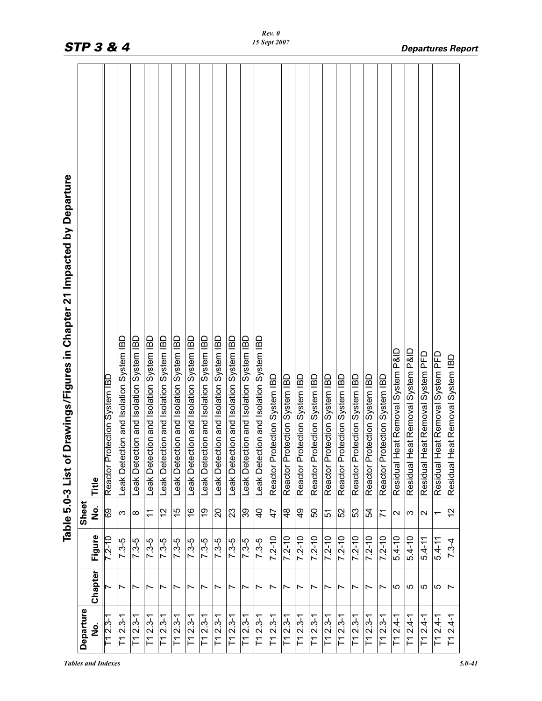| Departure                   |                          |            | Sheet                    | Drawings/Figures in Chapter 21 Impacted by Departure<br>Table 5.0-3 List of |
|-----------------------------|--------------------------|------------|--------------------------|-----------------------------------------------------------------------------|
| ف<br>N                      | Chapter                  | Figure     | ف<br>S                   | Title                                                                       |
| $T12.3-1$                   |                          | $7.2 - 10$ | 69                       | Reactor Protection System IBD                                               |
| $T12.3-1$                   | $\overline{ }$           | $7.3 - 5$  | S                        | Leak Detection and Isolation System IBD                                     |
| $T12.3-1$                   | Ľ                        | $7.3-5$    | ∞                        | Leak Detection and Isolation System IBD                                     |
| $T12.3-1$                   | $\overline{ }$           | $7.3 - 5$  | $\tilde{\tau}$           | Leak Detection and Isolation System IBD                                     |
| $T12.3-1$                   | $\overline{ }$           | $7.3 - 5$  | 12                       | Leak Detection and Isolation System IBD                                     |
| $T12.3-1$                   | $\overline{ }$           | $7.3 - 5$  | 15                       | Leak Detection and Isolation System IBD                                     |
| $T12.3-1$                   | ∼                        | $7.3 - 5$  | $\frac{6}{1}$            | Leak Detection and Isolation System IBD                                     |
| $T12.3-1$                   | $\overline{ }$           | $7.3 - 5$  | ი<br>ს                   | Leak Detection and Isolation System IBD                                     |
| $2.3 - 1$<br>F              | $\overline{\phantom{0}}$ | $7.3 - 5$  | $\Omega$                 | Leak Detection and Isolation System IBD                                     |
| $T12.3-1$                   | $\overline{\phantom{0}}$ | $7.3 - 5$  | 23                       | Leak Detection and Isolation System IBD                                     |
| $T12.3-1$                   | $\overline{\phantom{0}}$ | $7.3 - 5$  | 39                       | Leak Detection and Isolation System IBD                                     |
| $T12.3-1$                   | $\overline{ }$           | $7.3-5$    | $\frac{1}{4}$            | Leak Detection and Isolation System IBD                                     |
| $T12.3-1$                   | $\overline{\phantom{0}}$ | $7.2 - 10$ | $\ddot{4}$               | Reactor Protection System IBD                                               |
| $T12.3-1$                   | Ľ                        | $7.2 - 10$ | 48                       | Reactor Protection System IBD                                               |
| $T12.3-1$                   | $\overline{\phantom{0}}$ | $7.2 - 10$ | QÞ                       | Reactor Protection System IBD                                               |
| $T12.3-1$                   | $\overline{ }$           | $7.2 - 10$ | 50                       | Reactor Protection System IBD                                               |
| $T1 2.3-1$                  | $\overline{ }$           | $7.2 - 10$ | 51                       | Reactor Protection System IBD                                               |
| $T12.3-1$                   | Ľ                        | $7.2 - 10$ | 52                       | Reactor Protection System IBD                                               |
| $T12.3-1$                   | Ľ                        | $7.2 - 10$ | S3                       | Reactor Protection System IBD                                               |
| $T12.3-1$                   | Ľ                        | $7.2 - 10$ | 54                       | Reactor Protection System IBD                                               |
| $T12.3-1$                   | Ľ                        | $7.2 - 10$ | $\overline{7}$           | Reactor Protection System IBD                                               |
| $T12.4-1$                   | 5                        | $5.4 - 10$ | $\sim$                   | Residual Heat Removal System P&ID                                           |
| $T1 2.4 - 1$                | 5                        | $5.4 - 10$ | က                        | Residual Heat Removal System P&ID                                           |
| $T12.4-1$                   | 5                        | $5.4 - 11$ | $\sim$                   | Residual Heat Removal System PFD                                            |
| $T1 2.4 - 1$                | 5                        | $5.4 - 11$ | $\overline{\phantom{0}}$ | Residual Heat Removal System PFD                                            |
| $2.4 - 1$<br>$\overline{F}$ | $\overline{ }$           | $7.3-4$    | 57                       | Residual Heat Removal System IBD                                            |
|                             |                          |            |                          |                                                                             |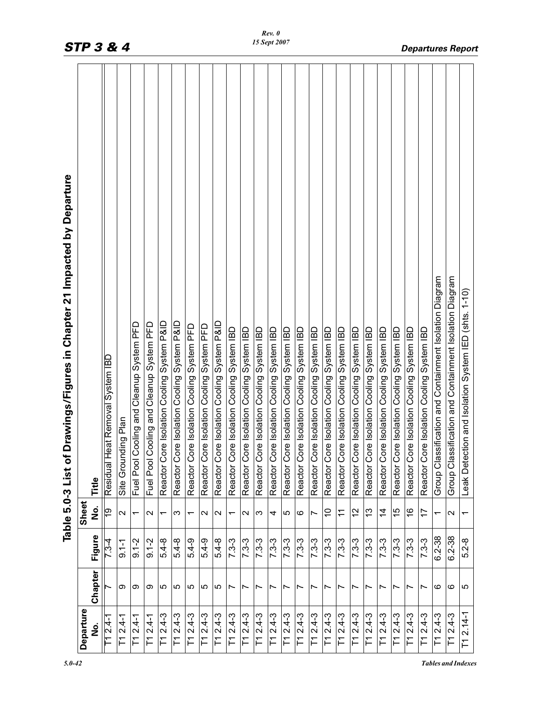|                                       |         |            |                          | Drawings/Figures in Chapter 21 Impacted by Departure<br>Table 5.0-3 List of |
|---------------------------------------|---------|------------|--------------------------|-----------------------------------------------------------------------------|
| Departure                             |         |            | Sheet                    |                                                                             |
| <u>ہ</u><br>2                         | Chapter | Figure     | o<br>No                  | Title                                                                       |
| $T12.4 - 1$                           |         | 7.34       | 61                       | leat Removal System IBD<br>Residual H                                       |
| $2.4 - 1$<br>Ε                        | တ       | $9.1 - 1$  | $\sim$                   | nding Plan<br>Site Grour                                                    |
| $T12.4-1$                             | တ       | $9.1 - 2$  | $\overline{\phantom{0}}$ | Cooling and Cleanup System PFD<br>Fuel Pool                                 |
| $2.4 - 1$<br>门                        | တ       | $9.1 - 2$  | $\sim$                   | Cooling and Cleanup System PFD<br>Fuel Pool                                 |
| $2.4 - 3$<br>F                        | 5       | $5.4 - 8$  | $\overline{\phantom{0}}$ | ore Isolation Cooling System P&ID<br>Reactor C                              |
| $2.4 - 3$<br>下                        | ပ       | $5.4 - 8$  | က                        | Reactor Core Isolation Cooling System P&ID                                  |
| $2.4 - 3$<br>F                        | 5       | $5.4 - 9$  | $\overline{\phantom{0}}$ | Reactor Core Isolation Cooling System PFD                                   |
| $2.4 - 3$<br>下                        | ro      | $5.4 - 9$  | $\sim$                   | Reactor Core Isolation Cooling System PFD                                   |
| $2.4 - 3$<br>F                        | 5       | $5.4 - 8$  | $\mathbf{\Omega}$        | Reactor Core Isolation Cooling System P&ID                                  |
| $2.4 - 3$<br>下                        | Ľ       | $7.3 - 3$  | $\overline{\phantom{0}}$ | Reactor Core Isolation Cooling System IBD                                   |
| $T12.4-3$                             | Ľ       | $7.3 - 3$  | $\sim$                   | ore Isolation Cooling System IBD<br>Reactor C                               |
| $2.4 - 3$<br>$\overline{\Gamma}$      | r       | $7.3 - 3$  | S                        | ore Isolation Cooling System IBD<br>Reactor Co                              |
| $T12.4-3$                             | Ľ       | $7.3 - 3$  | 4                        | Reactor Core Isolation Cooling System IBD                                   |
| $2.4 - 3$<br>$\overline{\phantom{0}}$ | Ľ       | $7.3 - 3$  | 5                        | Reactor Core Isolation Cooling System IBD                                   |
| $2.4 - 3$<br>F                        | Ľ       | $7.3 - 3$  | ဖ                        | Reactor Core Isolation Cooling System IBD                                   |
| $T12.4-3$                             | Ľ       | $7.3 - 3$  | Z                        | Reactor Core Isolation Cooling System IBD                                   |
| $T12.4-3$                             | Ľ       | $7.3 - 3$  | S                        | Reactor Core Isolation Cooling System IBD                                   |
| $2.4 - 3$<br>F1                       | Ľ       | $7.3 - 3$  | $\tilde{t}$              | Reactor Core Isolation Cooling System IBD                                   |
| $2.4 - 3$<br>F                        | Ľ       | $7.3 - 3$  | 57                       | Reactor Core Isolation Cooling System IBD                                   |
| $T12.4-3$                             | r       | $7.3 - 3$  | 3                        | Reactor Core Isolation Cooling System IBD                                   |
| $T12.4-3$                             | Ľ       | $7.3 - 3$  | $\overline{4}$           | Reactor Core Isolation Cooling System IBD                                   |
| $T12.4-3$                             | Ľ       | $7.3 - 3$  | 15                       | Reactor Core Isolation Cooling System IBD                                   |
| $T12.4-3$                             | Ľ       | $7.3 - 3$  | $\frac{8}{1}$            | Reactor Core Isolation Cooling System IBD                                   |
| $T12.4-3$                             | ∼       | $7.3 - 3$  | 17                       | ore Isolation Cooling System IBD<br>Reactor Co                              |
| $T12.4-3$                             | ဖ       | $6.2 - 38$ | $\overline{\phantom{0}}$ | ssification and Containment Isolation Diagram<br>Group Clas                 |
| $T12.4-3$                             | ဖ       | $6.2 - 38$ | $\mathbf{\Omega}$        | ssification and Containment Isolation Diagram<br>Group Cla                  |
| $2.14 - 1$<br>$\Gamma$                | S       | $5.2 - 8$  |                          | Leak Detection and Isolation System IED (shts. 1-10)                        |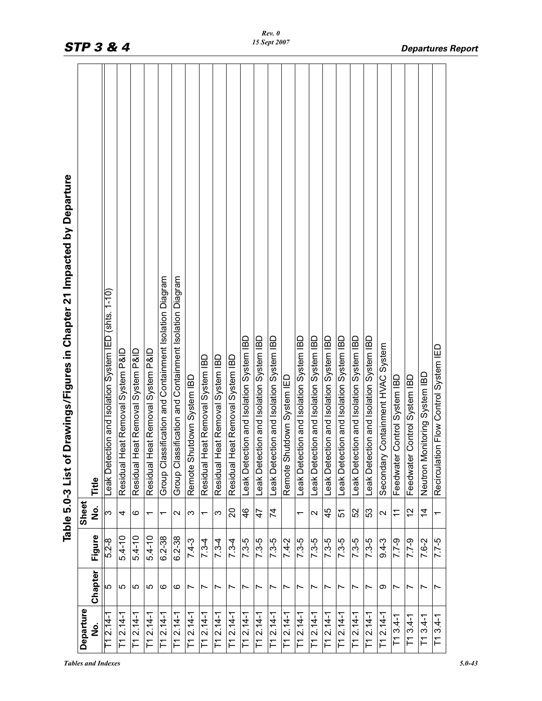|                                        |                |            |                          | Drawings/Figures in Chapter 21 Impacted by Departure<br>Table 5.0-3 List of |
|----------------------------------------|----------------|------------|--------------------------|-----------------------------------------------------------------------------|
| Departure<br>ف<br>S                    | Chapter        | Figure     | Sheet<br>ف<br>S          | Title                                                                       |
| $T12.14-$                              | 5              | $5.2 - 8$  | က                        | tion and Isolation System IED (shts. 1-10)<br>Leak Dete                     |
| T1 2.14-1                              | မ              | $5.4 - 10$ | 4                        | eat Removal System P&ID<br>Residual H                                       |
| $T12.14-1$                             | ပ              | $5.4 - 10$ | ဖ                        | leat Removal System P&ID<br>Residual H                                      |
| $T1 2.14-1$                            | 5              | $5.4 - 10$ | $\overline{\phantom{0}}$ | leat Removal System P&ID<br>Residual H                                      |
| $\overline{1}12.14 - 1$                | ဖ              | $6.2 - 38$ | ᠇                        | Group Classification and Containment Isolation Diagram                      |
| $T1 2.14-1$                            | ဖ              | $6.2 - 38$ | N                        | Group Classification and Containment Isolation Diagram                      |
| $\overline{11}$ 2.14-1                 | Ľ              | $7.4 - 3$  | S                        | lutdown System IBD<br>Remote Sh                                             |
| $\overline{1}$ 12.14-1                 | Ľ              | $7.3 - 4$  | $\overline{\phantom{0}}$ | leat Removal System IBD<br>Residual H                                       |
| $T1 2.14-1$                            |                | $7.3 - 4$  | S                        | leat Removal System IBD<br>Residual H                                       |
| $T1 2.14-1$                            | Ľ              | $7.3 - 4$  | $\Omega$                 | leat Removal System IBD<br>Residual H                                       |
| $T1 2.14-1$                            | Ľ              | $7.3 - 5$  | $\frac{6}{4}$            | Leak Detection and Isolation System IBD                                     |
| $T1 2.14-1$                            | Ľ              | $7.3 - 5$  | 47                       | Leak Detection and Isolation System IBD                                     |
| $\overline{1}$ 12.14-1                 | $\overline{ }$ | $7.3 - 5$  | $\overline{7}$           | Leak Detection and Isolation System IBD                                     |
| $T1 2.14 - 1$                          | Ľ              | $7.4 - 2$  |                          | Remote Shutdown System IED                                                  |
| $\overline{1}$ 12.14-1                 | Ľ              | $7.3 - 5$  | ᠇                        | Leak Detection and Isolation System IBD                                     |
| $T1 2.14 - 1$                          | Ľ              | $7.3 - 5$  | $\mathbf{\Omega}$        | Leak Detection and Isolation System IBD                                     |
| $T1 2.14 - 1$                          | Ľ              | $7.3 - 5$  | 45                       | Leak Detection and Isolation System IBD                                     |
| $\overline{11}$ 2.14-1                 | ∼              | $7.3 - 5$  | 51                       | Leak Detection and Isolation System IBD                                     |
| $T1 2.14-1$                            |                | $7.3 - 5$  | 52                       | Leak Detection and Isolation System IBD                                     |
| $T1 2.14 - 1$                          | Ľ              | $7.3 - 5$  | 53                       | Leak Detection and Isolation System IBD                                     |
| $T1 2.14-$                             | თ              | $9.4 - 3$  | $\mathbf{\sim}$          | Containment HVAC System<br>Secondary                                        |
| $T13.4-1$                              | ∼              | $7.7 - 9$  | $\widetilde{\tau}$       | Control System IBD<br>Feedwater                                             |
| $\sqrt{113.4}$ -1                      | $\overline{ }$ | $6 - 2.7$  | $\frac{2}{3}$            | Control System IBD<br>Feedwater                                             |
| $T13.4-1$                              | Ľ              | 7.6-2      | $\overline{4}$           | onitoring System IBD<br>Neutron M                                           |
| $3.4 - 1$<br>$\overline{\phantom{0}1}$ | $\overline{ }$ | $7.7-5$    | ᠇                        | on Flow Control System IED<br>Recirculati                                   |
|                                        |                |            |                          |                                                                             |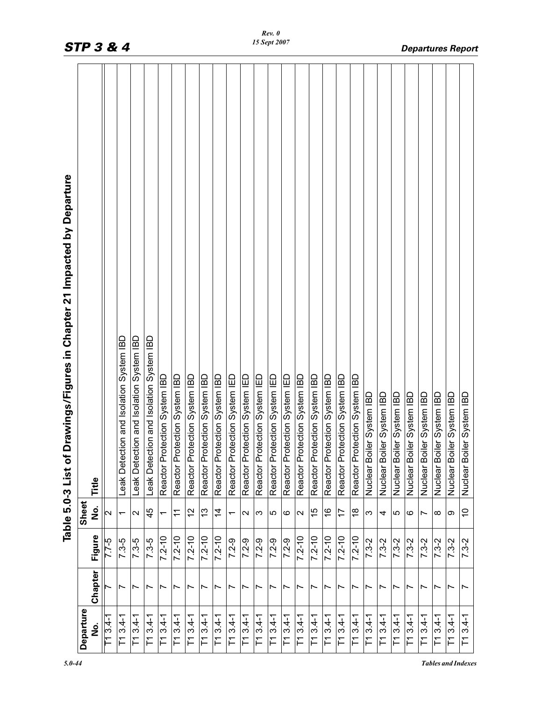|                                                                              |           |         |                         | <b>STP 3 &amp; 4</b>                       |                                            |                                            |                               |                                   |                               |                               |                               |                               |                                   | 15 Sept 2007                      |                                   |                               |                               |                               |                                   |                               |                               |                           |                           |                           |                           |                           |                           |                           | <b>Departures Report</b>  |
|------------------------------------------------------------------------------|-----------|---------|-------------------------|--------------------------------------------|--------------------------------------------|--------------------------------------------|-------------------------------|-----------------------------------|-------------------------------|-------------------------------|-------------------------------|-------------------------------|-----------------------------------|-----------------------------------|-----------------------------------|-------------------------------|-------------------------------|-------------------------------|-----------------------------------|-------------------------------|-------------------------------|---------------------------|---------------------------|---------------------------|---------------------------|---------------------------|---------------------------|---------------------------|---------------------------|
| wings/Figures in Chapter 21 Impacted by Departure<br>Table 5.0-3 List of Dra |           | Title   |                         | and Isolation System IBD<br>Leak Detection | and Isolation System IBD<br>Leak Detection | and Isolation System IBD<br>Leak Detection | Reactor Protection System IBD | ion System IBD<br>Reactor Protect | Reactor Protection System IBD | Reactor Protection System IBD | Reactor Protection System IBD | Reactor Protection System IED | ion System IED<br>Reactor Protect | ion System IED<br>Reactor Protect | ion System IED<br>Reactor Protect | Reactor Protection System IED | Reactor Protection System IBD | Reactor Protection System IBD | ion System IBD<br>Reactor Protect | Reactor Protection System IBD | Reactor Protection System IBD | Nuclear Boiler System IBD | Nuclear Boiler System IBD | Nuclear Boiler System IBD | Nuclear Boiler System IBD | Nuclear Boiler System IBD | Nuclear Boiler System IBD | Nuclear Boiler System IBD | Nuclear Boiler System IBL |
|                                                                              | Sheet     | е<br>Р  | $\overline{\mathsf{c}}$ | ᡪ                                          | $\mathbf{\Omega}$                          | 45                                         |                               | $\widetilde{\tau}$                | 57                            | 13                            | $\dot{4}$                     | $\overline{\phantom{0}}$      | $\sim$                            | S                                 | Ю                                 | G                             | $\sim$                        | 15                            | $\frac{8}{1}$                     | 17                            | $\frac{8}{1}$                 | S                         | 4                         | Ю                         | ဖ                         | $\overline{\phantom{0}}$  | $^\infty$                 | တ                         | $\widetilde{\phantom{a}}$ |
|                                                                              |           | Figure  | 7.7-5                   | 7.3-5                                      | $7.3 - 5$                                  | $7.3 - 5$                                  | $7.2 - 10$                    | $7.2 - 10$                        | $7.2 - 10$                    | $7.2 - 10$                    | $7.2 - 10$                    | $7.2 - 9$                     | $7.2 - 9$                         | $7.2 - 9$                         | $7.2 - 9$                         | $7.2 - 9$                     | $7.2 - 10$                    | $7.2 - 10$                    | $7.2 - 10$                        | $7.2 - 10$                    | $7.2 - 10$                    | $7.3 - 2$                 | $7.3 - 2$                 | $7.3 - 2$                 | $7.3 - 2$                 | $7.3 - 2$                 | $7.3 - 2$                 | $7.3 - 2$                 | $7.3 - 2$                 |
|                                                                              |           | Chapter |                         | Ľ                                          | Ľ                                          | Ľ                                          | Ľ                             | $\overline{\phantom{0}}$          | $\overline{\phantom{0}}$      | Ľ                             | Ľ                             | ∼                             | $\overline{\phantom{0}}$          | Ľ                                 | ∼                                 | Ľ                             | Ľ                             | Ľ                             | Ľ                                 | Ľ                             | $\overline{\phantom{0}}$      | Ľ                         | Ľ                         | ∼                         | Ľ                         | Ľ                         | ∼                         | Ľ                         | Ľ                         |
|                                                                              | Departure | ف<br>S  | $T13.4-1$               | $\overline{11}3.4 - 1$                     | $T13.4-1$                                  | $\overline{1}13.4 - 1$                     | $\overline{11}3.4 - 1$        | $T13.4-1$                         | $T13.4-1$                     | $\overline{1}13.4 - 1$        | $\overline{1}13.4 - 1$        | $\overline{1}13.4 - 1$        | $T13.4-1$                         | $T13.4-1$                         | $T13.4-1$                         | $\overline{11}3.4 - 1$        | $T13.4-1$                     | $\overline{1}13.4 - 1$        | $T13.4-1$                         | $T13.4-1$                     | $\overline{1}13.4 - 1$        | $\overline{113.4-1}$      | $T13.4-1$                 | $T13.4-1$                 | $T13.4-1$                 | $T13.4-1$                 | $T13.4-1$                 | $\overline{1}13.4 - 1$    | $T13.4-1$                 |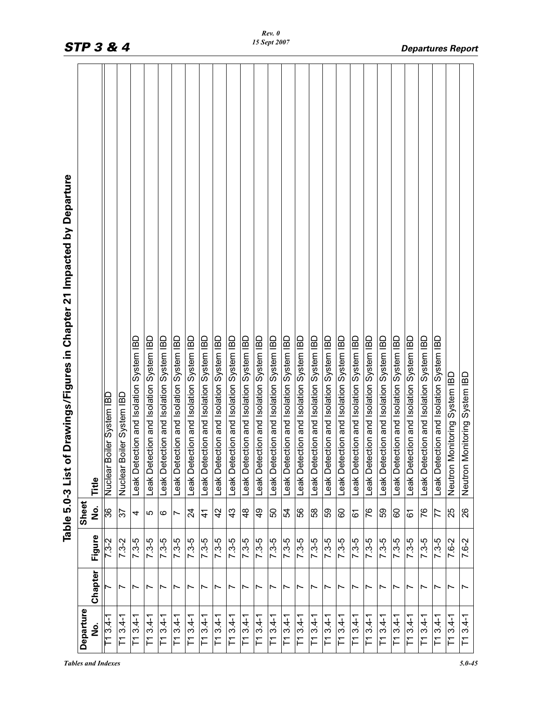|                                      |                          |           |                 | Drawings/Figures in Chapter 21 Impacted by Departure<br>Table 5.0-3 List of        |
|--------------------------------------|--------------------------|-----------|-----------------|------------------------------------------------------------------------------------|
| Departure<br>ە<br>N                  | Chapter                  | Figure    | Sheet<br>ف<br>Z | Title                                                                              |
| $T13.4-1$                            |                          | $7.3 - 2$ | 36              | iler System IBD<br>Nuclear Boi                                                     |
| $3.4 - 1$<br>下                       | $\overline{ }$           | $7.3 - 2$ | 57              | Nuclear Boiler System IBD                                                          |
| $3.4 - 1$<br>F                       | $\overline{\phantom{0}}$ | $7.3 - 5$ | 4               | Leak Detection and Isolation System IBD                                            |
| $3.4 - 1$<br>门                       | Ľ                        | $7.3 - 5$ | 5               | Leak Detection and Isolation System IBD                                            |
| $T13.4-1$                            | $\overline{ }$           | $7.3 - 5$ | ဖ               | Leak Detection and Isolation System IBD                                            |
| $3.4 - 1$<br>下                       | $\overline{\phantom{0}}$ | $7.3 - 5$ | Ľ               | Leak Detection and Isolation System IBD                                            |
| $T13.4-1$                            | Ľ                        | $7.3 - 5$ | $\overline{2}$  | Leak Detection and Isolation System IBD                                            |
| $3.4 - 1$<br>F                       | Ľ                        | $7.3 - 5$ | $\frac{4}{3}$   | Leak Detection and Isolation System IBD                                            |
| $3.4 - 1$<br>F                       | Ľ                        | $7.3 - 5$ | $\overline{4}$  | Leak Detection and Isolation System IBD                                            |
| $3.4 - 1$<br>F                       | $\overline{\phantom{0}}$ | $7.3 - 5$ | 43              | Leak Detection and Isolation System IBD                                            |
| $3.4 - 1$<br>F                       | $\overline{ }$           | $7.3 - 5$ | $\frac{8}{4}$   | Leak Detection and Isolation System IBD                                            |
| $3.4 - 1$<br>$\overline{\Gamma}$     | $\overline{ }$           | $7.3 - 5$ | $\frac{9}{4}$   | Leak Detection and Isolation System IBD                                            |
| $T13.4-1$                            | $\overline{\phantom{0}}$ | $7.3 - 5$ | 50              | Leak Detection and Isolation System IBD                                            |
| $3.4 - 1$<br>F                       | $\overline{ }$           | $7.3 - 5$ | 54              | Leak Detection and Isolation System IBD                                            |
| $3.4 - 1$<br>F                       | Ľ                        | $7.3 - 5$ | 99              | Leak Detection and Isolation System IBD                                            |
| $3.4 - 1$<br>F                       | Ľ                        | 7.3-5     | 58              | Leak Detection and Isolation System IBD<br>Leak Detection and Isolation System IBD |
| $3.4 - 1$<br>$\overline{\Gamma}$     | Ľ                        | $7.3 - 5$ | 59              |                                                                                    |
| $3.4 - 1$<br>F                       | Ľ                        | $7.3 - 5$ | 60              | Leak Detection and Isolation System IBD                                            |
| $3.4 - 1$<br>盲                       | $\overline{\phantom{0}}$ | $7.3 - 5$ | 61              | Leak Detection and Isolation System IBD                                            |
| $T13.4-1$                            | Ľ                        | $7.3 - 5$ | 76              | Leak Detection and Isolation System IBD                                            |
| $\overline{1}13.4 - 1$               | Ľ                        | $7.3 - 5$ | 59              | Leak Detection and Isolation System IBD                                            |
| $\overline{1}13.4 - 1$               | Ľ                        | $7.3 - 5$ | 60              | Leak Detection and Isolation System IBD                                            |
| $3.4 - 1$<br>$\overline{\mathsf{L}}$ | $\overline{ }$           | $7.3 - 5$ | 61              | Leak Detection and Isolation System IBD                                            |
| $T13.4-1$                            | Ľ                        | $7.3 - 5$ | 76              | Leak Detection and Isolation System IBD                                            |
| $\overline{113.4-1}$                 | Ľ                        | $7.3 - 5$ | 77              | Leak Detection and Isolation System IBD                                            |
| $T13.4-1$                            | Ľ                        | 7.6-2     | 25              | Neutron Monitoring System IBD                                                      |
| $3.4 - 1$<br>$\overline{1}$          | $\overline{ }$           | $7.6 - 2$ | 26              | Neutron Monitoring System IBD                                                      |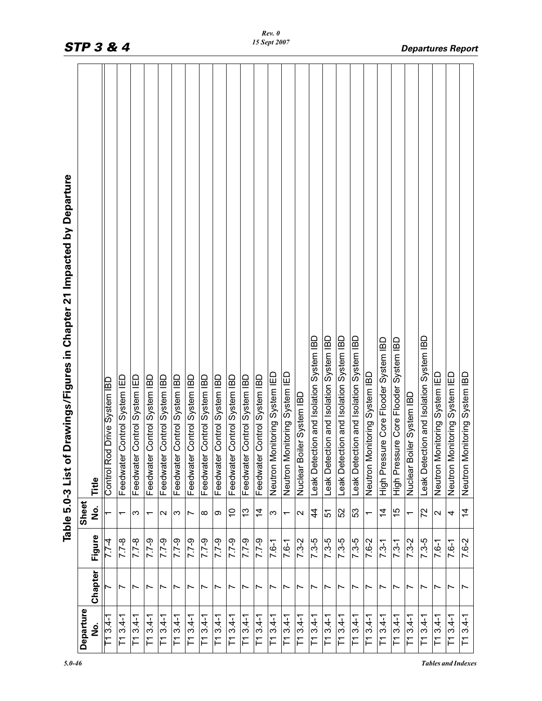| Departure                             |                          |           | Sheet                    | Drawings/Figures in Chapter 21 Impacted by Departure<br>Table 5.0-3 List of |
|---------------------------------------|--------------------------|-----------|--------------------------|-----------------------------------------------------------------------------|
| ف<br>2                                | Chapter                  | Figure    | ف<br>Z                   | Title                                                                       |
| $T13.4-1$                             |                          | $7.7-4$   |                          | Control Rod Drive System IBD                                                |
| $3.4 - 1$<br>$\overline{\Gamma}$      | $\overline{ }$           | $7.7 - 8$ | $\overline{\phantom{0}}$ | Control System IED<br>Feedwater                                             |
| $T13.4-1$                             | $\overline{\phantom{0}}$ | $7.7 - 8$ | S                        | Control System IED<br>Feedwater                                             |
| $3.4 - 1$<br>T1                       | Ľ                        | $7.7 - 9$ | $\overline{\phantom{0}}$ | Control System IBD<br>Feedwater                                             |
| $T13.4-1$                             | Ľ                        | $7.7 - 9$ | $\sim$                   | Control System IBD<br>Feedwater                                             |
| $3.4 - 1$<br>$\overline{\Gamma}$      | $\overline{ }$           | $7.7 - 9$ | S                        | Control System IBD<br>Feedwater                                             |
| $T13.4-1$                             | Ľ                        | $7.7 - 9$ | Ľ                        | Control System IBD<br>Feedwater                                             |
| $3.4 - 1$<br>F                        | Ľ                        | $7.7 - 9$ | $\infty$                 | Control System IBD<br>Feedwater                                             |
| $T13.4-1$                             | $\overline{ }$           | $7.7 - 9$ | თ                        | Control System IBD<br>Feedwater                                             |
| $3.4 - 1$<br>$\overline{\phantom{0}}$ | $\overline{\phantom{0}}$ | $7.7 - 9$ | S                        | Control System IBD<br>Feedwater                                             |
| $T13.4-1$                             | Ľ                        | $7.7 - 9$ | 13                       | Control System IBD<br>Feedwater                                             |
| $T13.4-1$                             | $\overline{ }$           | $7.7 - 9$ | $\dot{4}$                | Control System IBD<br>Feedwater                                             |
| $T13.4-1$                             | $\overline{\phantom{0}}$ | $7.6 - 1$ | ω                        | Neutron Monitoring System IED                                               |
| $3.4 - 1$<br>$\overline{\Gamma}$      | $\overline{ }$           | $7.6 - 1$ | $\overline{\phantom{0}}$ | Neutron Monitoring System IED                                               |
| $T13.4-1$                             | $\overline{ }$           | $7.3 - 2$ | $\mathbf{\Omega}$        | Nuclear Boiler System IBD                                                   |
| $\overline{11}$ 3.4-1                 | ∼                        | $7.3 - 5$ | 4                        | Leak Detection and Isolation System IBD                                     |
| $T13.4-1$                             | $\overline{ }$           | $7.3 - 5$ | 51                       | Leak Detection and Isolation System IBD                                     |
| $T13.4-1$                             | $\overline{ }$           | $7.3 - 5$ | 52                       | Leak Detection and Isolation System IBD                                     |
| $T13.4-1$                             | $\overline{\phantom{0}}$ | $7.3 - 5$ | 53                       | Leak Detection and Isolation System IBD                                     |
| $T13.4-1$                             | $\overline{ }$           | 7.6-2     | $\overline{ }$           | Neutron Monitoring System IBD                                               |
| $T13.4-1$                             | Ľ                        | $7.3 - 1$ | $\overline{4}$           | High Pressure Core Flooder System IBD                                       |
| $3.4 - 1$<br>Ľ                        | Ľ                        | $7.3 - 1$ | 15                       | ure Core Flooder System IBD<br>High Pressi                                  |
| $3.4 - 1$<br>F                        | Ľ                        | $7.3 - 2$ | $\overline{ }$           | Nuclear Boiler System IBD                                                   |
| $T13.4-1$                             | Ľ                        | $7.3 - 5$ | 72                       | Leak Detection and Isolation System IBD                                     |
| $T13.4-1$                             | Ľ                        | $7.6 - 1$ | $\sim$                   | Neutron Monitoring System IED                                               |
| $T13.4-1$                             | Ľ                        | $7.6 - 1$ | 4                        | Neutron Monitoring System IED                                               |
| $3.4 - 1$<br>$\Gamma$                 | $\overline{\phantom{0}}$ | $7.6 - 2$ | $\dot{4}$                | Neutron Monitoring System IBD                                               |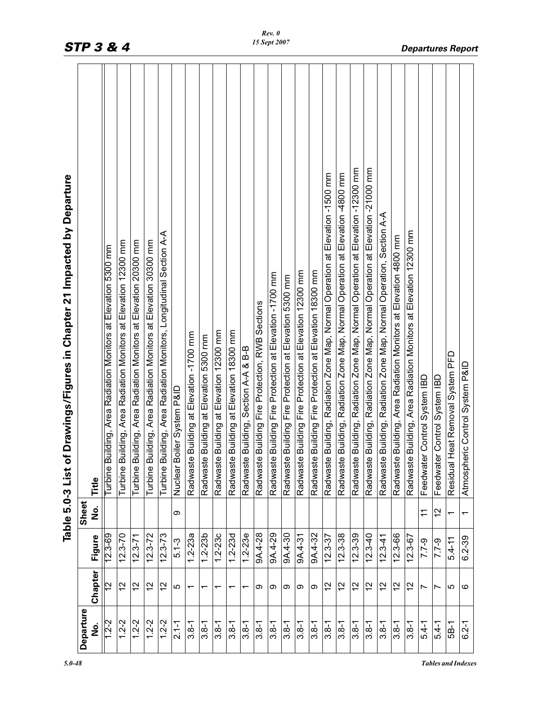| Departure |                |             | Sheet                   | Table 5.0-3 List of Drawings/Figures in Chapter 21 Impacted by Departure       |
|-----------|----------------|-------------|-------------------------|--------------------------------------------------------------------------------|
| غ<br>N    | Chapter        | Figure      | فع<br>2                 | Title                                                                          |
| $1.2 - 2$ | 2              | 12.3-69     |                         | Turbine Building, Area Radiation Monitors at Elevation 5300 mm                 |
| $1.2 - 2$ | $\frac{2}{3}$  | $12.3 - 70$ |                         | Turbine Building, Area Radiation Monitors at Elevation 12300 mm                |
| $1.2 - 2$ | $\tilde{c}$    | $12.3 - 71$ |                         | Turbine Building, Area Radiation Monitors at Elevation 20300 mm                |
| $1.2 - 2$ | $\frac{2}{3}$  | $12.3 - 72$ |                         | Turbine Building, Area Radiation Monitors at Elevation 30300 mm                |
| $1.2 - 2$ | $\overline{c}$ | $12.3 - 73$ |                         | Turbine Building, Area Radiation Monitors, Longitudinal Section A-A            |
| $2.1 - 1$ | LO             | $5.1 - 3$   | ග                       | Nuclear Boiler System P&ID                                                     |
| $3.8 - 1$ | ᠇              | $1.2 - 23a$ |                         | Radwaste Building at Elevation -1700 mm                                        |
| $3.8 - 1$ |                | $1.2 - 23b$ |                         | Radwaste Building at Elevation 5300 mm                                         |
| $3.8 - 1$ |                | $1.2 - 23c$ |                         | Radwaste Building at Elevation 12300 mm                                        |
| $3.8 - 1$ |                | $1.2 - 23d$ |                         | Radwaste Building at Elevation 18300 mm                                        |
| $3.8 - 1$ |                | $1.2 - 23e$ |                         | Radwaste Building, Section A-A & B-B                                           |
| $3.8 - 1$ | တ              | 9A.4-28     |                         | Radwaste Building Fire Protection, RWB Sections                                |
| $3.8 - 1$ | တ              | 9A.4-29     |                         | Radwaste Building Fire Protection at Elevation -1700 mm                        |
| $3.8 - 1$ | တ              | 9A.4-30     |                         | Radwaste Building Fire Protection at Elevation 5300 mm                         |
| $3.8 - 1$ | တ              | 9A.4-31     |                         | Radwaste Building Fire Protection at Elevation 12300 mm                        |
| $3.8 - 1$ | တ              | 9A.4-32     |                         | Radwaste Building Fire Protection at Elevation 18300 mm                        |
| $3.8 - 1$ | 12             | $12.3 - 37$ |                         | Radwaste Building, Radiation Zone Map, Normal Operation at Elevation -1500 mm  |
| $3.8 - 1$ | 57             | $12.3 - 38$ |                         | Radwaste Building, Radiation Zone Map, Normal Operation at Elevation -4800 mm  |
| $3.8 - 1$ | 57             | $12.3 - 39$ |                         | Radwaste Building, Radiation Zone Map, Normal Operation at Elevation -12300 mm |
| $3.8 - 1$ | $\frac{2}{3}$  | $12.3 - 40$ |                         | Radwaste Building, Radiation Zone Map, Normal Operation at Elevation -21000 mm |
| $3.8 - 1$ | $\frac{2}{3}$  | $12.3 - 41$ |                         | Radwaste Building, Radiation Zone Map, Normal Operation, Section A-A           |
| $3.8 - 1$ | $\frac{2}{3}$  | $12.3 - 66$ |                         | Radwaste Building, Area Radiation Monitors at Elevation 4800 mm                |
| $3.8 - 1$ | $\frac{2}{3}$  | $12.3 - 67$ |                         | Radwaste Building, Area Radiation Monitors at Elevation 12300 mm               |
| $5.4 - 1$ | Ľ              | $7.7 - 9$   | $\overline{\mathbf{r}}$ | Feedwater Control System IBD                                                   |
| $5.4 - 1$ | Ľ              | $7.7 - 9$   | 57                      | Feedwater Control System IBD                                                   |
| 5B-1      | 5              | $5.4 - 11$  | ᠇                       | Heat Removal System PFD<br>Residual                                            |
| $6.2 - 1$ | ဖ              | $6.2 - 39$  | ↽                       | eric Control System P&ID<br>Atmosph                                            |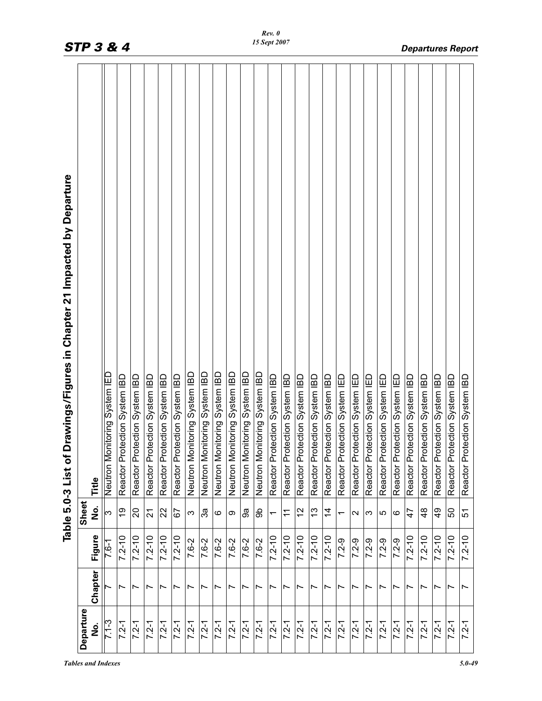|                                                                              | <b>STP 3 &amp; 4</b> |                               |                               |                               |                               |                               |                               |                               |                               |                               |                               |                               | 15 Sept 2007                  |                               |                               |                               |                               |                               |                               |                               |                               |                               |                               |                               |                               |                               |                               | <b>Departures Report</b>      |
|------------------------------------------------------------------------------|----------------------|-------------------------------|-------------------------------|-------------------------------|-------------------------------|-------------------------------|-------------------------------|-------------------------------|-------------------------------|-------------------------------|-------------------------------|-------------------------------|-------------------------------|-------------------------------|-------------------------------|-------------------------------|-------------------------------|-------------------------------|-------------------------------|-------------------------------|-------------------------------|-------------------------------|-------------------------------|-------------------------------|-------------------------------|-------------------------------|-------------------------------|-------------------------------|
| wings/Figures in Chapter 21 Impacted by Departure<br>Table 5.0-3 List of Dra | Title                | Neutron Monitoring System IED | Reactor Protection System IBD | Reactor Protection System IBD | Reactor Protection System IBD | Reactor Protection System IBD | Reactor Protection System IBD | Neutron Monitoring System IBD | Neutron Monitoring System IBD | Neutron Monitoring System IBD | Neutron Monitoring System IBD | Neutron Monitoring System IBD | Neutron Monitoring System IBD | Reactor Protection System IBD | Reactor Protection System IBD | Reactor Protection System IBD | Reactor Protection System IBD | Reactor Protection System IBD | Reactor Protection System IED | Reactor Protection System IED | Reactor Protection System IED | Reactor Protection System IED | Reactor Protection System IED | Reactor Protection System IBD | Reactor Protection System IBD | Reactor Protection System IBD | Reactor Protection System IBD | Reactor Protection System IBD |
|                                                                              | Sheet<br>е<br>М      | ო                             | <b>o</b>                      | 20                            | $\overline{2}$                | 22                            | 67                            | S                             | ನೆ                            | ဖ                             | ω                             | 9a                            | கி                            |                               | $\tilde{t}$                   | $\frac{2}{3}$                 | చ                             | $\dot{4}$                     | $\overline{\phantom{0}}$      | $\mathbf{\Omega}$             | က                             | 5                             | $\circ$                       | 47                            | $\frac{8}{4}$                 | $\frac{9}{4}$                 | SO                            | 51                            |
|                                                                              | Figure               | 7.6-1                         | $7.2 - 10$                    | $7.2 - 10$                    | $7.2 - 10$                    | $7.2 - 10$                    | $7.2 - 10$                    | 7.6-2                         | 7.6-2                         | $7.6 - 2$                     | 7.6-2                         | $7.6 - 2$                     | 7.6-2                         | $7.2 - 10$                    | $7.2 - 10$                    | $7.2 - 10$                    | $7.2 - 10$                    | $7.2 - 10$                    | $7.2 - 9$                     | $7.2 - 9$                     | $7.2 - 9$                     | $7.2 - 9$                     | $7.2 - 9$                     | $7.2 - 10$                    | $7.2 - 10$                    | $7.2 - 10$                    | $7.2 - 10$                    | $7.2 - 10$                    |
|                                                                              | Chapter              |                               | Ľ                             | Ľ                             | ∼                             | Ľ                             | Ľ                             | Ľ                             | Ľ                             | Ľ                             | Ľ                             | $\overline{\phantom{0}}$      | Ľ                             | Ľ                             | Ľ                             | Ľ                             | Ľ                             | Ľ                             | Ľ                             | Ľ                             | Ľ                             | Ľ                             | Ľ                             | Ľ                             | Ľ                             | $\overline{\phantom{0}}$      | Ľ                             | $\overline{ }$                |
|                                                                              | Departure<br>.<br>S  | 7.1-3                         | $7.2 - 1$                     | $7.2 - 1$                     | $7.2 - 1$                     | $7.2 - 1$                     | $7.2 - 1$                     | $7.2 - 1$                     | $7.2 - 1$                     | $7.2 - 1$                     | $7.2 - 1$                     | $7.2 - 1$                     | $7.2 - 1$                     | $7.2 - 1$                     | $7.2 - 1$                     | $7.2 - 1$                     | $7.2 - 1$                     | $7.2 - 1$                     | $7.2 - 1$                     | $7.2 - 1$                     | $7.2 - 1$                     | $7.2 - 1$                     | $7.2 - 1$                     | $7.2 - 1$                     | $7.2 - 1$                     | $7.2 - 1$                     | $7.2 - 1$                     | $7.2 - 1$                     |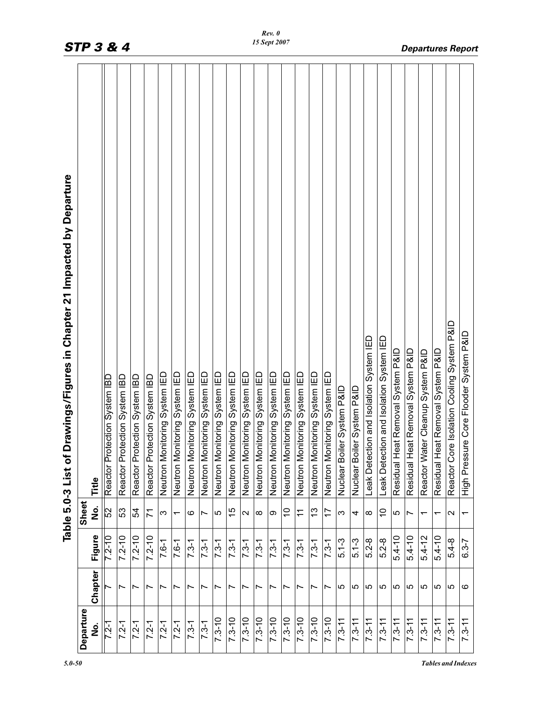|                                                                          | <b>STP 3 &amp; 4</b> |                               |                               |                               |                               |                               |                               |                               |                               |                               |                               |                               | 15 Sept 2007                  |                               |                               |                               |                               |                               |                               |                               |                                            |                                            |                                      |                                      |                                      |                                      |                                            | <b>Departures Report</b>                  |
|--------------------------------------------------------------------------|----------------------|-------------------------------|-------------------------------|-------------------------------|-------------------------------|-------------------------------|-------------------------------|-------------------------------|-------------------------------|-------------------------------|-------------------------------|-------------------------------|-------------------------------|-------------------------------|-------------------------------|-------------------------------|-------------------------------|-------------------------------|-------------------------------|-------------------------------|--------------------------------------------|--------------------------------------------|--------------------------------------|--------------------------------------|--------------------------------------|--------------------------------------|--------------------------------------------|-------------------------------------------|
| Table 5.0-3 List of Drawings/Figures in Chapter 21 Impacted by Departure | Title                | Reactor Protection System IBD | Reactor Protection System IBD | Reactor Protection System IBD | Reactor Protection System IBD | Neutron Monitoring System IED | Neutron Monitoring System IED | Neutron Monitoring System IED | Neutron Monitoring System IED | Neutron Monitoring System IED | Neutron Monitoring System IED | Neutron Monitoring System IED | Neutron Monitoring System IED | Neutron Monitoring System IED | Neutron Monitoring System IED | Neutron Monitoring System IED | Neutron Monitoring System IED | Neutron Monitoring System IED | System P&ID<br>Nuclear Boiler | System P&ID<br>Nuclear Boiler | and Isolation System IED<br>Leak Detection | and Isolation System IED<br>Leak Detection | Removal System P&ID<br>Residual Heat | Removal System P&ID<br>Residual Heat | Cleanup System P&ID<br>Reactor Water | Removal System P&ID<br>Residual Heat | Reactor Core Isolation Cooling System P&ID | Core Flooder System P&ID<br>High Pressure |
|                                                                          | Sheet<br>ە<br>2      | 52                            | 53                            | 54                            | 71                            | က                             | $\overline{ }$                | ဖ                             | Z                             | Ю                             | 15                            | $\sim$                        | $\infty$                      | თ                             | $\frac{0}{1}$                 | $\tilde{\tau}$                | <u>ლ</u>                      | 17                            | S                             | 4                             | $\infty$                                   | $\tilde{0}$                                | 5                                    | $\overline{ }$                       | ᠆                                    | ᡕ                                    | $\sim$                                     | $\overline{\phantom{0}}$                  |
|                                                                          | Figure               | $7.2 - 10$                    | $7.2 - 10$                    | $7.2 - 10$                    | $7.2 - 10$                    | $7.6 - 1$                     | $7.6 - 1$                     | $7.3 - 1$                     | $7.3 - 1$                     | $7.3 - 1$                     | $7.3 - 1$                     | $7.3 - 1$                     | $7.3 - 1$                     | $7.3 - 1$                     | $7.3 - 1$                     | $7.3 - 1$                     | $7.3 - 1$                     | $7.3 - 1$                     | $5.1 - 3$                     | $5.1 - 3$                     | $5.2 - 8$                                  | $5.2 - 8$                                  | $5.4 - 10$                           | $5.4 - 10$                           | $5.4 - 12$                           | $5.4 - 10$                           | $5.4 - 8$                                  | $6.3 - 7$                                 |
|                                                                          | Chapter              |                               | $\overline{ }$                | Ľ                             | ∼                             | Ľ                             | $\overline{ }$                | ∼                             | $\overline{\phantom{0}}$      | Ľ                             | Ľ                             | ∼                             |                               | ∼                             | Ľ                             | Ľ                             | Ľ                             | $\overline{\phantom{0}}$      | 5                             | 5                             | 5                                          | ပ                                          | 5                                    | 5                                    | 5                                    | 5                                    | 5                                          | ဖ                                         |
|                                                                          | Departure<br>ف<br>2  | $7.2 - 1$                     | $7.2 - 1$                     | $7.2 - 1$                     | $7.2 - 1$                     | $7.2 - 1$                     | $7.2 - 1$                     | $7.3 - 1$                     | $7.3 - 1$                     | $7.3 - 10$                    | $7.3 - 10$                    | $7.3 - 10$                    | $7.3 - 10$                    | $7.3 - 10$                    | $7.3 - 10$                    | $7.3 - 10$                    | $7.3 - 10$                    | $7.3 - 10$                    | $7.3 - 11$                    | $7.3 - 11$                    | $7.3 - 11$                                 | $7.3 - 11$                                 | $7.3 - 11$                           | $7.3 - 11$                           | $7.3 - 11$                           | $7.3 - 11$                           | $7.3 - 11$                                 | $7.3 - 11$                                |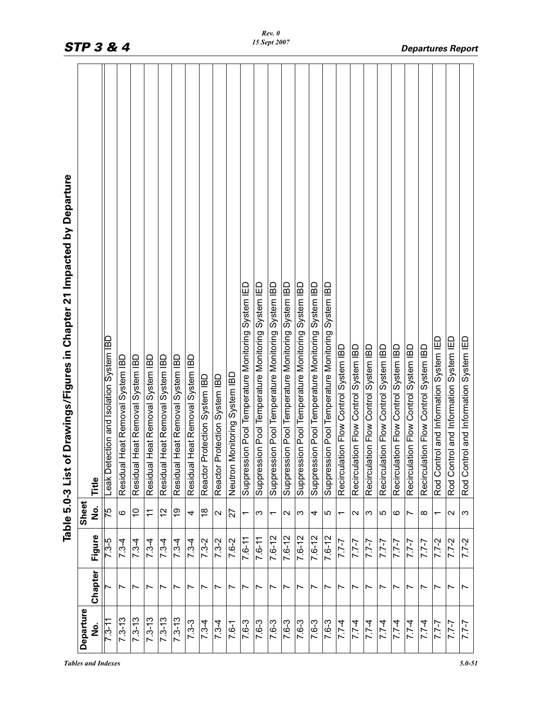|                     |                          |             |                           | i Drawings/Figures in Chapter 21 Impacted by Departure<br>Table 5.0-3 List of |
|---------------------|--------------------------|-------------|---------------------------|-------------------------------------------------------------------------------|
| Departure<br>ف<br>2 | Chapter                  | Figure      | Sheet<br>ف<br>Z           | Title                                                                         |
| $7.3 - 11$          |                          | $7.3 - 5$   | 75                        | Leak Detection and Isolation System IBD                                       |
| $7.3 - 13$          | r                        | $7.3 - 4$   | ဖ                         | Heat Removal System IBD<br>Residual                                           |
| $7.3 - 13$          | Ľ                        | $7.3 - 4$   | $\widetilde{\phantom{a}}$ | Heat Removal System IBD<br>Residual                                           |
| $7.3 - 13$          | r                        | $7.3 - 4$   | Ξ                         | Heat Removal System IBD<br>Residual                                           |
| $7.3 - 13$          | Ľ                        | $7.3 - 4$   | $\frac{2}{3}$             | Heat Removal System IBD<br>Residual                                           |
| $7.3 - 13$          | Ľ                        | $7.3 - 4$   | စ္                        | Heat Removal System IBD<br>Residual                                           |
| $7.3 - 3$           |                          | $7.3 - 4$   | 4                         | Heat Removal System IBD<br>Residual                                           |
| $7.3 - 4$           | Ľ                        | $7.3 - 2$   | $\frac{8}{10}$            | Reactor Protection System IBD                                                 |
| $7.3 - 4$           | Ľ                        | $7.3 - 2$   | $\mathbf{\Omega}$         | Reactor Protection System IBD                                                 |
| $7.6 - 1$           | Ľ                        | 7.6-2       | 27                        | Neutron Monitoring System IBD                                                 |
| 7.6-3               | r                        | $7.6 - 11$  | $\overline{\phantom{0}}$  | Suppression Pool Temperature Monitoring System IED                            |
| 7.6-3               | r                        | 7.6-11      | က                         | ion Pool Temperature Monitoring System IED<br>Suppressi                       |
| 7.6-3               | ∼                        | $7.6 - 12$  | $\overline{\phantom{0}}$  | Suppression Pool Temperature Monitoring System IBD                            |
| 7.6-3               | Ľ                        | $7.6 - 12$  | $\sim$                    | ion Pool Temperature Monitoring System IBD<br>Suppressi                       |
| $7.6 - 3$           |                          | $7.6 - 12$  | က                         | Suppression Pool Temperature Monitoring System IBD                            |
| 7.6-3               |                          | $7.6 - 12$  | 4                         | ion Pool Temperature Monitoring System IBD<br>Suppressi                       |
| $7.6 - 3$           | Ľ                        | $7.6 - 12$  | ro                        | Suppression Pool Temperature Monitoring System IBD                            |
| $7.7 - 4$           | Ľ                        | $7 - 7 - 7$ | $\overline{\phantom{0}}$  | iion Flow Control System IBD<br>Recirculat                                    |
| $7.7 - 4$           | ∼                        | $7 - 7 - 7$ | N                         | Recirculation Flow Control System IBD                                         |
| $7.7 - 4$           | Ľ                        | $7 - 7 - 7$ | က                         | iion Flow Control System IBD<br>Recirculat                                    |
| $7.7 - 4$           | Ľ                        | $1 - 7$     | 5                         | ion Flow Control System IBD<br>Recirculat                                     |
| $7.7-4$             | Ľ                        | $7 - 7.7$   | ဖ                         | iion Flow Control System IBD<br>Recirculat                                    |
| $7.7 - 4$           | Ľ                        | $7 - 7 - 7$ |                           | iion Flow Control System IBD<br>Recirculat                                    |
| $7.7 - 4$           | Ľ                        | $7 - 7 - 7$ | $\infty$                  | ion Flow Control System IBD<br>Recirculat                                     |
| $7 - 7$             | r                        | $7.7 - 2$   |                           | rol and Information System IED<br>Rod Cont                                    |
| $7 - 7.7$           | Ľ                        | $7.7 - 2$   | $\sim$                    | rol and Information System IED<br>Rod Cont                                    |
| $7 - 7$             | $\overline{\phantom{0}}$ | $7.7 - 2$   | က                         | rol and Information System IED<br>Rod Contr                                   |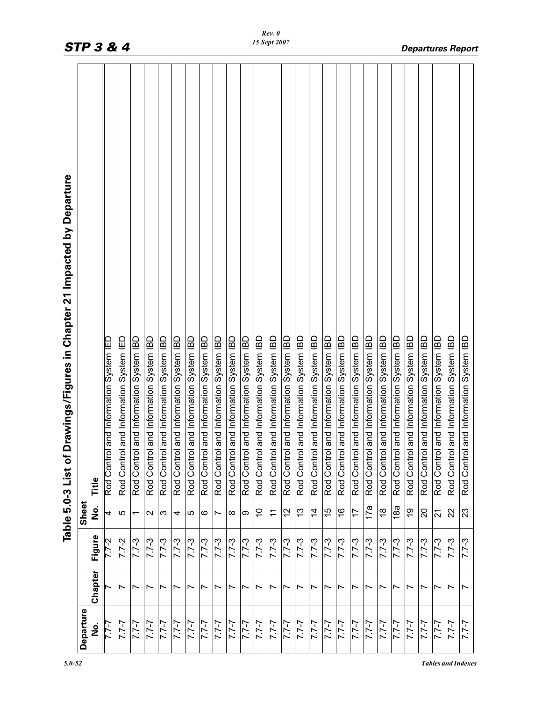| <b>STP 3 &amp; 4</b> |         |                                        |                                        |                                        |                                        |                                        |                                        |                                        |                                        |                                        |                                        |                                        | 15 Sept 2007                           |                                        |                                        |                                        |                                        |                                        |                                        |                                        |                                        |                                        |                                        |                                        |                                        |                                        | <b>Departures Report</b>               |                                        |
|----------------------|---------|----------------------------------------|----------------------------------------|----------------------------------------|----------------------------------------|----------------------------------------|----------------------------------------|----------------------------------------|----------------------------------------|----------------------------------------|----------------------------------------|----------------------------------------|----------------------------------------|----------------------------------------|----------------------------------------|----------------------------------------|----------------------------------------|----------------------------------------|----------------------------------------|----------------------------------------|----------------------------------------|----------------------------------------|----------------------------------------|----------------------------------------|----------------------------------------|----------------------------------------|----------------------------------------|----------------------------------------|
|                      | Title   | Rod Control and Information System IED | Rod Control and Information System IED | Rod Control and Information System IBD | Rod Control and Information System IBD | Rod Control and Information System IBD | Rod Control and Information System IBD | Rod Control and Information System IBD | Rod Control and Information System IBD | Rod Control and Information System IBD | Rod Control and Information System IBD | Rod Control and Information System IBD | Rod Control and Information System IBD | Rod Control and Information System IBD | Rod Control and Information System IBD | Rod Control and Information System IBD | Rod Control and Information System IBD | Rod Control and Information System IBD | Rod Control and Information System IBD | Rod Control and Information System IBD | Rod Control and Information System IBD | Rod Control and Information System IBD | Rod Control and Information System IBD | Rod Control and Information System IBD | Rod Control and Information System IBD | Rod Control and Information System IBD | Rod Control and Information System IBD | Rod Control and Information System IBD |
| Sheet                | ف<br>S  | 4                                      | 5                                      | $\overline{\phantom{0}}$               | $\sim$                                 | က                                      | 4                                      | 5                                      | ဖ                                      | Ľ                                      | $\infty$                               | ာ                                      | $\tilde{c}$                            | $\tilde{t}$                            | $\frac{2}{3}$                          | $\frac{3}{2}$                          | $\overline{4}$                         | 15                                     | $\frac{6}{5}$                          | $\overline{1}$                         | 17a                                    | $\frac{8}{1}$                          | 18a                                    | $\frac{6}{5}$                          | $\overline{c}$                         | $\overline{2}$                         | 22                                     | 23                                     |
|                      | Figure  | $7.7 - 2$                              | $7.7 - 2$                              | $7.7 - 3$                              | $7.7 - 3$                              | $7.7 - 3$                              | $7.7 - 3$                              | $7.7 - 3$                              | $7.7 - 3$                              | $7.7 - 3$                              | $7.7 - 3$                              | $5 - 2.7$                              | $7.7 - 3$                              | $7.7 - 3$                              | $7.7 - 3$                              | $7.7 - 3$                              | $7.7 - 3$                              | $7.7 - 3$                              | $7.7 - 3$                              | $7.7 - 3$                              | $7.7 - 3$                              | $7.7 - 3$                              | $7.7 - 3$                              | $7.7 - 3$                              | $7.7 - 3$                              | $7.7 - 3$                              | $7.7 - 3$                              | $7.7 - 3$                              |
|                      | Chapter |                                        | $\overline{ }$                         | Ľ                                      |                                        | Ľ                                      | Ľ                                      | ∼                                      | $\overline{\phantom{0}}$               | Ľ                                      | Ľ                                      |                                        |                                        |                                        | Ľ                                      | Ľ                                      | r                                      | Ľ                                      | r                                      | Ľ                                      | Ľ                                      | Ľ                                      | Ľ                                      | ∼                                      |                                        | Ľ                                      | r                                      | Ľ                                      |
| Departure            | ە<br>N  | <u>-27</u>                             | $7 - 7 - 7$                            | $7 - 7 - 7$                            | $7 - 7.7$                              | $7 - 7.7$                              | $7 - 7.7$                              | $7 - 7 - 7$                            | $7 - 7 - 7$                            | $7 - 7 - 7$                            | $7 - 7.7$                              | $7 - 7$                                | $7 - 7 - 7$                            | $1 - 7$                                | $7 - 7.7$                              | $7 - 7.7$                              | $7 - 7 - 7$                            | $7 - 7.7$                              | $7 - 7.7$                              | $7 - 7.7$                              | $7 - 7.7$                              | $7 - 7 - 7$                            | $1 - 7$                                | $7 - 7.7$                              | $7 - 7.7$                              | $7 - 7 - 7$                            | $7 - 7.7$                              | $7 - 7.7$                              |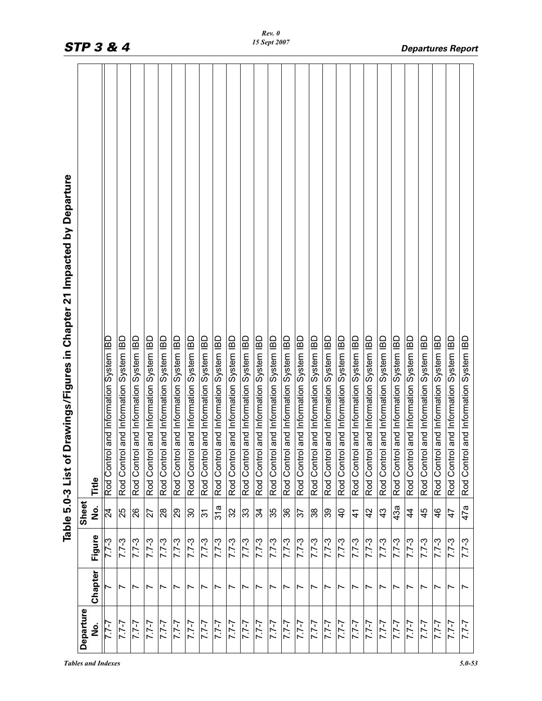| Rod Control<br>Rod Control<br>Rod Control<br>Rod Control<br>Rod Control<br>Rod Control<br>Rod Control<br>Rod Control<br>Rod Control<br>Rod Control<br>Rod Control<br>Rod Control<br>Rod Control<br>Rod Control<br>Rod Control<br>Rod Control<br>Rod Control<br>Rod Control<br>Rod Control<br>Rod Control<br>Rod Control<br>Rod Control<br>Rod Control<br>Rod Control<br>Rod Control<br>Rod Control<br>Title                                                                                                                                                                                                                                                                                                                                                                                       | 42<br>45<br>$\overline{24}$<br>25<br>26<br>28<br>29<br>30<br>32<br>33<br>35<br>36<br>38<br>$\overline{4}$<br>34<br>39<br>43<br>$\ddot{4}$<br>46<br>27<br>$\overline{3}$<br>57<br>$\frac{4}{1}$ | Drawings/Figures in Chapter 21 Impacted by Departure<br>Table 5.0-3 List of |           |        | and Information System IBD | and Information System IBD | and Information System IBD | and Information System IBD | and Information System IBD | and Information System IBD | and Information System IBD | and Information System IBD | and Information System IBD | and Information System IBD | and Information System IBD | and Information System IBD | and Information System IBD | and Information System IBD | and Information System IBD | and Information System IBD | and Information System IBD | and Information System IBD | and Information System IBD | and Information System IBD | and Information System IBD | and Information System IBD | and Information System IBD | and Information System IBD | and Information System IBD | and Information System IBD |  |
|---------------------------------------------------------------------------------------------------------------------------------------------------------------------------------------------------------------------------------------------------------------------------------------------------------------------------------------------------------------------------------------------------------------------------------------------------------------------------------------------------------------------------------------------------------------------------------------------------------------------------------------------------------------------------------------------------------------------------------------------------------------------------------------------------|------------------------------------------------------------------------------------------------------------------------------------------------------------------------------------------------|-----------------------------------------------------------------------------|-----------|--------|----------------------------|----------------------------|----------------------------|----------------------------|----------------------------|----------------------------|----------------------------|----------------------------|----------------------------|----------------------------|----------------------------|----------------------------|----------------------------|----------------------------|----------------------------|----------------------------|----------------------------|----------------------------|----------------------------|----------------------------|----------------------------|----------------------------|----------------------------|----------------------------|----------------------------|----------------------------|--|
| Sheet<br>31a<br>43a<br>,<br>2<br>47<br>Figure<br>$7.7 - 3$<br>$7.7 - 3$<br>$7.7 - 3$<br>$7.7 - 3$<br>$7.7 - 3$<br>$7.7 - 3$<br>$7.7 - 3$<br>$7.7 - 3$<br>$5 - 27$<br>$7.7 - 3$<br>$7.7 - 3$<br>$7.7 - 3$<br>$7.7 - 3$<br>$7.7 - 3$<br>$7.7 - 3$<br>$7.7 - 3$<br>$7.7 - 3$<br>$5 - 2.7$<br>$7.7 - 3$<br>$7.7 - 3$<br>$7.7 - 3$<br>$7.7 - 3$<br>$7.7 - 3$<br>$7.7 - 3$<br>$7.7 - 3$<br>$7.7 - 3$<br>Chapter<br>$\overline{ }$<br>$\overline{ }$<br>Ľ<br>$\overline{ }$<br>Ľ<br>$\overline{ }$<br>$\overline{\phantom{0}}$<br>$\overline{ }$<br>Ľ<br>$\overline{ }$<br>$\overline{ }$<br>$\overline{ }$<br>$\overline{ }$<br>$\overline{ }$<br>$\overline{ }$<br>$\overline{ }$<br>$\overline{ }$<br>$\overline{\phantom{0}}$<br>$\overline{ }$<br>Ľ<br>Ľ<br>Ľ<br>Ľ<br>Ľ<br>$\overline{\phantom{0}}$ |                                                                                                                                                                                                |                                                                             | Departure | ف<br>S | 7.7-7                      | $7 - 7 - 7$                | $7 - 7.7$                  | $7 - 7 - 7$                | $7 - 7.7$                  | $7 - 7.7$                  | $7 - 7.7$                  | $7 - 7.7$                  | $7 - 7.7$                  | $7 - 7.7$                  | $7 - 7 - 7$                | $7 - 7 - 7$                | $7 - 7.7$                  | $7 - 7 - 7$                | $7 - 7$                    | $7 - 7 - 7$                | $1 - 7$                    | $7 - 7 - 7$                | $7 - 7 - 7$                | $2 - 7.7$                  | $7 - 7 - 7$                | $7 - 7.7$                  | $7 - 7 - 7$                | $7 - 7.7$                  | $1 - 7$                    | $7 - 7.7$                  |  |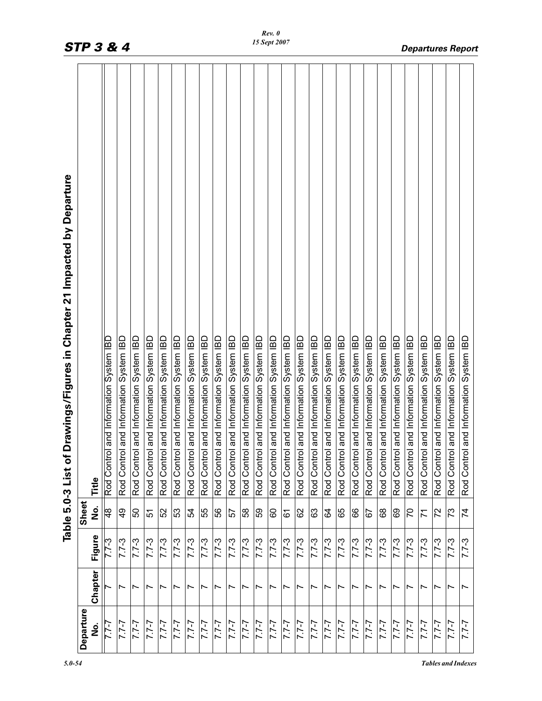|                     |                          |           |                 | Drawings/Figures in Chapter 21 Impacted by Departure<br>Table 5.0-3 List of |
|---------------------|--------------------------|-----------|-----------------|-----------------------------------------------------------------------------|
| Departure<br>ف<br>N | Chapter                  | Figure    | Sheet<br>o<br>Z | Title                                                                       |
| $7 - 7.7$           |                          |           | $\frac{8}{4}$   | and Information System IBD<br>Rod Control                                   |
| $7 - 7 - 7$         | $\overline{ }$           | $7.7 - 3$ | $\frac{6}{7}$   | and Information System IBD<br>Rod Contro                                    |
| $7 - 7 - 7$         | $\overline{ }$           | $7.7 - 3$ | 50              | and Information System IBD<br>Rod Control                                   |
| $7 - 7$             | $\overline{\phantom{0}}$ | $5 - 2.7$ | 51              | Rod Control and Information System IBD                                      |
| $7 - 7 - 7$         | $\overline{\phantom{0}}$ | $7.7 - 3$ | 52              | Rod Control and Information System IBD                                      |
| $7 - 7$             | $\overline{\phantom{0}}$ | $7.7 - 3$ | 53              | and Information System IBD<br>Rod Contro                                    |
| $7 - 7 - 7$         | Ľ                        | $7.7 - 3$ | 54              | and Information System IBD<br>Rod Control                                   |
| $1 - 7$             | $\overline{\phantom{0}}$ | $7.7 - 3$ | 55              | Rod Control and Information System IBD                                      |
| $7 - 7 - 7$         | $\overline{\phantom{0}}$ | $7.7 - 3$ | 56              | Rod Control and Information System IBD                                      |
| $7 - 7 - 7$         | r                        | $7.7 - 3$ | 57              | Rod Control and Information System IBD                                      |
| $7 - 7 - 7$         | $\overline{ }$           | $7.7 - 3$ | 58              | I and Information System IBD<br>Rod Control                                 |
| $7 - 7 - 7$         | Ľ                        | $7.7 - 3$ | 59              | Rod Control and Information System IBD                                      |
| $7 - 7 - 7$         | $\overline{ }$           | $7.7 - 3$ | 80              | I and Information System IBD<br>Rod Control                                 |
| $7 - 7 - 7$         | Ľ                        | $7.7 - 3$ | 61              | and Information System IBD<br>Rod Contro                                    |
| $7 - 7 - 7$         | $\overline{\phantom{0}}$ | $7.7 - 3$ | 82              | and Information System IBD<br>Rod Control                                   |
| $7 - 7 - 7$         | Ľ                        | $7.7 - 3$ | යි              | and Information System IBD<br>Rod Contro                                    |
| $7 - 7 - 7$         | $\overline{ }$           | $7.7 - 3$ | 84              | and Information System IBD<br>Rod Control                                   |
| $7 - 7 - 7$         | $\overline{ }$           | $7.7 - 3$ | 65              | and Information System IBD<br>Rod Contro                                    |
| $7 - 7 - 7$         | $\overline{\phantom{0}}$ | $7.7 - 3$ | 89              | and Information System IBD<br>Rod Control                                   |
| $7 - 7 - 7$         | Ľ                        | $7.7 - 3$ | 57              | and Information System IBD<br>Rod Contro                                    |
| $7 - 7.7$           | Ľ                        | $7.7 - 3$ | 89              | and Information System IBD<br>Rod Contro                                    |
| $7 - 7 - 7$         | $\overline{\phantom{0}}$ | $7.7 - 3$ | 89              | and Information System IBD<br>Rod Contro                                    |
| $7 - 7$             | $\overline{ }$           | $7.7 - 3$ | $\overline{C}$  | and Information System IBD<br>Rod Control                                   |
| $7 - 7 - 7$         | Ľ                        | $7.7 - 3$ | 71              | and Information System IBD<br>Rod Contro                                    |
| $1 - 7$             | $\overline{\phantom{0}}$ | $7.7 - 3$ | 72              | and Information System IBD<br>Rod Contro                                    |
| $7 - 7.7$           | $\overline{ }$           | $7.7 - 3$ | 73              | and Information System IBD<br>Rod Contro                                    |
| $7 - 7$             | $\overline{ }$           | $5 - 7.7$ | 74              | and Information System IBD<br>Rod Control                                   |
|                     |                          |           |                 |                                                                             |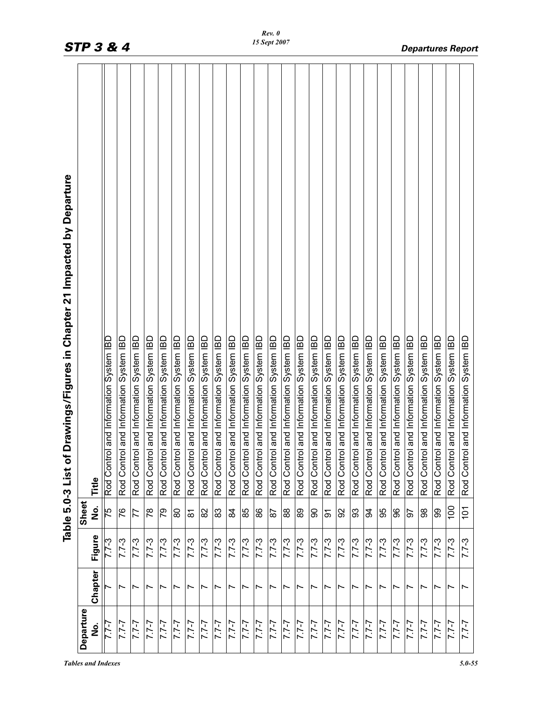| Rod Control<br>Rod Control<br>Rod Control<br>Rod Control<br>Rod Control<br>Rod Control<br>Rod Control<br>Rod Control<br>Rod Control<br>Rod Control<br>Rod Control<br>Rod Control<br>Rod Control<br>Rod Control<br>Rod Control<br>Rod Control<br>Rod Control<br>Rod Control<br>Rod Control<br>Rod Control<br>Rod Control<br>Rod Control<br>Rod Control<br>Title | Drawings/Figures in Chapter 21 Impacted by Departure<br>Table 5.0-3 List of |           |        | and Information System IBD | and Information System IBD | and Information System IBD | and Information System IBD<br>Rod Control | and Information System IBD | and Information System IBD | and Information System IBD | and Information System IBD | and Information System IBD | and Information System IBD | and Information System IBD | and Information System IBD | and Information System IBD | and Information System IBD | and Information System IBD | and Information System IBD | and Information System IBD | and Information System IBD | and Information System IBD | and Information System IBD | and Information System IBD | and Information System IBD | and Information System IBD | and Information System IBD | and Information System IBD<br>Rod Control | and Information System IBD<br>Rod Control |  |
|----------------------------------------------------------------------------------------------------------------------------------------------------------------------------------------------------------------------------------------------------------------------------------------------------------------------------------------------------------------|-----------------------------------------------------------------------------|-----------|--------|----------------------------|----------------------------|----------------------------|-------------------------------------------|----------------------------|----------------------------|----------------------------|----------------------------|----------------------------|----------------------------|----------------------------|----------------------------|----------------------------|----------------------------|----------------------------|----------------------------|----------------------------|----------------------------|----------------------------|----------------------------|----------------------------|----------------------------|----------------------------|----------------------------|-------------------------------------------|-------------------------------------------|--|
|                                                                                                                                                                                                                                                                                                                                                                |                                                                             | Sheet     |        |                            | 76                         | 77                         | $\frac{8}{10}$                            | 54                         | 80                         | $\overline{\delta}$        | 82                         | 83                         | \$                         | 85                         | 88                         | $\overline{8}$             | 88                         | 89                         | 8                          | 5                          | 92                         | 93                         | $\mathfrak{A}$             | 95                         | 8                          | 5                          | 88                         | 99                                        | 100                                       |  |
| ,<br>2<br>$\frac{5}{4}$                                                                                                                                                                                                                                                                                                                                        |                                                                             |           |        | $2 - 7.7$                  | $7.7 - 3$                  | $7.7 - 3$                  | $7.7 - 3$                                 | $7.7 - 3$                  | $7.7 - 3$                  | $7.7 - 3$                  | $7.7 - 3$                  | $7.7 - 3$                  | $7.7 - 3$                  | $7.7 - 3$                  | $7.7 - 3$                  | $7.7 - 3$                  | $7.7 - 3$                  | $7.7 - 3$                  | $7.7 - 3$                  | $5 - 2.7$                  | $7.7 - 3$                  | $7.7 - 3$                  | $5 - 27$                   | $7.7 - 3$                  | $7.7 - 3$                  | $7.7 - 3$                  | $7.7 - 3$                  | $7.7 - 3$                                 | $7.7 - 3$                                 |  |
| Figure                                                                                                                                                                                                                                                                                                                                                         |                                                                             |           |        |                            | $\overline{ }$             | Ľ                          | $\overline{\phantom{0}}$                  | $\overline{ }$             | $\overline{ }$             | Ľ                          | Ľ                          | $\overline{ }$             | $\overline{\phantom{0}}$   | $\overline{ }$             | Ľ                          | $\overline{\phantom{0}}$   | Ľ                          | $\overline{ }$             | $\overline{\phantom{0}}$   | $\overline{ }$             | $\overline{ }$             | $\overline{ }$             | $\overline{ }$             | $\overline{\phantom{0}}$   | $\overline{ }$             | $\overline{ }$             | Ľ                          | $\overline{\phantom{0}}$                  | $\overline{ }$                            |  |
| Chapter                                                                                                                                                                                                                                                                                                                                                        |                                                                             | Departure | ف<br>S | 7.7-7                      | $7 - 7 - 7$                | $7 - 7.7$                  | $7 - 7 - 7$                               | $7 - 7.7$                  | $7 - 7.7$                  | $7 - 7.7$                  | $7 - 7.7$                  | $7 - 7 - 7$                | $7 - 7.7$                  | $7 - 7 - 7$                | $7 - 7 - 7$                | $7 - 7.7$                  | $7 - 7 - 7$                | $7 - 7$                    | $2 - 7.7$                  | $1 - 7$                    | $7 - 7 - 7$                | $7 - 7 - 7$                | $2 - 7.7$                  | $7 - 7 - 7$                | $7 - 7.7$                  | $1 - 7$                    | $7 - 7.7$                  | $1 - 7$                                   | $7 - 7.7$                                 |  |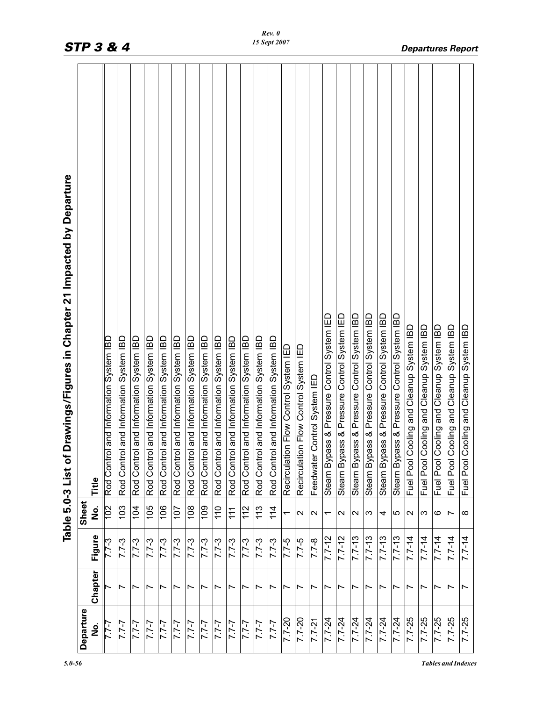|                     |                          |            |                          | Drawings/Figures in Chapter 21 Impacted by Departure<br>Table 5.0-3 List of |
|---------------------|--------------------------|------------|--------------------------|-----------------------------------------------------------------------------|
| Departure<br>ف<br>N | Chapter                  | Figure     | Sheet<br>$\frac{1}{2}$   | Title                                                                       |
| 7-7-7               |                          | $7.7 - 3$  | 102                      | Rod Control and Information System IBD                                      |
| $7 - 7.7$           | $\overline{\phantom{a}}$ | $7.7 - 3$  | 103                      | ol and Information System IBD<br>Rod Contr                                  |
| $7 - 7 - 7$         | Ľ                        | $7.7 - 3$  | 104                      | Rod Control and Information System IBD                                      |
| $7 - 7$             | ∼                        | $7.7 - 3$  | 105                      | Rod Control and Information System IBD                                      |
| $7 - 7.7$           | Ľ                        | $7.7 - 3$  | 106                      | Rod Control and Information System IBD                                      |
| $7 - 7.7$           | Ľ                        | $7.7 - 3$  | 107                      | Rod Control and Information System IBD                                      |
| $7 - 7.7$           | Ľ                        | $7.7 - 3$  | 108                      | Rod Control and Information System IBD                                      |
| $7 - 7.7$           | Ľ                        | $7.7 - 3$  | 109                      | Rod Control and Information System IBD                                      |
| 7.7-7               | Ľ                        | $7.7 - 3$  | 110                      | Rod Control and Information System IBD                                      |
| $7 - 7.7$           | Ľ                        | $7.7 - 3$  | 11                       | Rod Control and Information System IBD                                      |
| $7 - 7.7$           | Ľ                        | $7.7 - 3$  | 112                      | Rod Control and Information System IBD                                      |
| $7 - 7 - 7$         | r                        | $7.7 - 3$  | 113                      | Rod Control and Information System IBD                                      |
| $7 - 7.7$           | Ľ                        | $7.7 - 3$  | 114                      | Rod Control and Information System IBD                                      |
| $7.7 - 20$          | $\overline{\phantom{0}}$ | $7.7 - 5$  | ↽                        | on Flow Control System IED<br>Recirculati                                   |
| $7.7 - 20$          | Ľ                        | $7.7-5$    | $\mathbf{\sim}$          | on Flow Control System IED<br>Recirculati                                   |
| $7.7 - 21$          | ∼                        | $7.7 - 8$  | $\sim$                   | Control System IED<br>Feedwater                                             |
| $7.7 - 24$          | Ľ                        | $7.7 - 12$ | $\overline{\phantom{0}}$ | Steam Bypass & Pressure Control System IED                                  |
| $7.7 - 24$          | $\overline{\phantom{0}}$ | $7.7 - 12$ | $\sim$                   | Steam Bypass & Pressure Control System IED                                  |
| $7.7 - 24$          | Ľ                        | $7.7 - 13$ | $\mathbf{\Omega}$        | Steam Bypass & Pressure Control System IBD                                  |
| $7.7 - 24$          | Ľ                        | $7.7 - 13$ | က                        | Steam Bypass & Pressure Control System IBD                                  |
| $7.7 - 24$          | Ľ                        | $7.7 - 13$ | 4                        | Steam Bypass & Pressure Control System IBD                                  |
| $7.7 - 24$          | Ľ                        | $7.7 - 13$ | LO                       | Steam Bypass & Pressure Control System IBD                                  |
| 7.7-25              | Ľ                        | $7.7 - 14$ | $\sim$                   | Cooling and Cleanup System IBD<br>Fuel Pool                                 |
| $7.7 - 25$          | r                        | $7.7 - 14$ | က                        | Cooling and Cleanup System IBD<br>Fuel Pool                                 |
| $7.7 - 25$          | Ľ                        | $7.7 - 14$ | ဖ                        | Cooling and Cleanup System IBD<br>Fuel Pool                                 |
| $7.7 - 25$          | $\overline{\phantom{0}}$ | $7.7 - 14$ | Z                        | Cooling and Cleanup System IBD<br>Fuel Pool                                 |
| 7.7-25              | Ľ                        | $7.7 - 14$ | $\infty$                 | Cooling and Cleanup System IBD<br>Fuel Pool                                 |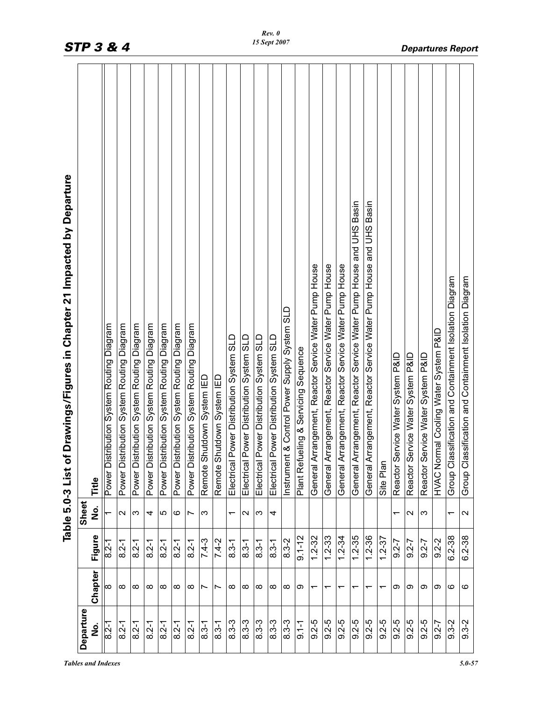| Departure<br>$9.2 - 5$<br>$9.2 - 5$<br>$9.2 - 5$<br>$9.2 - 5$<br>$9.2 - 5$<br>$9.2 - 5$<br>$9.2 - 5$<br>$8.3 - 3$<br>$8.3 - 3$<br>$8.3 - 3$<br>$8.3 - 3$<br>$8.3 - 3$<br>$9.2 - 5$<br>$9.1 - 1$<br>$8.2 - 1$<br>$8.3 - 1$<br>$8.2 - 1$<br>$8.2 - 1$<br>$8.2 - 1$<br>$8.2 - 1$<br>$8.3 - 1$<br>$8.2 - 1$<br>$8.2 - 1$<br>ف<br>2 | Chapter<br>∞<br>$\infty$<br>∞<br>∞<br>∞<br>∞<br>∞<br>∞<br>∞<br>∞<br>∞<br>∞<br>တ<br>တ<br>တ<br>Ľ<br>r<br>᠇<br>᠇<br>᠇<br>ᡪ<br>᠇<br>ᡪ | Table 5.0-3 List o<br>Figure<br>$1.2 - 35$<br>1.2-36<br>$9.1 - 12$<br>$1.2 - 32$<br>$1.2 - 33$<br>$1.2 - 34$<br>$1.2 - 37$<br>$8.3 - 2$<br>$7.4 - 3$<br>$7.4 - 2$<br>$9.2 - 7$<br>$9.2 - 7$<br>$8.2 - 1$<br>$8.3 - 1$<br>$8.3 - 1$<br>$8.3 - 1$<br>$8.3 - 1$<br>$8.2 - 1$<br>$8.2 - 1$<br>8.2-1<br>$8.2 - 1$<br>$8.2 - 1$<br>$8.2 - 1$ | Sheet<br>ف<br>Z<br>5<br>$\mathbf{\Omega}$<br>ო<br>ဖ<br>က<br>$\sim$<br>က<br>4<br>Ľ<br>4<br>$\sim$<br>↽<br>↽ | f Drawings/Figures in Chapter 21 Impacted by Departure<br>General Arrangement, Reactor Service Water Pump House and UHS Basin<br>General Arrangement, Reactor Service Water Pump House and UHS Basin<br>General Arrangement, Reactor Service Water Pump House<br>General Arrangement, Reactor Service Water Pump House<br>General Arrangement, Reactor Service Water Pump House<br>it & Control Power Supply System SLD<br>Power Distribution System Routing Diagram<br>Power Distribution System Routing Diagram<br>Power Distribution System Routing Diagram<br>Power Distribution System Routing Diagram<br>Power Distribution System Routing Diagram<br>Power Distribution System Routing Diagram<br>Power Distribution System Routing Diagram<br>Power Distribution System SLD<br>Power Distribution System SLD<br>Power Distribution System SLD<br>Power Distribution System SLD<br>ueling & Servicing Sequence<br>ervice Water System P&ID<br>ervice Water System P&ID<br>Remote Shutdown System IED<br>Remote Shutdown System IED<br>Reactor <sub>S</sub><br>Reactor <sub>S</sub><br>Plant Refu<br>Instrumer<br>Site Plan<br>Electrical<br>Electrical<br>Electrical<br>Electrical<br>Title |
|--------------------------------------------------------------------------------------------------------------------------------------------------------------------------------------------------------------------------------------------------------------------------------------------------------------------------------|-----------------------------------------------------------------------------------------------------------------------------------|----------------------------------------------------------------------------------------------------------------------------------------------------------------------------------------------------------------------------------------------------------------------------------------------------------------------------------------|------------------------------------------------------------------------------------------------------------|----------------------------------------------------------------------------------------------------------------------------------------------------------------------------------------------------------------------------------------------------------------------------------------------------------------------------------------------------------------------------------------------------------------------------------------------------------------------------------------------------------------------------------------------------------------------------------------------------------------------------------------------------------------------------------------------------------------------------------------------------------------------------------------------------------------------------------------------------------------------------------------------------------------------------------------------------------------------------------------------------------------------------------------------------------------------------------------------------------------------------------------------------------------------------------------------------|
| $9.2 - 5$<br>$6.2 - 7$                                                                                                                                                                                                                                                                                                         | တ<br>თ                                                                                                                            | $9.2 - 7$<br>$9.2 - 2$                                                                                                                                                                                                                                                                                                                 | က                                                                                                          | HVAC Normal Cooling Water System P&ID<br>ervice Water System P&ID<br>Reactor <sub>S</sub>                                                                                                                                                                                                                                                                                                                                                                                                                                                                                                                                                                                                                                                                                                                                                                                                                                                                                                                                                                                                                                                                                                          |
| $9.3 - 2$<br>$9.3 - 2$                                                                                                                                                                                                                                                                                                         | ဖ<br>ဖ                                                                                                                            | 6.2-38<br>$6.2 - 38$                                                                                                                                                                                                                                                                                                                   | $\mathbf{\Omega}$<br>$\overline{\phantom{0}}$                                                              | ssification and Containment Isolation Diagram<br>ssification and Containment Isolation Diagram<br>Group Cla<br>Group Cla                                                                                                                                                                                                                                                                                                                                                                                                                                                                                                                                                                                                                                                                                                                                                                                                                                                                                                                                                                                                                                                                           |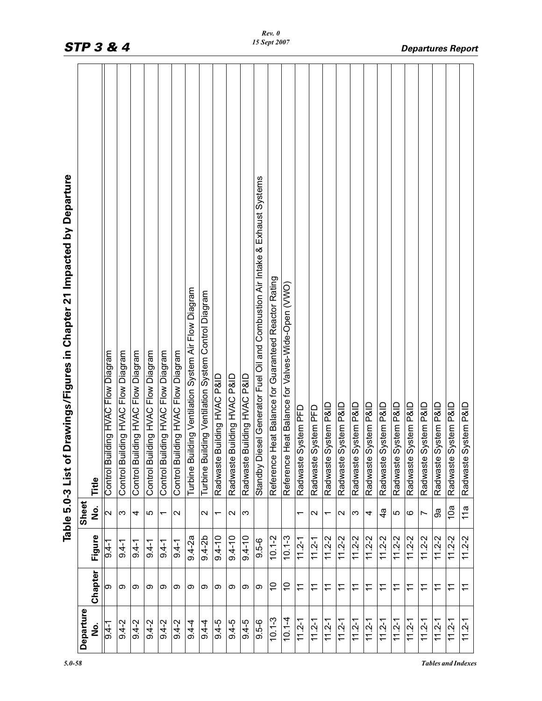| Drawings/Figures in Chapter 21 Impacted by Departure<br>$\overline{\bullet}$<br>Table 5.0-3 List | Title<br>Sheet<br>$\frac{1}{2}$<br>Figure<br>Chapter | Control Building HVAC Flow Diagram<br>$\mathbf{\Omega}$<br>$9.4 -$<br>ග | uilding HVAC Flow Diagram<br>Control Bu<br>S<br>$9.4 - 1$<br>တ | ilding HVAC Flow Diagram<br>Control B<br>4<br>$9.4 - 1$<br>တ | Control Building HVAC Flow Diagram<br>5<br>$9.4 - 1$<br>თ | Control Building HVAC Flow Diagram<br>᠇<br>$9.4 - 1$<br>တ | Control Building HVAC Flow Diagram<br>$\sim$<br>$9.4 - 1$<br>တ | uilding Ventilation System Air Flow Diagram<br>Turbine B<br>$9.4-2a$<br>တ | uilding Ventilation System Control Diagram<br>Turbine B<br>$\sim$<br>$9.4 - 2b$<br>ග | Building HVAC P&ID<br>Radwaste<br>٣<br>$9.4 - 10$<br>တ | Building HVAC P&ID<br>Radwaste<br>$\sim$<br>$9.4 - 10$<br>თ | Building HVAC P&ID<br>Radwaste<br>က<br>$9.4 - 10$<br>ග | Standby Diesel Generator Fuel Oil and Combustion Air Intake & Exhaust Systems<br>$9.5 - 6$<br>တ | Reference Heat Balance for Guaranteed Reactor Rating<br>$10.1 - 2$<br>$\tilde{0}$ | Reference Heat Balance for Valves-Wide-Open (VWO)<br>$10.1 - 3$<br>S | System PFD<br>Radwaste<br>$\overline{\phantom{0}}$<br>$11.2 - 1$<br>$\tilde{\tau}$ | System PFD<br>Radwaste<br>Ν<br>$11.2 - 1$<br>$\tilde{\tau}$ | System P&ID<br>Radwaste<br>$\overline{\phantom{0}}$<br>$11.2 - 2$<br>$\stackrel{\textstyle\textstyle\sim}{\textstyle\textstyle\sim}$ | System P&ID<br>Radwaste<br>Ν<br>$11.2 - 2$<br>$\stackrel{\textstyle\textstyle\sim}{\textstyle\textstyle\sim}$ | System P&ID<br>Radwaste<br>ო<br>$11.2 - 2$<br>$\tilde{\tau}$ | System P&ID<br>Radwaste<br>4<br>$11.2 - 2$<br>Ξ | System P&ID<br>Radwaste<br>্ব<br>$11.2 - 2$<br>$\stackrel{\textstyle\textstyle\vdots}\nolimits$ | System P&ID<br>Radwaste<br>5<br>$11.2 - 2$<br>$\tilde{\tau}$ | System P&ID<br>Radwaste<br>ဖ<br>$11.2 - 2$<br>$\widetilde{\tau}$ | System P&ID<br>Radwaste<br>Ľ<br>$11.2 - 2$<br>$\tilde{\tau}$ | System P&ID<br>Radwaste<br>್ರಿ<br>$11.2 - 2$<br>Ξ | System P&ID<br>Radwaste<br>10a<br>$11.2 - 2$<br>$\widetilde{\tau}$ | System P&ID<br>Radwaste<br>$\frac{a}{1}$<br>$11.2 - 2$<br>$\widetilde{\tau}$ |
|--------------------------------------------------------------------------------------------------|------------------------------------------------------|-------------------------------------------------------------------------|----------------------------------------------------------------|--------------------------------------------------------------|-----------------------------------------------------------|-----------------------------------------------------------|----------------------------------------------------------------|---------------------------------------------------------------------------|--------------------------------------------------------------------------------------|--------------------------------------------------------|-------------------------------------------------------------|--------------------------------------------------------|-------------------------------------------------------------------------------------------------|-----------------------------------------------------------------------------------|----------------------------------------------------------------------|------------------------------------------------------------------------------------|-------------------------------------------------------------|--------------------------------------------------------------------------------------------------------------------------------------|---------------------------------------------------------------------------------------------------------------|--------------------------------------------------------------|-------------------------------------------------|-------------------------------------------------------------------------------------------------|--------------------------------------------------------------|------------------------------------------------------------------|--------------------------------------------------------------|---------------------------------------------------|--------------------------------------------------------------------|------------------------------------------------------------------------------|
|                                                                                                  |                                                      |                                                                         |                                                                |                                                              |                                                           |                                                           |                                                                |                                                                           |                                                                                      |                                                        |                                                             |                                                        |                                                                                                 |                                                                                   |                                                                      |                                                                                    |                                                             |                                                                                                                                      |                                                                                                               |                                                              |                                                 |                                                                                                 |                                                              |                                                                  |                                                              |                                                   |                                                                    |                                                                              |
|                                                                                                  | Departure<br>ف<br>N                                  | $-1.6$                                                                  | $9.4 - 2$                                                      | $9.4 - 2$                                                    | $9.4 - 2$                                                 | $9.4 - 2$                                                 | $9.4 - 2$                                                      | $9.4 - 4$                                                                 | $9.4 - 4$                                                                            | $9.4-5$                                                | $9.4 - 5$                                                   | $9.4 - 5$                                              | $9.5 - 6$                                                                                       | $10.1 - 3$                                                                        | $10.1 - 4$                                                           | $11.2 - 1$                                                                         | $11.2 - 1$                                                  | $11.2 - 1$                                                                                                                           | $11.2 - 1$                                                                                                    | $11.2 - 1$                                                   | $11.2 - 1$                                      | $11.2 - 1$                                                                                      | $11.2 - 1$                                                   | $11.2 - 1$                                                       | $11.2 - 1$                                                   | $11.2 - 1$                                        | $11.2 - 1$                                                         | $11.2 - 1$                                                                   |

*5.0-58 Tables and Indexes*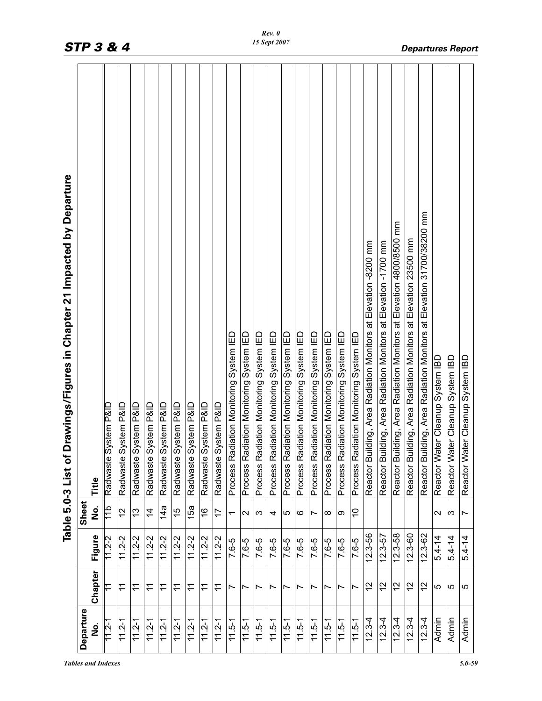| Departure  |                |             | Sheet             | i Drawings/Figures in Chapter 21 Impacted by Departure<br>Table 5.0-3 List o |
|------------|----------------|-------------|-------------------|------------------------------------------------------------------------------|
| ف<br>N     | Chapter        | Figure      | е<br>М            | Title                                                                        |
| $11.2 - 1$ |                | $11.2 - 2$  | $\frac{d}{10}$    | System P&ID<br>Radwaste                                                      |
| $11.2 - 1$ | $\tilde{t}$    | $11.2 - 2$  | $\frac{2}{3}$     | System P&ID<br>Radwaste                                                      |
| $11.2 - 1$ | $\tilde{\tau}$ | $11.2 - 2$  | 13                | System P&ID<br>Radwaste                                                      |
| $11.2 - 1$ | $\mathbf{r}$   | $11.2 - 2$  | $\overline{4}$    | System P&ID<br>Radwaste                                                      |
| $11.2 - 1$ | $\tilde{t}$    | $11.2 - 2$  | 14a               | System P&ID<br>Radwaste                                                      |
| $11.2 - 1$ | $\tilde{\tau}$ | $11.2 - 2$  | 15                | System P&ID<br>Radwaste                                                      |
| $11.2 - 1$ | Ξ              | $11.2 - 2$  | 15a               | System P&ID<br>Radwaste                                                      |
| $11.2 - 1$ | Ξ              | $11.2 - 2$  | $\frac{6}{5}$     | System P&ID<br>Radwaste                                                      |
| $11.2 - 1$ | $\tilde{\tau}$ | $11.2 - 2$  | 17                | System P&ID<br>Radwaste                                                      |
| $11.5 - 1$ | Ľ              | 7.6-5       | $\overline{ }$    | Process Radiation Monitoring System IED                                      |
| $11.5 - 1$ | r              | 7.6-5       | $\mathbf{\Omega}$ | Process Radiation Monitoring System IED                                      |
| $11.5 - 1$ | Ľ              | 7.6-5       | က                 | Process Radiation Monitoring System IED                                      |
| $11.5 - 1$ | Ľ              | 7.6-5       | 4                 | Process Radiation Monitoring System IED                                      |
| $11.5 - 1$ | Ľ              | 7.6-5       | 5                 | Process Radiation Monitoring System IED                                      |
| $11.5 - 1$ | Ľ              | 7.6-5       | ဖ                 | Process Radiation Monitoring System IED                                      |
| $11.5 - 1$ | Ľ              | 7.6-5       | Ľ                 | Process Radiation Monitoring System IED                                      |
| $11.5 - 1$ | Ľ              | 7.6-5       | $\infty$          | Process Radiation Monitoring System IED                                      |
| $11.5 - 1$ | Ľ              | 7.6-5       | σ                 | Process Radiation Monitoring System IED                                      |
| $11.5 - 1$ | Ľ              | 7.6-5       | S                 | Process Radiation Monitoring System IED                                      |
| $12.3 - 4$ | 27             | $12.3 - 56$ |                   | Reactor Building, Area Radiation Monitors at Elevation -8200 mm              |
| $12.3 - 4$ | $\frac{2}{3}$  | $12.3 - 57$ |                   | uilding, Area Radiation Monitors at Elevation -1700 mm<br>Reactor B          |
| $12.3 - 4$ | 57             | $12.3 - 58$ |                   | uilding, Area Radiation Monitors at Elevation 4800/8500 mm<br>Reactor B      |
| $12.3 - 4$ | $\frac{2}{3}$  | $12.3 - 60$ |                   | uilding, Area Radiation Monitors at Elevation 23500 mm<br>Reactor B          |
| $12.3 - 4$ | $\frac{2}{3}$  | $12.3 - 62$ |                   | uilding, Area Radiation Monitors at Elevation 31700/38200 mm<br>Reactor B    |
| Admin      | 5              | $5.4 - 14$  | $\sim$            | Reactor Water Cleanup System IBD                                             |
| Admin      | LO             | $5.4 - 14$  | ς                 | Reactor Water Cleanup System IBD                                             |
| Admin      | ပ              | $5.4 - 14$  | Ľ                 | Reactor Water Cleanup System IBD                                             |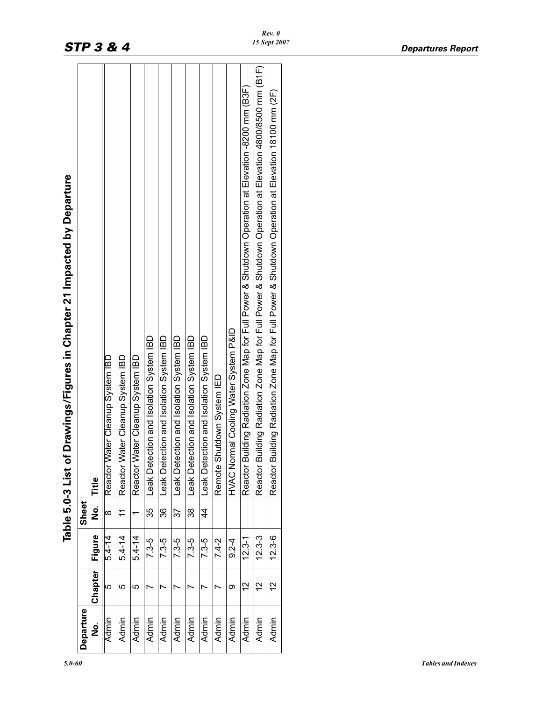|               |               |            |                | of Drawings/Figures in Chapter 21 Impacted by Departure<br>Table 5.0-3 List                                |
|---------------|---------------|------------|----------------|------------------------------------------------------------------------------------------------------------|
| Departure     |               |            | <b>Sheet</b>   |                                                                                                            |
| <u>o</u><br>2 | Chapter       | Figure     | 。<br>2         | Title                                                                                                      |
| Admin         | 5             | $5.4 - 14$ | $\infty$       | Water Cleanup System IBD<br>Reactor                                                                        |
| Admin         | LO            | $5.4 - 14$ | $\tilde{\tau}$ | Water Cleanup System IBD<br>Reactor                                                                        |
| Admin         | Ю             | $5.4 - 14$ |                | Water Cleanup System IBD<br>Reactor                                                                        |
| Admin         |               | $7.3-5$    | 35             | Leak Detection and Isolation System IBD                                                                    |
| Admin         |               | $7.3-5$    | 36             | eak Detection and Isolation System IBD                                                                     |
| Admin         |               | $7.3-5$    | 37             | Leak Detection and Isolation System IBD                                                                    |
| Admin         |               | $7.3-5$    | 38             | Leak Detection and Isolation System IBD                                                                    |
| Admin         | r             | $7.3 - 5$  | 4              | Leak Detection and Isolation System IBD                                                                    |
| Admin         |               | $7.4 - 2$  |                | Shutdown System IED<br>Remote                                                                              |
| Admin         | ග             | $9.2 - 4$  |                | ormal Cooling Water System P&ID<br>N UNN                                                                   |
| Admin         | $\frac{2}{1}$ | $12.3 - 1$ |                | Building Radiation Zone Map for Full Power & Shutdown Operation at Elevation -8200 mm (B3F)<br>Reactor     |
| Admin         | $\frac{2}{3}$ | 12.3-3     |                | Building Radiation Zone Map for Full Power & Shutdown Operation at Elevation 4800/8500 mm (B1F)<br>Reactor |
| Admin         | $\frac{2}{1}$ | $12.3 - 6$ |                | Building Radiation Zone Map for Full Power & Shutdown Operation at Elevation 18100 mm (2F)<br>Reactor      |
|               |               |            |                |                                                                                                            |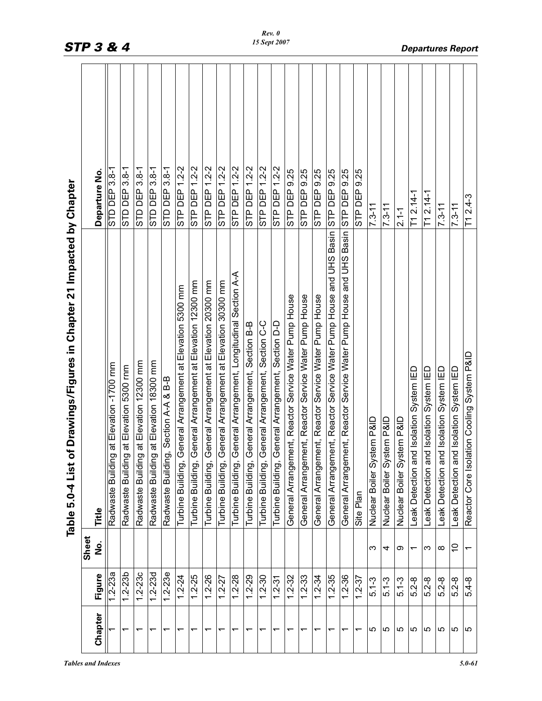|                                                                           | Departure No           | STD DEP 3.8-1                                 | STD DEP 3.8-                               | STD DEP 3.8-1                                | STD DEP 3.8-1                                | STD DEP 3.8-1                             | STP DEP 1.2-2                                                 | STP DEP 1.2-2                                                  | STP DEP 1.2-2                                                  | STP DEP 1.2-2                                                  | STP DEP 1.2-2<br>Section A-A                           | STP DEP 1.2-2                                         | STP DEP 1.2-2                                         | STP DEP 1.2-2                                         | STP DEP 9.25                                          | STP DEP 9.25                                          | STP DEP 9.25                                          |                                                                                  | and UHS Basin STP DEP 9.25                            | 9.25<br>STP DEP | $7.3 - 11$                 | $7.3 - 11$                 | $2.1 - 1$                      | $T1 2.14-1$                             | T1 2.14-1                               | $7.3 - 11$                              | $7.3 - 11$                              |   |
|---------------------------------------------------------------------------|------------------------|-----------------------------------------------|--------------------------------------------|----------------------------------------------|----------------------------------------------|-------------------------------------------|---------------------------------------------------------------|----------------------------------------------------------------|----------------------------------------------------------------|----------------------------------------------------------------|--------------------------------------------------------|-------------------------------------------------------|-------------------------------------------------------|-------------------------------------------------------|-------------------------------------------------------|-------------------------------------------------------|-------------------------------------------------------|----------------------------------------------------------------------------------|-------------------------------------------------------|-----------------|----------------------------|----------------------------|--------------------------------|-----------------------------------------|-----------------------------------------|-----------------------------------------|-----------------------------------------|---|
| of Drawings/Figures in Chapter 21 Impacted by Chapter<br>Table 5.0-4 List | Title                  | ng at Elevation -1700 rnm<br>Radwaste Buildir | ng at Elevation 5300 mm<br>Radwaste Buildi | ng at Elevation 12300 mm<br>Radwaste Buildir | ng at Elevation 18300 mm<br>Radwaste Buildir | ng, Section A-A & B-B<br>Radwaste Buildir | General Arrangement at Elevation 5300 mm<br>Turbine Building, | General Arrangement at Elevation 12300 mm<br>Turbine Building, | General Arrangement at Elevation 20300 mm<br>Turbine Building, | General Arrangement at Elevation 30300 mm<br>Turbine Building, | General Arrangement, Longitudinal<br>Turbine Building, | General Arrangement, Section B-B<br>Turbine Building, | General Arrangement, Section C-C<br>Turbine Building, | General Arrangement, Section D-D<br>Turbine Building, | General Arrangement, Reactor Service Water Pump House | General Arrangement, Reactor Service Water Pump House | General Arrangement, Reactor Service Water Pump House | General Arrangement, Reactor Service Water Pump House and UHS Basin STP DEP 9.25 | General Arrangement, Reactor Service Water Pump House | Site Plan       | Nuclear Boiler System P&ID | Nuclear Boiler System P&ID | stem P&ID<br>Nuclear Boiler Sy | Leak Detection and Isolation System IED | Leak Detection and Isolation System IED | Leak Detection and Isolation System IED | Leak Detection and Isolation System IED |   |
|                                                                           | Sheet<br><u>ہ</u><br>ح |                                               |                                            |                                              |                                              |                                           |                                                               |                                                                |                                                                |                                                                |                                                        |                                                       |                                                       |                                                       |                                                       |                                                       |                                                       |                                                                                  |                                                       |                 | က                          | 4                          | တ                              | $\overline{\phantom{0}}$                | က                                       | ∞                                       | $\widetilde{\phantom{a}}$               |   |
|                                                                           | Figure                 | 1.2-23a                                       | $1.2 - 23b$                                | $1.2 - 23c$                                  | $1.2 - 23d$                                  | $1.2 - 23e$                               | $1.2 - 24$                                                    | $1.2 - 25$                                                     | 1.2-26                                                         | $1.2 - 27$                                                     | $1.2 - 28$                                             | $1.2 - 29$                                            | $1.2 - 30$                                            | $1.2 - 31$                                            | $1.2 - 32$                                            | $1.2 - 33$                                            | $1.2 - 34$                                            | $1.2 - 35$                                                                       | $1.2 - 36$                                            | $1.2 - 37$      | $5.1 - 3$                  | $5.1 - 3$                  | $5.1 - 3$                      | $5.2 - 8$                               | $5.2 - 8$                               | $5.2 - 8$                               | $5.2 - 8$                               |   |
|                                                                           | Chapter                |                                               | $\overline{\phantom{0}}$                   | ᠇                                            | $\overline{\phantom{0}}$                     | ᠇                                         | $\overline{\phantom{0}}$                                      | ᠇                                                              | ᠇                                                              | $\overline{\phantom{0}}$                                       | $\overline{ }$                                         | $\overline{\phantom{0}}$                              | ᠇                                                     | $\overline{ }$                                        | $\overline{ }$                                        | ٣                                                     | $\overline{\phantom{0}}$                              | ↽                                                                                | $\overline{\phantom{0}}$                              | $\overline{ }$  | LO                         | 5                          | 5                              | 5                                       | 5                                       | 5                                       | 5                                       | S |

*Rev. 0 15 Sept 2007*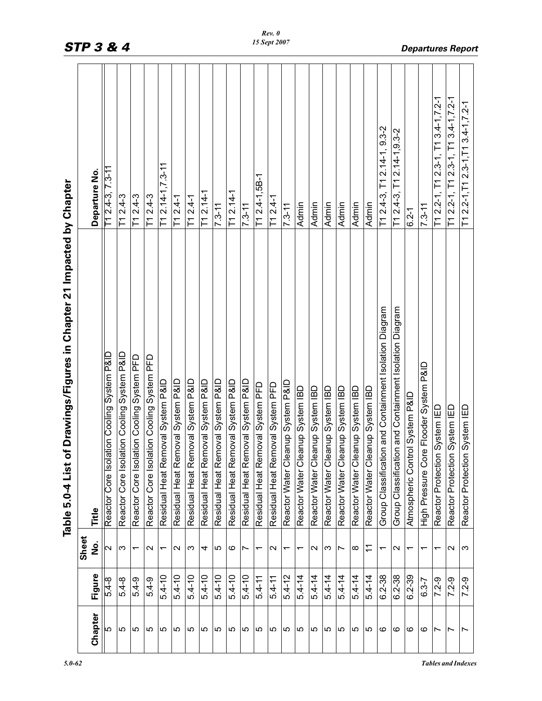|                          |            |                          | of Drawings/Figures in Chapter 21 Impacted by Chapter<br>List<br>Table 5.0-4 |                                                        |
|--------------------------|------------|--------------------------|------------------------------------------------------------------------------|--------------------------------------------------------|
|                          |            | Sheet                    |                                                                              |                                                        |
| Chapter                  | Figure     | <u>ہ</u><br>2            | Title                                                                        | Departure No.                                          |
| 5                        | 5.4-8      | Z                        | Reactor Core Isolation Cooling System P&ID                                   | [1 2.4-3, 7.3-11                                       |
| 5                        | $5.4 - 8$  | ς                        | lation Cooling System P&ID<br>Reactor Core Iso                               | $T12.4-3$                                              |
| 5                        | 5.4-9      | ᠇                        | lation Cooling System PFD<br>Reactor Core Iso                                | $T12.4-3$                                              |
| 5                        | $5.4 - 9$  | $\mathbf{\sim}$          | Reactor Core Isolation Cooling System PFD                                    | $T12.4-3$                                              |
| 5                        | $5.4 - 10$ | $\overline{\phantom{0}}$ | Residual Heat Removal System P&ID                                            | $T1 2.14 - 1, 7.3 - 11$                                |
| 5                        | $5.4 - 10$ | $\sim$                   | Residual Heat Removal System P&ID                                            | $T12.4-1$                                              |
| ပ                        | $5.4 - 10$ | က                        | Residual Heat Removal System P&ID                                            | $T12.4 - 1$                                            |
| 5                        | $5.4 - 10$ | 4                        | Residual Heat Removal System P&ID                                            | $\overline{11}$ 2.14-1                                 |
| 5                        | $5.4 - 10$ | 5                        | Residual Heat Removal System P&ID                                            | $7.3 - 11$                                             |
| 5                        | $5.4 - 10$ | ဖ                        | Residual Heat Removal System P&ID                                            | $T1 2.14-1$                                            |
| 5                        | $5.4 - 10$ | Ľ                        | Residual Heat Removal System P&ID                                            | $7.3 - 11$                                             |
| ю                        | $5.4 - 11$ | ᠇                        | Residual Heat Removal System PFD                                             | $T1 2.4 - 1,5B - 1$                                    |
| Ю                        | $5.4 - 11$ | $\mathbf{\sim}$          | Residual Heat Removal System PFD                                             | $T1 2.4 - 1$                                           |
| 5                        | $5.4 - 12$ | ↽                        | leanup System P&ID<br>Reactor Water CI                                       | $11 - 5.7$                                             |
| Ю                        | $5.4 - 14$ | ↽                        | leanup System IBD<br>Reactor Water Cl                                        | Admin                                                  |
| 5                        | $5.4 - 14$ | $\mathbf{\sim}$          | leanup System IBD<br>Reactor Water CI                                        | Admin                                                  |
| 5                        | $5.4 - 14$ | က                        | leanup System IBD<br>Reactor Water CI                                        | <b>Admin</b>                                           |
| Ю                        | $5.4 - 14$ | $\overline{\phantom{0}}$ | leanup System IBD<br>Reactor Water CI                                        | Admin                                                  |
| Ю                        | $5.4 - 14$ | $\infty$                 | leanup System IBD<br>Reactor Water CI                                        | Admin                                                  |
| LO.                      | $5.4 - 14$ | $\tilde{\tau}$           | leanup System IBD<br>Reactor Water C                                         | Admin                                                  |
| ဖ                        | 6.2-38     | ↽                        | tion and Containment Isolation Diagram<br>Group Classificat                  | $T1 2.4-3$ , $T1 2.14-1$ , $9.3-2$                     |
| ဖ                        | $6.2 - 38$ | $\mathbf{\Omega}$        | tion and Containment Isolation Diagram<br>Group Classifica                   | T1 2.4-3, T1 2.14-1, 9.3-2                             |
| ဖ                        | $6.2 - 39$ | $\overline{\phantom{0}}$ | ntrol System P&ID<br>Atmospheric Cor                                         | $6.2 - 1$                                              |
| ဖ                        | $6.3 - 7$  | ↽                        | ore Flooder System P&ID<br>High Pressure Co                                  | $7.3 - 11$                                             |
| $\overline{\phantom{0}}$ | $7.2 - 9$  | ↽                        | Reactor Protection System IED                                                | $T1 2.2 - 1$ , $T1 2.3 - 1$ , $T1 3.4 - 1$ , $7.2 - 1$ |
| $\overline{\phantom{0}}$ | $7.2 - 9$  | $\mathbf 2$              | Reactor Protection System IED                                                | $T1 2.2 - 1$ , $T1 2.3 - 1$ , $T1 3.4 - 1$ , $7.2 - 1$ |
| $\overline{\phantom{0}}$ | $7.2 - 9$  | က                        | Reactor Protection System IED                                                | $T1 2.2 - 1, T1 2.3 - 1, T1 3.4 - 1, Z.2 - 1$          |

*Rev. 0*

*STP 3 & 4 Departures Report*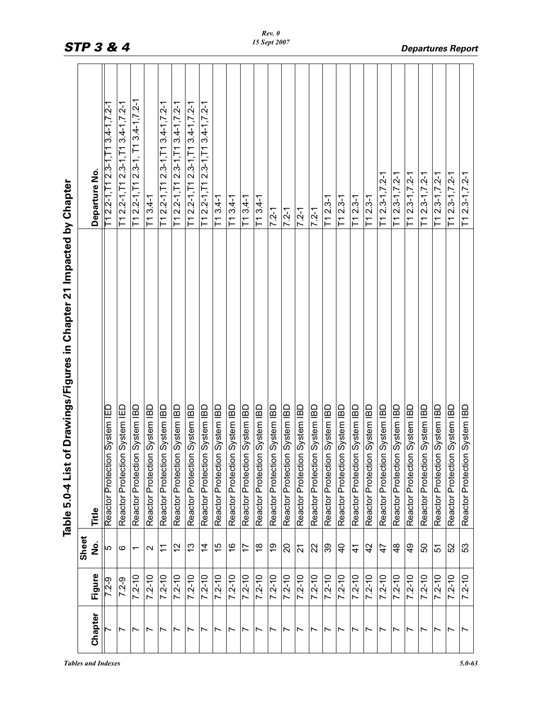|                                                                           | Departure No. | $-1$ 2.2-1, $-1$ 2.3-1, $-1$ 3.4-1, $-7$ . 2-1 | $T1 2.2 - 1$ , $T1 2.3 - 1$ , $T1 3.4 - 1$ , $T.2 - 1$ | $T1 2.2 - 1$ , $T1 2.3 - 1$ , $T1 3.4 - 1$ , $7.2 - 1$ | $\overline{1}13.4 - 1$        | $T1 2.2 - 1, T1 2.3 - 1, T1 3.4 - 1, Z.2 - 1$ | $T1 2.2 - 1$ , $T1 2.3 - 1$ , $T1 3.4 - 1$ , $7.2 - 1$ | $T1 2.2 - 1, T1 2.3 - 1, T1 3.4 - 1, Z.2 - 1$ | $T1 2.2 - 1, T1 2.3 - 1, T1 3.4 - 1, Z.2 - 1$ | $T13.4-1$                     | $T13.4-1$                     | $T13.4-1$                     | $T13.4-1$                     | $7.2 - 1$                     | $7.2 - 1$                     | $7.2 - 1$                     | $7.2 - 1$                     | $T12.3-1$                     | $T1 2.3-1$                    | $\overline{712.3}$ -1         | $T12.3-1$                     | $T1 2.3 - 1, Z - 1$           | $T1 2.3 - 1, 7.2 - 1$         | $T1 2.3 - 1, 7.2 - 1$         | $T1 2.3 - 1, 7.2 - 1$         | $T1 2.3 - 1, 7.2 - 1$         | $T1 2.3 - 1, 7.2 - 1$         | $T1 2.3 - 1, 7.2 - 1$         |
|---------------------------------------------------------------------------|---------------|------------------------------------------------|--------------------------------------------------------|--------------------------------------------------------|-------------------------------|-----------------------------------------------|--------------------------------------------------------|-----------------------------------------------|-----------------------------------------------|-------------------------------|-------------------------------|-------------------------------|-------------------------------|-------------------------------|-------------------------------|-------------------------------|-------------------------------|-------------------------------|-------------------------------|-------------------------------|-------------------------------|-------------------------------|-------------------------------|-------------------------------|-------------------------------|-------------------------------|-------------------------------|-------------------------------|
| of Drawings/Figures in Chapter 21 Impacted by Chapter<br>Table 5.0-4 List | Title         | Reactor Protection System IED                  | Reactor Protection System IED                          | Reactor Protection System IBD                          | Reactor Protection System IBD | Reactor Protection System IBD                 | Reactor Protection System IBD                          | Reactor Protection System IBD                 | Reactor Protection System IBD                 | Reactor Protection System IBD | Reactor Protection System IBD | Reactor Protection System IBD | Reactor Protection System IBD | Reactor Protection System IBD | Reactor Protection System IBD | Reactor Protection System IBD | Reactor Protection System IBD | Reactor Protection System IBD | Reactor Protection System IBD | Reactor Protection System IBD | Reactor Protection System IBD | Reactor Protection System IBD | Reactor Protection System IBD | Reactor Protection System IBD | Reactor Protection System IBD | Reactor Protection System IBD | Reactor Protection System IBD | Reactor Protection System IBD |
|                                                                           | Sheet<br>ġ    | 5                                              | ဖ                                                      | $\overline{\phantom{0}}$                               | $\mathbf{\Omega}$             | $\widetilde{\tau}$                            | $\frac{2}{3}$                                          | <u>ლ</u>                                      | $\overline{4}$                                | $\frac{5}{1}$                 | $\frac{8}{1}$                 | 17                            | $\frac{8}{1}$                 | ი<br>1                        | $\overline{20}$               | $\overline{21}$               | 22                            | 89                            | $\overline{4}$                | $\frac{4}{1}$                 | 42                            | $\frac{4}{7}$                 | $\frac{8}{4}$                 | $\frac{6}{7}$                 | 50                            | $\overline{51}$               | 52                            | 53                            |
|                                                                           | Figure        | 7.2-9                                          | $7.2 - 9$                                              | $7.2 - 10$                                             | $7.2 - 10$                    | $\frac{1}{7.2-10}$                            | $7.2 - 10$                                             | $7.2 - 10$                                    | $7.2 - 10$                                    | $7.2 - 10$                    | $7.2 - 10$                    | $7.2 - 10$                    | $7.2 - 10$                    | $7.2 - 10$                    | $7.2 - 10$                    | $7.2 - 10$                    | $7.2 - 10$                    | $7.2 - 10$                    | $7.2 - 10$                    | $\frac{1}{7.2 - 10}$          | $7.2 - 10$                    | $7.2 - 10$                    | $7.2 - 10$                    | $7.2 - 10$                    | $7.2 - 10$                    | $7.2 - 10$                    | $7.2 - 10$                    | $7.2 - 10$                    |
|                                                                           | Chapter       |                                                | Ľ                                                      | $\overline{ }$                                         | $\overline{\phantom{0}}$      | $\overline{\phantom{0}}$                      | $\overline{ }$                                         | $\overline{\phantom{0}}$                      | $\overline{\phantom{0}}$                      | $\overline{\phantom{0}}$      | $\overline{\phantom{0}}$      | $\overline{\phantom{0}}$      | $\overline{ }$                | $\overline{\phantom{0}}$      | $\overline{ }$                | $\overline{ }$                | $\overline{\phantom{0}}$      | $\overline{ }$                | $\overline{ }$                | $\overline{\phantom{0}}$      | Ľ                             | Ľ                             | $\overline{\phantom{0}}$      | $\overline{\phantom{0}}$      | Ľ                             | Ľ                             | $\overline{ }$                | $\overline{ }$                |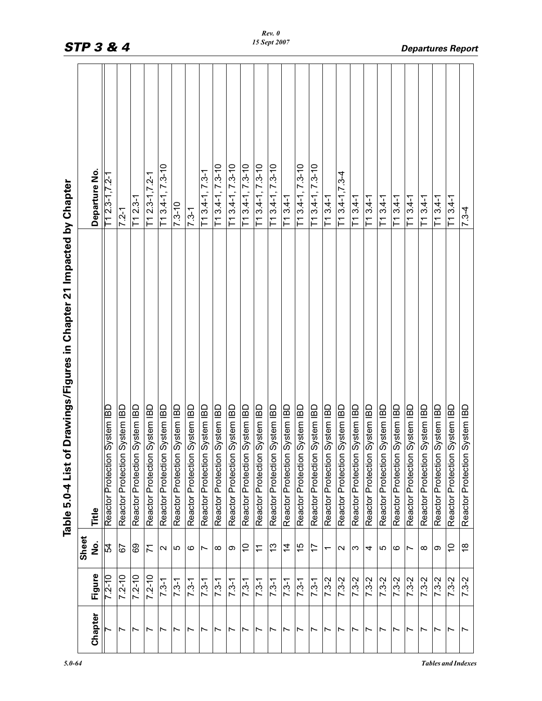|                          |            |                          | of Drawings/Figures in Chapter 21 Impacted by Chapter<br>Table 5.0-4 List |                        |
|--------------------------|------------|--------------------------|---------------------------------------------------------------------------|------------------------|
|                          |            | Sheet                    |                                                                           |                        |
| Chapter                  | Figure     | .<br>2                   | Title                                                                     | Departure No           |
|                          | $7.2 - 10$ | 54                       | Reactor Protection System IBD                                             | T1 2.3-1,7.2-1         |
| Ľ                        | $7.2 - 10$ | 57                       | Reactor Protection System IBD                                             | $7.2 - 1$              |
| Ľ                        | $7.2 - 10$ | 89                       | Reactor Protection System IBD                                             | $T1 2.3-1$             |
| Ľ                        | $7.2 - 10$ | $\overline{7}$           | Reactor Protection System IBD                                             | $T1 2.3 - 1, 7.2 - 1$  |
| Ľ                        | $7.3 - 1$  | $\sim$                   | Reactor Protection System IBD                                             | $T13.4-1, 7.3-10$      |
| Ľ                        | $7.3 - 1$  | 5                        | Reactor Protection System IBD                                             | $7.3 - 10$             |
| r                        | $7.3 - 1$  | ဖ                        | Reactor Protection System IBD                                             | $7.3 - 1$              |
| Ľ                        | $7.3 - 1$  | Ľ                        | Reactor Protection System IBD                                             | $T13.4-1, 7.3-1$       |
| Ľ                        | $7.3 - 1$  | $\infty$                 | Reactor Protection System IBD                                             | $T13.4-1, 7.3-10$      |
| Ľ                        | $7.3 - 1$  | တ                        | Reactor Protection System IBD                                             | T13.4-1, 7.3-10        |
| Ľ                        | $7.3 - 1$  | S                        | Reactor Protection System IBD                                             | T13.4-1, 7.3-10        |
| Ľ                        | $7.3 - 1$  | $\tilde{\tau}$           | Reactor Protection System IBD                                             | $T13.4-1, 7.3-10$      |
| Ľ                        | $7.3 - 1$  | చ                        | Reactor Protection System IBD                                             | $T13.4-1, 7.3-10$      |
| Ľ                        | $7.3 - 1$  | $\frac{4}{3}$            | Reactor Protection System IBD                                             | $T13.4-1$              |
| Ľ                        | $7.3 - 1$  | 15                       | Reactor Protection System IBD                                             | $T13.4-1, 7.3-10$      |
| Ľ                        | $7.3 - 1$  | 17                       | Reactor Protection System IBD                                             | $T1$ 3.4-1, 7.3-10     |
| $\overline{\phantom{0}}$ | $7.3 - 2$  | $\overline{\phantom{0}}$ | Reactor Protection System IBD                                             | $T13.4-1$              |
| Ľ                        | $7.3 - 2$  | $\sim$                   | Reactor Protection System IBD                                             | $T13.4 - 1, 7.3 - 4$   |
| r                        | $7.3 - 2$  | က                        | Reactor Protection System IBD                                             | $T13.4-1$              |
| r                        | $7.3 - 2$  | 4                        | Reactor Protection System IBD                                             | $T13.4-1$              |
| Ľ                        | $7.3 - 2$  | Ю                        | Reactor Protection System IBD                                             | $T13.4-1$              |
| Ľ                        | $7.3 - 2$  | ဖ                        | Reactor Protection System IBD                                             | T13.4-1                |
| Ľ                        | $7.3 - 2$  | Ľ                        | Reactor Protection System IBD                                             | $\overline{11}3.4 - 1$ |
| Ľ                        | $7.3 - 2$  | $\infty$                 | Reactor Protection System IBD                                             | $T13.4-1$              |
| Ľ                        | $7.3 - 2$  | တ                        | Reactor Protection System IBD                                             | $T13.4-1$              |
| Ľ                        | $7.3 - 2$  | S                        | Reactor Protection System IBD                                             | $T13.4-1$              |
| $\overline{\phantom{0}}$ | $7.3 - 2$  | $\frac{8}{1}$            | Reactor Protection System IBD                                             | $7.3 - 4$              |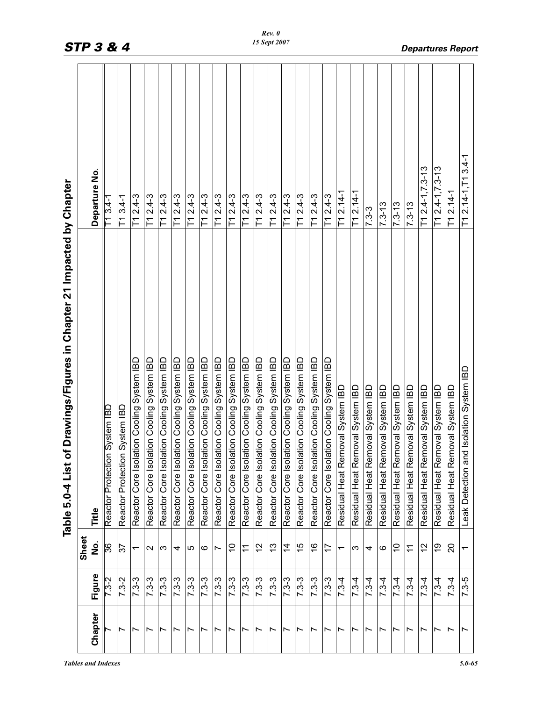|                                                                           | Departure No. | T1 3.4-1                      | $T13.4-1$                     | $T1 2.4 - 3$                                  | $T12.4-3$                                     | $T12.4-3$                                     | $T12.4-3$                                     | $T12.4-3$                                     | $T12.4-3$                                     | $T12.4-3$                                     | $T12.4-3$                                 | $T12.4-3$                                     | $T12.4-3$                                 | $T12.4-3$                                 | $T12.4-3$                                 | $T12.4-3$                                     | $T1 2.4 - 3$                              | $T12.4-3$                                 | $T1 2.14-1$                           | $T1 2.14 - 1$                    | $7.3 - 3$                        | $7.3 - 13$                       | $7.3 - 13$                       | $ 7.3 - 13$                      | $T1 2.4 - 1, 7.3 - 13$           | $T1 2.4 - 1, 7.3 - 13$           | T1 2.14-1                        | $3.4 - 1$<br>$T12.14-1, T1$             |
|---------------------------------------------------------------------------|---------------|-------------------------------|-------------------------------|-----------------------------------------------|-----------------------------------------------|-----------------------------------------------|-----------------------------------------------|-----------------------------------------------|-----------------------------------------------|-----------------------------------------------|-------------------------------------------|-----------------------------------------------|-------------------------------------------|-------------------------------------------|-------------------------------------------|-----------------------------------------------|-------------------------------------------|-------------------------------------------|---------------------------------------|----------------------------------|----------------------------------|----------------------------------|----------------------------------|----------------------------------|----------------------------------|----------------------------------|----------------------------------|-----------------------------------------|
| of Drawings/Figures in Chapter 21 Impacted by Chapter<br>Table 5.0-4 List | Title         | Reactor Protection System IBD | Reactor Protection System IBD | lation Cooling System IBD<br>Reactor Core Iso | lation Cooling System IBD<br>Reactor Core Iso | lation Cooling System IBD<br>Reactor Core Iso | lation Cooling System IBD<br>Reactor Core Iso | lation Cooling System IBD<br>Reactor Core Iso | lation Cooling System IBD<br>Reactor Core Iso | lation Cooling System IBD<br>Reactor Core Iso | Reactor Core Isolation Cooling System IBD | lation Cooling System IBD<br>Reactor Core Iso | Reactor Core Isolation Cooling System IBD | Reactor Core Isolation Cooling System IBD | Reactor Core Isolation Cooling System IBD | lation Cooling System IBD<br>Reactor Core Iso | Reactor Core Isolation Cooling System IBD | Reactor Core Isolation Cooling System IBD | amoval System IBD<br>Residual Heat Re | Residual Heat Removal System IBD | Residual Heat Removal System IBD | Residual Heat Removal System IBD | Residual Heat Removal System IBD | Residual Heat Removal System IBD | Residual Heat Removal System IBD | Residual Heat Removal System IBD | Residual Heat Removal System IBD | Leak Detection and Isolation System IBD |
|                                                                           | Sheet<br>å    | 36                            | 57                            | ᠇                                             | $\sim$                                        | က                                             | 4                                             | ပ                                             | ဖ                                             | Ľ                                             | S                                         | $\tilde{\tau}$                                | $\frac{2}{3}$                             | <u>ლ</u>                                  | $\overline{4}$                            | 15                                            | $\frac{6}{5}$                             | 17                                        | $\overline{\phantom{0}}$              | ς                                | 4                                | ဖ                                | S                                | $\tilde{t}$                      | 57                               | ი<br>1                           | 20                               | $\overline{ }$                          |
|                                                                           | Figure        | $7.3 - 2$                     | $7.3 - 2$                     | $7.3 - 3$                                     | $7.3 - 3$                                     | $7.3 - 3$                                     | $7.3 - 3$                                     | $7.3 - 3$                                     | $7.3 - 3$                                     | $7.3 - 3$                                     | $7.3 - 3$                                 | $7.3 - 3$                                     | $7.3 - 3$                                 | $7.3 - 3$                                 | $7.3 - 3$                                 | $7.3 - 3$                                     | $7.3 - 3$                                 | $7.3 - 3$                                 | $7.3-4$                               | $7.3 - 4$                        | $7.3-4$                          | $7.3-4$                          | $7.3-4$                          | $7.3 - 4$                        | $7.3-4$                          | $7.3-4$                          | $7.3-4$                          | $7.3 - 5$                               |
|                                                                           | Chapter       |                               | $\overline{\phantom{0}}$      | Ľ                                             | Ľ                                             | Ľ                                             | $\overline{ }$                                | $\overline{ }$                                | Ľ                                             | $\overline{ }$                                | $\overline{\phantom{0}}$                  | $\overline{ }$                                | Ľ                                         | $\overline{\phantom{0}}$                  | $\overline{ }$                            | $\overline{ }$                                | Ľ                                         | $\overline{ }$                            | $\overline{ }$                        | $\overline{ }$                   | Ľ                                | Ľ                                | Ľ                                | $\overline{\phantom{0}}$         | $\overline{\phantom{0}}$         | Ľ                                | $\overline{ }$                   | $\overline{ }$                          |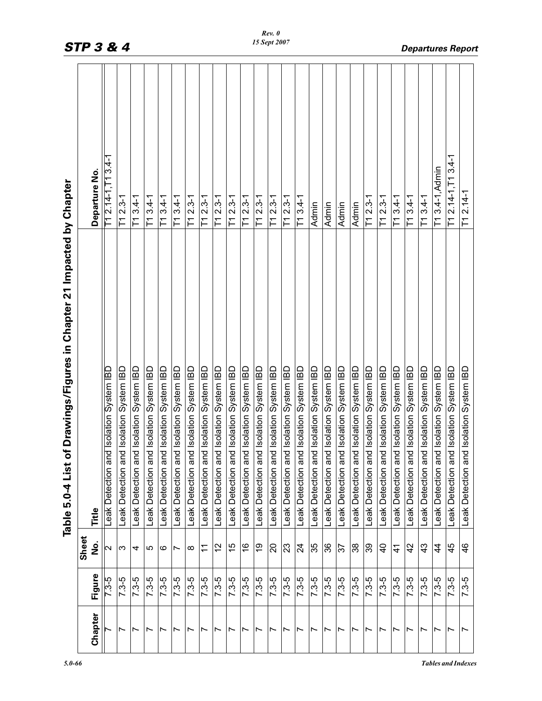|                          |           |                                                                 | of Drawings/Figures in Chapter 21 Impacted by Chapter<br>Table 5.0-4 List |                               |
|--------------------------|-----------|-----------------------------------------------------------------|---------------------------------------------------------------------------|-------------------------------|
|                          |           | Sheet                                                           |                                                                           |                               |
| Chapter                  | Figure    | ف<br>S                                                          | Title                                                                     | Departure No.                 |
|                          | $7.3 - 5$ | $\mathbf{\Omega}$                                               | Leak Detection and Isolation System IBD                                   | T1 2.14-1,T1 3.4-1            |
| $\overline{ }$           | $7.3 - 5$ | ო                                                               | Leak Detection and Isolation System IBD                                   | $T1 2.3-1$                    |
| Ľ                        | $7.3 - 5$ | 4                                                               | Leak Detection and Isolation System IBD                                   | $T13.4-1$                     |
| Ľ                        | $7.3 - 5$ | 5                                                               | Leak Detection and Isolation System IBD                                   | $T13.4-1$                     |
| $\overline{\phantom{0}}$ | $7.3 - 5$ | ဖ                                                               | Leak Detection and Isolation System IBD                                   | $T13.4-1$                     |
| $\overline{\phantom{0}}$ | $7.3 - 5$ | Ľ                                                               | Leak Detection and Isolation System IBD                                   | $3.4 - 1$<br>下                |
| $\overline{\phantom{0}}$ | $7.3 - 5$ | $\infty$                                                        | Leak Detection and Isolation System IBD                                   | $T1 2.3-1$                    |
| $\overline{\phantom{0}}$ | $7.3 - 5$ | $\stackrel{\textstyle\textstyle\sim}{\textstyle\textstyle\sim}$ | Leak Detection and Isolation System IBD                                   | $2.3 - 1$<br>门                |
| $\overline{ }$           | $7.3 - 5$ | 57                                                              | Leak Detection and Isolation System IBD                                   | $T1 2.3-1$                    |
| $\overline{ }$           | $7.3 - 5$ | $\frac{5}{2}$                                                   | Leak Detection and Isolation System IBD                                   | $2.3 - 1$<br>下                |
| $\overline{ }$           | $7.3 - 5$ | $\frac{6}{1}$                                                   | Leak Detection and Isolation System IBD                                   | $2.3 - 1$<br>F                |
| $\overline{\phantom{0}}$ | $7.3 - 5$ | 6Ļ                                                              | Leak Detection and Isolation System IBD                                   | $2.3 - 1$<br>下                |
| $\overline{ }$           | $7.3 - 5$ | 20                                                              | Leak Detection and Isolation System IBD                                   | $T12.3-1$                     |
| $\overline{ }$           | $7.3 - 5$ | 23                                                              | Leak Detection and Isolation System IBD                                   | $2.3 - 1$<br>门                |
| $\overline{ }$           | $7.3 - 5$ | $\overline{2}$                                                  | Leak Detection and Isolation System IBD                                   | $T13.4-1$                     |
| $\overline{\phantom{0}}$ | $7.3 - 5$ | 35                                                              | Leak Detection and Isolation System IBD                                   | Admin                         |
| $\overline{ }$           | $7.3 - 5$ | 36                                                              | Leak Detection and Isolation System IBD                                   | Admin                         |
| $\overline{ }$           | $7.3 - 5$ | 57                                                              | Leak Detection and Isolation System IBD                                   | Admin                         |
| Ľ                        | $7.3 - 5$ | 38                                                              | Leak Detection and Isolation System IBD                                   | Admin                         |
| $\overline{\phantom{0}}$ | $7.3 - 5$ | 39                                                              | Leak Detection and Isolation System IBD                                   | $\overline{11}$ 2.3-1         |
| $\overline{\phantom{0}}$ | $7.3 - 5$ | $\overline{a}$                                                  | Leak Detection and Isolation System IBD                                   | $T1 2.3-1$                    |
| Ľ                        | $7.3 - 5$ | $\frac{4}{1}$                                                   | Leak Detection and Isolation System IBD                                   | $T13.4-1$                     |
| Ľ                        | $7.3 - 5$ | 42                                                              | Leak Detection and Isolation System IBD                                   | $T13.4-1$                     |
| Ľ                        | $7.3 - 5$ | 43                                                              | Leak Detection and Isolation System IBD                                   | $T13.4-1$                     |
| Ľ                        | $7.3 - 5$ | 4                                                               | Leak Detection and Isolation System IBD                                   | T1 3.4-1, Admin               |
| Ľ                        | $7.3 - 5$ | 45                                                              | Leak Detection and Isolation System IBD                                   | $3.4 - 1$<br>$T12.14 - 1, T1$ |
| $\overline{ }$           | $7.3 - 5$ | $\frac{6}{4}$                                                   | Leak Detection and Isolation System IBD                                   | $T1 2.14-1$                   |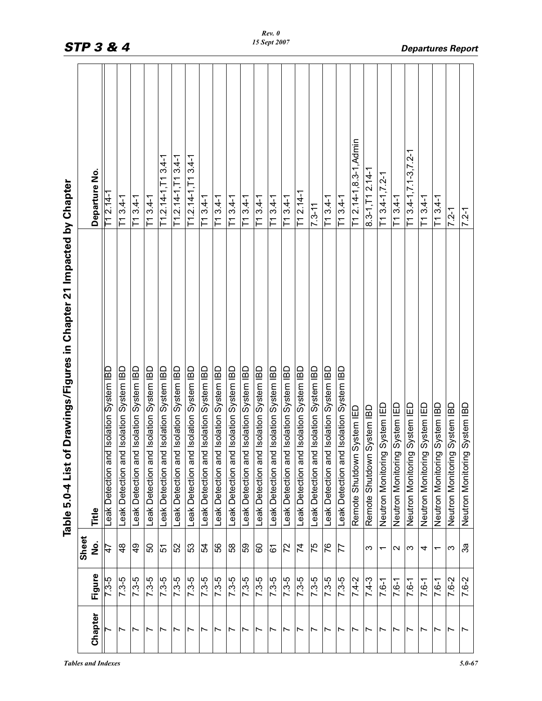| Figure<br>$7.3 - 5$<br>$7.3 - 5$<br>$7.3 - 5$<br>$7.3 - 5$<br>$7.3 - 5$<br>$7.3 - 5$<br>$7.3 - 5$<br>$7.3 - 5$<br>$7.3 - 5$<br>$7.3 - 5$<br>$7.3 - 5$<br>$7.3 - 5$<br>$7.3 - 5$<br>$7.3-5$<br>$7.3 - 5$<br>$7.3 - 5$<br>$7.3 - 5$<br>$7.3 - 5$<br>$7.4 - 2$<br>$7.4 - 3$<br>$7.6 - 1$<br>$7.6 - 1$<br>$7.6 - 1$<br>$7.6 - 1$<br>Chapter | Sheet<br>å<br>56<br>$\frac{8}{4}$<br>$\frac{9}{4}$<br>52<br>53<br>58<br>59<br>72<br>74<br>75<br>76<br>50<br>54<br>60<br>77<br>$\frac{4}{1}$<br>51<br>61<br>ς<br>$\mathbf{\sim}$<br>က<br>4<br>↽ | Leak Detection and Isolation System IBD<br>Leak Detection and Isolation System IBD<br>Leak Detection and Isolation System IBD<br>Leak Detection and Isolation System IBD<br>Leak Detection and Isolation System IBD<br>Leak Detection and Isolation System IBD<br>Leak Detection and Isolation System IBD<br>Leak Detection and Isolation System IBD<br>Leak Detection and Isolation System IBD<br>Leak Detection and Isolation System IBD<br>Leak Detection and Isolation System IBD<br>Leak Detection and Isolation System IBD<br>Leak Detection and Isolation System IBD<br>Leak Detection and Isolation System IBD<br>Leak Detection and Isolation System IBD<br>Leak Detection and Isolation System IBD<br>Leak Detection and Isolation System IBD<br>Leak Detection and Isolation System IBD<br>Neutron Monitoring System IED<br>Neutron Monitoring System IED<br>Neutron Monitoring System IED<br>Neutron Monitoring System IED<br>Remote Shutdown System IBD<br>Remote Shutdown System IED<br>Title | T1 2.14-1,8.3-1, Admin<br>$T1$ 3.4-1, 7.1-3, 7.2-1<br>$T1.2.14 - 1, T13.4 - 1$<br>$T1.2.14 - 1, T13.4 - 1$<br>$T1.2.14 - 1.713.4 - 1$<br>$8.3 - 1, T12.14 - T$<br>Departure No.<br>$T13.4 - 1, 7.2 - 1$<br>$T12.14-1$<br>T1 2.14-1<br>$T13.4-1$<br>$T13.4-1$<br>$T13.4-1$<br>$T13.4-1$<br>$T13.4-1$<br>$T13.4-1$<br>$T13.4-1$<br>$T13.4-1$<br>$T13.4-1$<br>$T13.4-1$<br>$T13.4-1$<br>$T13.4-1$<br>$T13.4-1$<br>$T13.4-1$<br>$7.3 - 11$ |
|-----------------------------------------------------------------------------------------------------------------------------------------------------------------------------------------------------------------------------------------------------------------------------------------------------------------------------------------|------------------------------------------------------------------------------------------------------------------------------------------------------------------------------------------------|-------------------------------------------------------------------------------------------------------------------------------------------------------------------------------------------------------------------------------------------------------------------------------------------------------------------------------------------------------------------------------------------------------------------------------------------------------------------------------------------------------------------------------------------------------------------------------------------------------------------------------------------------------------------------------------------------------------------------------------------------------------------------------------------------------------------------------------------------------------------------------------------------------------------------------------------------------------------------------------------------------------|----------------------------------------------------------------------------------------------------------------------------------------------------------------------------------------------------------------------------------------------------------------------------------------------------------------------------------------------------------------------------------------------------------------------------------------|
| $7.6 - 2$<br>$7.6 - 1$                                                                                                                                                                                                                                                                                                                  | ని<br>ω<br>$\overline{\phantom{0}}$                                                                                                                                                            | Neutron Monitoring System IBD<br>Neutron Monitoring System IBD<br>Neutron Monitoring System IBD                                                                                                                                                                                                                                                                                                                                                                                                                                                                                                                                                                                                                                                                                                                                                                                                                                                                                                             | $T13.4-1$<br>$7.2 - 1$<br>$7.2 - 1$                                                                                                                                                                                                                                                                                                                                                                                                    |
| $7.6 - 2$                                                                                                                                                                                                                                                                                                                               |                                                                                                                                                                                                |                                                                                                                                                                                                                                                                                                                                                                                                                                                                                                                                                                                                                                                                                                                                                                                                                                                                                                                                                                                                             |                                                                                                                                                                                                                                                                                                                                                                                                                                        |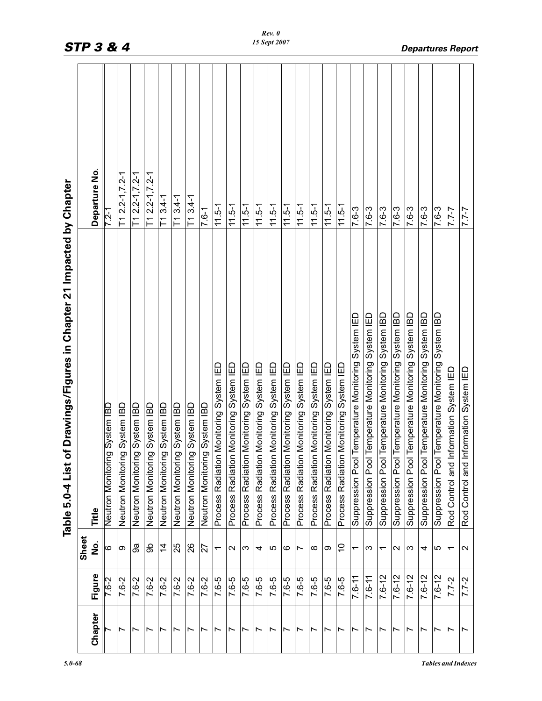|                          |             |                          | of Drawings/Figures in Chapter 21 Impacted by Chapter<br>Table 5.0-4 List |                       |
|--------------------------|-------------|--------------------------|---------------------------------------------------------------------------|-----------------------|
|                          |             | Sheet                    |                                                                           |                       |
| Chapter                  | Figure      | ف<br>S                   | Title                                                                     | Departure No.         |
|                          | 7-9.7       | 9                        | ng System IBD<br>Neutron Monitori                                         | $7.2 - 1$             |
| $\overline{\phantom{0}}$ | $7.6 - 2$   | တ                        | ng System IBD<br>Neutron Monitori                                         | $T1 2.2 - 1, 7.2 - 1$ |
| Ľ                        | 7.6-2       | ್ದಿ                      | ng System IBD<br>Neutron Monitori                                         | $T1 2.2 - 1.7.2 - 1$  |
| Ľ                        | 7.6-2       | န္တ                      | ng System IBD<br>Neutron Monitori                                         | $T1 2.2 - 1, 7.2 - 1$ |
| $\overline{\phantom{0}}$ | 7.6-2       | $\overline{4}$           | Neutron Monitoring System IBD                                             | $T13.4-1$             |
| $\overline{\phantom{0}}$ | 7.6-2       | 25                       | ng System IBD<br>Neutron Monitori                                         | $T13.4-1$             |
| Ľ                        | 7.6-2       | 26                       | ng System IBD<br>Neutron Monitori                                         | $T13.4-1$             |
| Ľ                        | $7 - 6 - 2$ | 72                       | ng System IBD<br>Neutron Monitori                                         | $7.6 - 1$             |
| $\overline{ }$           | 7.6-5       | $\overline{\phantom{0}}$ | Process Radiation Monitoring System IED                                   | $11.5 - 1$            |
| $\overline{\phantom{0}}$ | 7-6-5       | $\mathbf{\Omega}$        | 읍<br>Process Radiation Monitoring System                                  | $11.5 - 1$            |
| Ľ                        | 7.6-5       | ო                        | Process Radiation Monitoring System IED                                   | $11.5 - 1$            |
| $\overline{\phantom{0}}$ | 7.6-5       | 4                        | Process Radiation Monitoring System IED                                   | $11.5 - 1$            |
| $\overline{\phantom{a}}$ | 7.6-5       | 5                        | Process Radiation Monitoring System IED                                   | $11.5 - 1$            |
| $\overline{\phantom{0}}$ | $7.6 - 5$   | ဖ                        | Process Radiation Monitoring System IED                                   | $11.5 - 1$            |
| $\overline{ }$           | 7.6-5       | Ľ                        | Process Radiation Monitoring System IED                                   | $11.5 - 1$            |
| Ľ                        | $7.6 - 5$   | ∞                        | Process Radiation Monitoring System IED                                   | $11.5 - 1$            |
| $\overline{ }$           | 7.6-5       | တ                        | Process Radiation Monitoring System IED                                   | $11.5 - 1$            |
| $\overline{\phantom{0}}$ | 7.6-5       | S                        | Process Radiation Monitoring System IED                                   | $11.5 - 1$            |
| $\overline{\phantom{0}}$ | $7.6 - 11$  | ↽                        | Suppression Pool Temperature Monitoring System IED                        | 7.6-3                 |
| Ľ                        | $7.6 - 11$  | ო                        | Suppression Pool Temperature Monitoring System IED                        | 7.6-3                 |
| $\overline{ }$           | $7.6 - 12$  | ᠇                        | Suppression Pool Temperature Monitoring System IBD                        | 7.6-3                 |
| $\overline{\phantom{0}}$ | $7.6 - 12$  | $\sim$                   | Suppression Pool Temperature Monitoring System IBD                        | 7.6-3                 |
| Ľ                        | $7.6 - 12$  | ω                        | Suppression Pool Temperature Monitoring System IBD                        | 7.6-3                 |
| Ľ                        | $7.6 - 12$  | 4                        | Suppression Pool Temperature Monitoring System IBD                        | 7.6-3                 |
| Ľ                        | $7.6 - 12$  | 5                        | Suppression Pool Temperature Monitoring System IBD                        | 7.6-3                 |
| Ľ                        | $7.7 - 2$   | ᠇                        | Information System IED<br>Rod Control and                                 | $7 - 7 - 7$           |
| $\overline{ }$           | $7.7 - 2$   | $\mathbf{\Omega}$        | Information System IED<br>Rod Control and                                 | $7 - 7 - 7$           |

*Rev. 0*

*STP 3 & 4 Departures Report*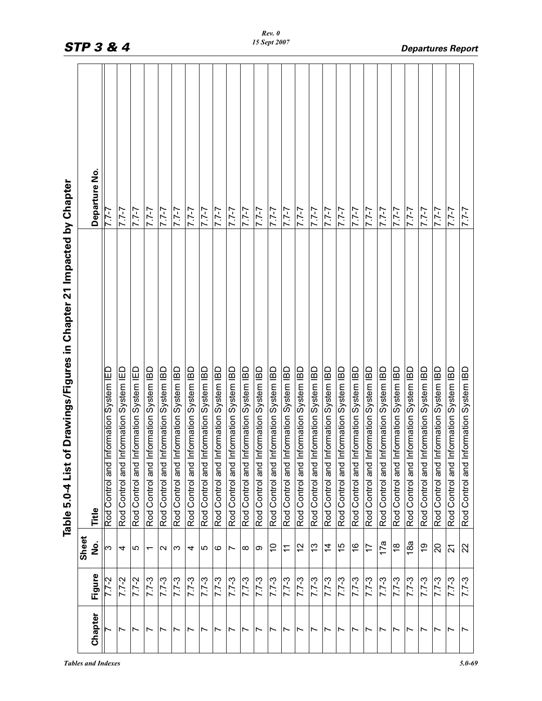|                          |           |                | of Drawings/Figures in Chapter 21 Impacted by Chapter<br>Table 5.0-4 List |               |
|--------------------------|-----------|----------------|---------------------------------------------------------------------------|---------------|
|                          |           | Sheet          |                                                                           |               |
| Chapter                  | Figure    | ف<br>S         | Title                                                                     | Departure No. |
|                          | 7.7-2     | ω              | Information System IED<br>Rod Control and                                 | <u> 111</u>   |
| Ľ                        | $7.7 - 2$ | 4              | Information System IED<br>Rod Control and                                 | $7 - 7.7$     |
| Ľ                        | $7.7 - 2$ | ပ              | Information System IED<br>Rod Control and                                 | $7 - 7$       |
|                          | $7.7 - 3$ | ᡪ              | Information System IBD<br>Rod Control and                                 | $7 - 7 - 7$   |
| $\overline{\phantom{0}}$ | $7.7 - 3$ | $\sim$         | Information System IBD<br>Rod Control and                                 | $7 - 7 - 7$   |
| $\overline{ }$           | $7.7 - 3$ | က              | Information System IBD<br>Rod Control and                                 | $7 - 7 - 7$   |
|                          | $7.7 - 3$ | 4              | Information System IBD<br>Rod Control and                                 | $7 - 7 - 7$   |
| Ľ                        | $7.7 - 3$ | ro             | Information System IBD<br>Rod Control and                                 | $7 - 7 - 7$   |
| r                        | $7.7 - 3$ | ဖ              | Information System IBD<br>Rod Control and                                 | $7 - 7 - 7$   |
| Ľ                        | $7.7 - 3$ | Ľ              | Information System IBD<br>Rod Control and                                 | $7 - 7 - 7$   |
| Ľ                        | $7.7 - 3$ | ∞              | Information System IBD<br>Rod Control and                                 | $7 - 7 - 7$   |
| Ľ                        | $7.7-3$   | თ              | Information System IBD<br>Rod Control and                                 | $7 - 7 - 7$   |
| Ľ                        | $7.7 - 3$ | S              | Information System IBD<br>Rod Control and                                 | $7 - 7 - 7$   |
| $\overline{ }$           | $7.7 - 3$ | $\tilde{\tau}$ | Information System IBD<br>Rod Control and                                 | $7 - 7 - 7$   |
| r                        | $7.7 - 3$ | $\frac{2}{3}$  | Information System IBD<br>Rod Control and                                 | $7 - 7 - 7$   |
| Ľ                        | $7.7 - 3$ | <u>ლ</u>       | Information System IBD<br>and<br>Rod Control                              | $7 - 7 - 7$   |
| Ľ                        | $7.7 - 3$ | $\overline{4}$ | Information System IBD<br>Rod Control and                                 | $7 - 7 - 7$   |
| Ľ                        | $7.7 - 3$ | 15             | Information System IBD<br>Rod Control and                                 | $7 - 7 - 7$   |
| Ľ                        | $7.7 - 3$ | $\frac{8}{1}$  | Information System IBD<br>Rod Control and                                 | $7 - 7 - 7$   |
| Ľ                        | $7.7 - 3$ | 17             | Information System IBD<br>and<br>Rod Control                              | $7 - 7 - 7$   |
| $\overline{ }$           | $7.7 - 3$ | 17a            | Information System IBD<br>Rod Control and                                 | $2 - 7.7$     |
| Ľ                        | $7.7 - 3$ | $\frac{8}{10}$ | Information System IBD<br>Rod Control and                                 | $7 - 7 - 7$   |
| Ľ                        | $7.7 - 3$ | 18a            | Information System IBD<br>Rod Control and                                 | $7 - 7 - 7$   |
| Ľ                        | $7.7 - 3$ | <u>ღ</u>       | Information System IBD<br>and<br>Rod Control                              | $7 - 7 - 7$   |
| Ľ                        | $7.7 - 3$ | $\Omega$       | Information System IBD<br>Rod Control and                                 | $2 - 7.7$     |
| Ľ                        | $7.7 - 3$ | $\overline{2}$ | Information System IBD<br>and<br>Rod Control                              | $7 - 7 - 7$   |
| $\overline{ }$           | $7.7 - 3$ | 22             | Information System IBD<br>Rod Control and                                 | $1 - 7$       |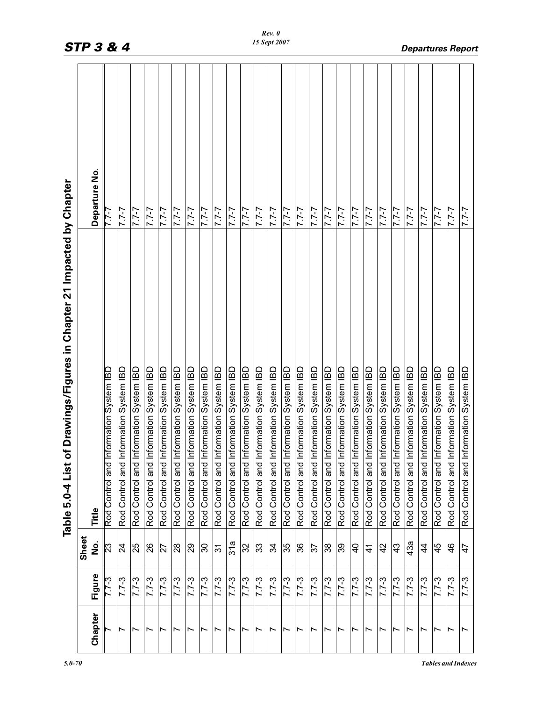|                          |           |                         | of Drawings/Figures in Chapter 21 Impacted by Chapter<br>Table 5.0-4 List |                 |
|--------------------------|-----------|-------------------------|---------------------------------------------------------------------------|-----------------|
|                          |           | Sheet                   |                                                                           |                 |
| Chapter                  | Figure    | ف<br>S                  | Title                                                                     | Departure No.   |
|                          | $7.7 - 3$ | $\overline{\mathbb{C}}$ | Information System IBD<br>Rod Control and                                 | <u> 111</u>     |
| $\overline{\phantom{0}}$ | $7.7 - 3$ | $\overline{24}$         | Information System IBD<br>Rod Control and                                 | $1 - 7$         |
| Ľ                        | $7.7 - 3$ | 25                      | Information System IBD<br>Rod Control and                                 | $7 - 7 - 7$     |
| Ľ                        | $7.7 - 3$ | 26                      | Information System IBD<br>Rod Control and                                 | $2 - 7.7$       |
| Ń                        | $7.7 - 3$ | 27                      | Information System IBD<br>Rod Control and                                 | $7 - 7 - 7$     |
| Ľ                        | $7.7 - 3$ | 28                      | Information System IBD<br>Rod Control and                                 | $2 - 12$        |
| Ľ                        | $7.7-3$   | 29                      | Information System IBD<br>Rod Control and                                 | $7 - 7 - 7$     |
| Ľ                        | $7.7 - 3$ | 06                      | Information System IBD<br>Rod Control and                                 | $2 - 2.2$       |
| Ľ                        | $7.7 - 3$ | $\overline{3}$          | Information System IBD<br>Rod Control and                                 | $7 - 7 - 7$     |
| Ľ                        | $7.7 - 3$ | 31a                     | Information System IBD<br>Rod Control and                                 | $7 - 7$         |
| Ľ                        | $7.7 - 3$ | 32                      | Information System IBD<br>Rod Control and                                 | $7 - 7 - 7$     |
| ∼                        | $7.7 - 3$ | 33                      | Information System IBD<br>Rod Control and                                 | $2 - 12$        |
| Ľ                        | $7.7 - 3$ | ಸ                       | Information System IBD<br>Rod Control and                                 | $7 - 7 - 7$     |
| Ľ                        | $7.7 - 3$ | 35                      | Information System IBD<br>Rod Control and                                 | $2 - 2.2$       |
| Ľ                        | $7.7 - 3$ | 36                      | Information System IBD<br>Rod Control and                                 | $7 - 7 - 7$     |
| Ľ                        | $7.7 - 3$ | $\frac{25}{37}$         | Information System IBD<br>Rod Control and                                 | $2 - 12$        |
| Ľ                        | $7.7 - 3$ | 38                      | Information System IBD<br>Rod Control and                                 | $7 - 7 - 7$     |
| Ľ                        | $7.7 - 3$ | 39                      | Information System IBD<br>Rod Control and                                 | <i>L-L'L</i>    |
| N                        | $7.7-3$   | $\frac{1}{2}$           | Information System IBD<br>Rod Control and                                 | $7 - 7 - 7$     |
| Ľ                        | $7.7 - 3$ | $\frac{4}{1}$           | Information System IBD<br>Rod Control and                                 | $2 - 2.2$       |
| Ľ                        | $7.7 - 3$ | 42                      | Information System IBD<br>Rod Control and                                 | $7 - 7 - 7$     |
| Ľ                        | $7.7 - 3$ | 43                      | Information System IBD<br>Rod Control and                                 | $2 - 7.7$       |
| ∼                        | $7.7 - 3$ | 43a                     | Information System IBD<br>Rod Control and                                 | $7 - 7 - 7$     |
| ∼                        | $7.7 - 3$ | $\frac{4}{3}$           | Information System IBD<br>Rod Control and                                 | $2 - 12$        |
| Ľ                        | $7.7 - 3$ | 45                      | Information System IBD<br>Rod Control and                                 | $7 - 7 - 7$     |
| $\overline{\phantom{0}}$ | $7.7 - 3$ | $\frac{6}{5}$           | Information System IBD<br>Rod Control and                                 | $\frac{2-2}{2}$ |
| $\overline{ }$           | $7.7 - 3$ | $\frac{4}{7}$           | Information System IBD<br>Rod Control and                                 | $2 - 7.7$       |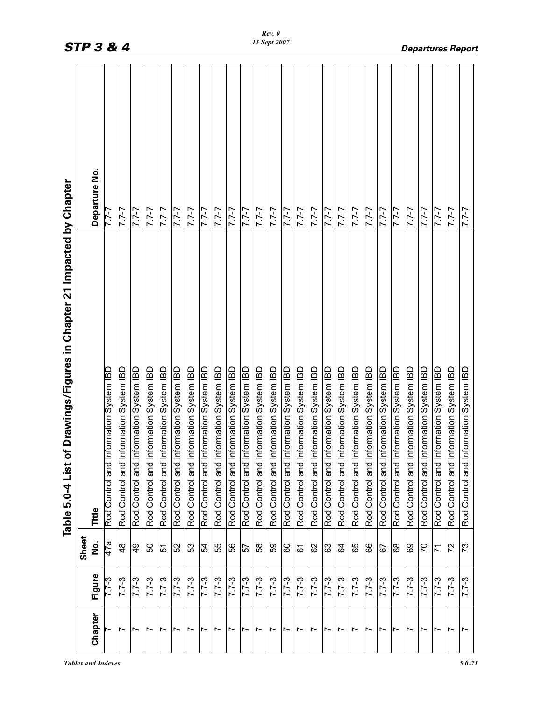|                                                                           | Departure No. |                                           | $7 - 7.7$                                    | $7 - 7 - 7$                               | $7 - 7 - 7$                                  | $7 - 7 - 7$                               | $7 - 7 - 7$                               | $7 - 7 - 7$                               | $7 - 7 - 7$                                  | $7 - 7 - 7$                               | $7 - 7 - 7$                                  | $7 - 7 - 7$                               | $7 - 7 - 7$                                  | $7 - 7 - 7$                               | $7 - 7 - 7$                                  | $7 - 7 - 7$                               | $7 - 7 - 7$                                  | $7 - 7 - 7$                               | $7 - 7 - 7$                                  | $7 - 7 - 7$                               | $7 - 7 - 7$                                  | $7 - 7 - 7$                               | $7 - 7 - 7$                                  | $7 - 7 - 7$                               | $7 - 7 - 7$                                  | $7 - 7 - 7$                               | $7 - 7 - 7$                                  | $7 - 7$                                   |
|---------------------------------------------------------------------------|---------------|-------------------------------------------|----------------------------------------------|-------------------------------------------|----------------------------------------------|-------------------------------------------|-------------------------------------------|-------------------------------------------|----------------------------------------------|-------------------------------------------|----------------------------------------------|-------------------------------------------|----------------------------------------------|-------------------------------------------|----------------------------------------------|-------------------------------------------|----------------------------------------------|-------------------------------------------|----------------------------------------------|-------------------------------------------|----------------------------------------------|-------------------------------------------|----------------------------------------------|-------------------------------------------|----------------------------------------------|-------------------------------------------|----------------------------------------------|-------------------------------------------|
| of Drawings/Figures in Chapter 21 Impacted by Chapter<br>Table 5.0-4 List | Title         | Information System IBD<br>Rod Control and | Information System IBD<br>pue<br>Rod Control | Information System IBD<br>Rod Control and | Information System IBD<br>and<br>Rod Control | Information System IBD<br>Rod Control and | Information System IBD<br>Rod Control and | Information System IBD<br>Rod Control and | Information System IBD<br>and<br>Rod Control | Information System IBD<br>Rod Control and | Information System IBD<br>pue<br>Rod Control | Information System IBD<br>Rod Control and | Information System IBD<br>and<br>Rod Control | Information System IBD<br>Rod Control and | Information System IBD<br>and<br>Rod Control | Information System IBD<br>Rod Control and | Information System IBD<br>and<br>Rod Control | Information System IBD<br>Rod Control and | Information System IBD<br>and<br>Rod Control | Information System IBD<br>Rod Control and | Information System IBD<br>and<br>Rod Control | Information System IBD<br>Rod Control and | Information System IBD<br>and<br>Rod Control | Information System IBD<br>Rod Control and | Information System IBD<br>and<br>Rod Control | Information System IBD<br>Rod Control and | Information System IBD<br>and<br>Rod Control | Information System IBD<br>Rod Control and |
|                                                                           | Sheet<br>ġ    | 47a                                       | $\frac{8}{4}$                                | $\frac{9}{4}$                             | 50                                           | 51                                        | 52                                        | 53                                        | 54                                           | 55                                        | 56                                           | 57                                        | 58                                           | 59                                        | 60                                           | 61                                        | 62                                           | 63                                        | 84                                           | 65                                        | 89                                           | 67                                        | 89                                           | 89                                        | 20                                           | $\overline{7}$                            | 72                                           | 73                                        |
|                                                                           | Figure        | $7.7-3$                                   | $7.7 - 3$                                    | $7.7 - 3$                                 | $7.7 - 3$                                    | $7.7 - 3$                                 | $7.7 - 3$                                 | $7.7 - 3$                                 | $7.7 - 3$                                    | $7.7 - 3$                                 | $7.7 - 3$                                    | $7.7 - 3$                                 | $7.7 - 3$                                    | $7.7 - 3$                                 | $7.7 - 3$                                    | $7.7 - 3$                                 | $7.7 - 3$                                    | $7.7 - 3$                                 | $7.7 - 3$                                    | $7.7-3$                                   | $7.7 - 3$                                    | $7.7 - 3$                                 | $7.7 - 3$                                    | $7.7 - 3$                                 | $7.7 - 3$                                    | $7.7-3$                                   | $7.7 - 3$                                    | $7.7 - 3$                                 |
|                                                                           | Chapter       |                                           | Ľ                                            | Ľ                                         |                                              | Ľ                                         | $\overline{ }$                            | Ľ                                         | Ľ                                            | r                                         | $\overline{\phantom{0}}$                     | Ľ                                         | Ľ                                            | Ľ                                         | Ľ                                            | Ľ                                         | Ľ                                            | Ľ                                         | Ľ                                            | Ľ                                         | r                                            | $\overline{ }$                            | Ľ                                            | Ľ                                         | Ľ                                            | $\overline{ }$                            | Ľ                                            | ⊢                                         |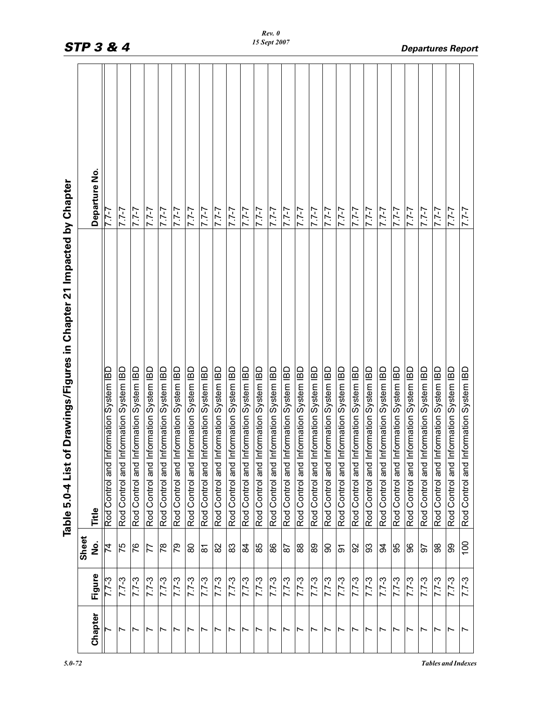|                          |           |                 | of Drawings/Figures in Chapter 21 Impacted by Chapter<br>Table 5.0-4 List |              |
|--------------------------|-----------|-----------------|---------------------------------------------------------------------------|--------------|
|                          |           | Sheet           |                                                                           |              |
| Chapter                  | Figure    | ف<br>S          | Title                                                                     | Departure No |
|                          | $7.7 - 3$ | $\overline{14}$ | Information System IBD<br>Rod Control and                                 | $7 - 7.7$    |
| $\overline{\phantom{0}}$ | $7.7 - 3$ | 75              | Information System IBD<br>Rod Control and                                 | $1 - 7$      |
| Ľ                        | $7.7 - 3$ | 76              | Information System IBD<br>Rod Control and                                 | $7 - 7 - 7$  |
| Ľ                        | $7.7 - 3$ | 77              | Information System IBD<br>Rod Control and                                 | $1 - 7$      |
| Ľ                        | $7.7 - 3$ | $\frac{8}{2}$   | Information System IBD<br>Rod Control and                                 | $7 - 7 - 7$  |
| Ľ                        | $7.7 - 3$ | 79              | Information System IBD<br>Rod Control and                                 | $2 - 7.7$    |
|                          | $7.7-3$   | 80              | Information System IBD<br>Rod Control and                                 | $7 - 7 - 7$  |
|                          | $7.7 - 3$ | $\overline{8}$  | Information System IBD<br>Rod Control and                                 | $1 - 7$      |
| $\overline{ }$           | $7.7-3$   | 82              | Information System IBD<br>Rod Control and                                 | $7 - 7 - 7$  |
| Ľ                        | $7.7 - 3$ | 83              | Information System IBD<br>Rod Control and                                 | $1 - 7$      |
| Ľ                        | $7.7 - 3$ | $\overline{a}$  | Information System IBD<br>Rod Control and                                 | $7 - 7 - 7$  |
| Ľ                        | $7.7 - 3$ | 85              | Information System IBD<br>Rod Control and                                 | $2 - 7.7$    |
| Ľ                        | $7.7-3$   | 88              | Information System IBD<br>Rod Control and                                 | $7 - 7 - 7$  |
| $\overline{\phantom{0}}$ | $7.7 - 3$ | 87              | Information System IBD<br>Rod Control and                                 | $7 - 7$      |
| Ľ                        | $7.7 - 3$ | 88              | Information System IBD<br>Rod Control and                                 | $7 - 7 - 7$  |
| Ľ                        | $7.7 - 3$ | 89              | Information System IBD<br>Rod Control and                                 | $1 - 7$      |
| Ľ                        | $7.7 - 3$ | ခ               | Information System IBD<br>Rod Control and                                 | $7 - 7 - 7$  |
| $\overline{\phantom{0}}$ | $7.7 - 3$ | $\overline{5}$  | Information System IBD<br>Rod Control and                                 | $7 - 7 - 7$  |
| Ľ                        | $7.7 - 3$ | 92              | Information System IBD<br>Rod Control and                                 | $7 - 7 - 7$  |
| Ľ                        | $7.7 - 3$ | 33              | Information System IBD<br>Rod Control and                                 | $7 - 7 - 7$  |
| $\overline{\phantom{0}}$ | $7.7 - 3$ | 3               | Information System IBD<br>Rod Control and                                 | $7 - 7 - 7$  |
| $\overline{\phantom{0}}$ | $7.7 - 3$ | 95              | Information System IBD<br>Rod Control and                                 | $7 - 7$      |
| Ľ                        | $7.7 - 3$ | 96              | Information System IBD<br>Rod Control and                                 | $7 - 7 - 7$  |
| Ľ                        | $7.7 - 3$ | 50              | Information System IBD<br>Rod Control and                                 | $7 - 7 - 7$  |
| $\overline{\phantom{0}}$ | $7.7 - 3$ | 88              | Information System IBD<br>Rod Control and                                 | $7 - 7 - 7$  |
| $\overline{ }$           | $7.7 - 3$ | 99              | Information System IBD<br>Rod Control and                                 | $7 - 7$      |
| $\overline{ }$           | $7.7 - 3$ | 100             | Information System IBD<br>Rod Control and                                 | $7 - 7.7$    |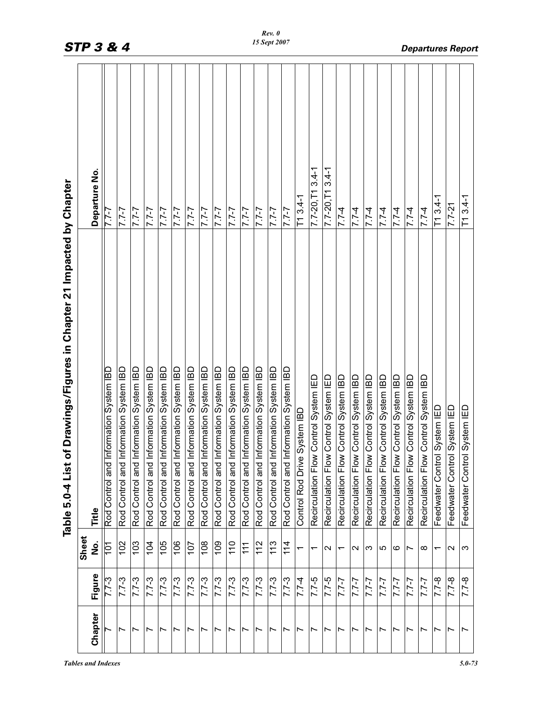|                                                                           | Departure No.   | 7-7-7                                     | $7 - 7 - 7$                                  | $7 - 7 - 7$                               | $7 - 7$                                      | $7 - 7.7$                                 | $7 - 7.7$                                 | $7 - 7 - 7$                               | $7 - 7.7$                                 | $7 - 7$                                   | $7 - 7.7$                                 | $7 - 7 - 7$                               | $7 - 7$                                   | $2 - 7.7$                                 | $7 - 7.7$                                 | $T13.4-1$                    | $7.7 - 20$ , T1 3.4-1                 | $7.7 - 20, T13.4 - 1$                 | $7.7 - 4$                             | $7.7-4$                               | $ 7.7-4$                              | $1.7 - 4$                             | $7.7 - 4$                             | $ 7.7-4$                              | $7.7 - 4$                             | $T13.4-1$                    | $7.7 - 21$                       | $T13.4-1$                    |
|---------------------------------------------------------------------------|-----------------|-------------------------------------------|----------------------------------------------|-------------------------------------------|----------------------------------------------|-------------------------------------------|-------------------------------------------|-------------------------------------------|-------------------------------------------|-------------------------------------------|-------------------------------------------|-------------------------------------------|-------------------------------------------|-------------------------------------------|-------------------------------------------|------------------------------|---------------------------------------|---------------------------------------|---------------------------------------|---------------------------------------|---------------------------------------|---------------------------------------|---------------------------------------|---------------------------------------|---------------------------------------|------------------------------|----------------------------------|------------------------------|
| of Drawings/Figures in Chapter 21 Impacted by Chapter<br>Table 5.0-4 List | Title           | Information System IBD<br>Rod Control and | Information System IBD<br>and<br>Rod Control | Information System IBD<br>Rod Control and | Information System IBD<br>and<br>Rod Control | Information System IBD<br>Rod Control and | Information System IBD<br>Rod Control and | Information System IBD<br>Rod Control and | Information System IBD<br>Rod Control and | Information System IBD<br>Rod Control and | Information System IBD<br>Rod Control and | Information System IBD<br>Rod Control and | Information System IBD<br>Rod Control and | Information System IBD<br>Rod Control and | Information System IBD<br>Rod Control and | Control Rod Drive System IBD | Recirculation Flow Control System IED | Recirculation Flow Control System IED | Recirculation Flow Control System IBD | Recirculation Flow Control System IBD | Recirculation Flow Control System IBD | Recirculation Flow Control System IBD | Recirculation Flow Control System IBD | Recirculation Flow Control System IBD | Recirculation Flow Control System IBD | Feedwater Control System IED | ol System IED<br>Feedwater Contr | Feedwater Control System IED |
|                                                                           | Sheet<br>ف<br>S | 101                                       | 102                                          | 103                                       | 104                                          | 105                                       | 106                                       | 107                                       | 108                                       | 109                                       | $\frac{1}{10}$                            | 111                                       | 112                                       | 113                                       | 114                                       |                              | ᠇                                     | $\mathbf{\Omega}$                     | ᠇                                     | $\scriptstyle\sim$                    | က                                     | 10                                    | ဖ                                     | Ľ                                     | ∞                                     | ᠇                            | $\mathbf{\Omega}$                | က                            |
|                                                                           | Figure          |                                           | $7.7 - 3$                                    | $7.7 - 3$                                 | $5 - 2.7$                                    | $7.7 - 3$                                 | $7.7 - 3$                                 | $7.7 - 3$                                 | $7.7 - 3$                                 | $7.7 - 3$                                 | $7.7 - 3$                                 | $7.7 - 3$                                 | $7.7 - 3$                                 | $7.7-3$                                   | $7.7 - 3$                                 | $7.7 - 4$                    | $7.7-5$                               | $7.7-5$                               | $7 - 7 - 7$                           | $7 - 7 - 7$                           | $7 - 7 - 7$                           | $2 - 7.7$                             | $7 - 7 - 7$                           | $7 - 7 - 7$                           | $7 - 7 - 7$                           | $7.7 - 8$                    | $7.7 - 8$                        | $\frac{8-1}{2}$              |
|                                                                           | Chapter         |                                           | $\overline{ }$                               | $\overline{ }$                            | Ľ                                            | $\overline{ }$                            | $\overline{\phantom{0}}$                  | $\overline{ }$                            | $\overline{\phantom{0}}$                  | $\overline{ }$                            | Ľ                                         | $\overline{ }$                            | $\overline{ }$                            | $\overline{\phantom{0}}$                  | $\overline{ }$                            | $\overline{ }$               | ∼                                     | $\overline{ }$                        | $\overline{\phantom{0}}$              | Ľ                                     | Ľ                                     | $\overline{ }$                        | ∼                                     | $\overline{ }$                        | $\overline{\phantom{0}}$              | $\overline{\phantom{0}}$     | $\overline{ }$                   | ∼                            |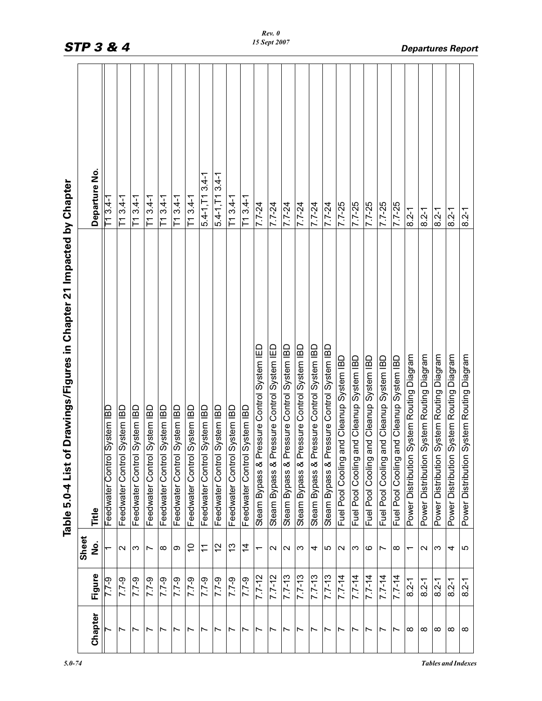|                          |             |                          | of Drawings/Figures in Chapter 21 Impacted by Chapter<br>List<br>Table 5.0-4 |                         |
|--------------------------|-------------|--------------------------|------------------------------------------------------------------------------|-------------------------|
| Chapter                  | Figure      | Sheet<br><u>ہ</u><br>2   | Title                                                                        | Departure No.           |
|                          | <b>6-22</b> |                          | ol System IBD<br>Feedwater Contr                                             | $-1.8$                  |
| $\overline{ }$           | $7.7 - 9$   | $\sim$                   | ol System IBD<br>Feedwater Contr                                             | $T13.4-1$               |
| Ľ                        | 7.79        | က                        | ol System IBD<br>Feedwater Contr                                             | $T13.4-1$               |
| Ľ                        | $7.7 - 9$   | ∼                        | ol System IBD<br>Feedwater Contr                                             | $T13.4-1$               |
| $\overline{\phantom{0}}$ | $7.7 - 9$   | $\infty$                 | Feedwater Control System IBD                                                 | $T13.4-1$               |
| $\overline{\phantom{0}}$ | 7.7-9       | თ                        | ol System IBD<br>Feedwater Contr                                             | $13.4 - 1$<br>下         |
| Ľ                        | $7.7 - 9$   | S                        | Feedwater Control System IBD                                                 | $T13.4-1$               |
| $\overline{\phantom{0}}$ | $6 - 2.7$   | $\tilde{\tau}$           | ol System IBD<br>Feedwater Contr                                             | $5.4 - 1, T1$ $3.4 - 1$ |
| $\overline{ }$           | $7.7 - 9$   | 57                       | ol System IBD<br>Feedwater Contr                                             | $5.4 - 1, T1$ 3.4-1     |
| $\overline{\phantom{0}}$ | $7.7 - 9$   | $\frac{3}{2}$            | Feedwater Control System IBD                                                 | $T13.4-1$               |
| $\overline{ }$           | $7.7 - 9$   | $\dot{4}$                | Feedwater Control System IBD                                                 | $T13.4-1$               |
| $\overline{\phantom{0}}$ | $7.7 - 12$  | $\overline{\phantom{0}}$ | Pressure Control System IED<br>Steam Bypass &                                | $7.7 - 24$              |
| $\overline{ }$           | $7.7 - 12$  | $\sim$                   | Pressure Control System IED<br>Steam Bypass &                                | $7.7 - 24$              |
| $\overline{ }$           | $7.7 - 13$  | $\sim$                   | Pressure Control System IBD<br>Steam Bypass &                                | $7.7 - 24$              |
| $\overline{ }$           | $7.7 - 13$  | က                        | Pressure Control System IBD<br>Steam Bypass &                                | 7.7-24                  |
| Ľ                        | $7.7 - 13$  | 4                        | Pressure Control System IBD<br>Steam Bypass &                                | $7.7 - 24$              |
| $\overline{ }$           | $7.7 - 13$  | 5                        | Pressure Control System IBD<br>Steam Bypass &                                | $7.7 - 24$              |
| $\overline{ }$           | $7.7 - 14$  | $\sim$                   | Fuel Pool Cooling and Cleanup System IBD                                     | 7.7-25                  |
| $\overline{ }$           | $7.7 - 14$  | က                        | Fuel Pool Cooling and Cleanup System IBD                                     | $7.7-25$                |
| $\overline{\phantom{0}}$ | $7.7 - 14$  | ဖ                        | Fuel Pool Cooling and Cleanup System IBD                                     | 7.7-25                  |
| $\overline{\phantom{0}}$ | $7.7 - 14$  | Ľ                        | Fuel Pool Cooing and Cleanup System IBD                                      | 7.7-25                  |
| Ľ                        | $7.7 - 14$  | $\infty$                 | Fuel Pool Cooling and Cleanup System IBD                                     | 7.7-25                  |
| ∞                        | $8.2 - 1$   | ᠇                        | Power Distribution System Routing Diagram                                    | $8.2 - 1$               |
| ∞                        | $8.2 - 1$   | $\sim$                   | Power Distribution System Routing Diagram                                    | $8.2 - 1$               |
| $\infty$                 | $8.2 - 1$   | က                        | Power Distribution System Routing Diagram                                    | $8.2 - 1$               |
| ∞                        | $8.2 - 1$   | 4                        | Power Distribution System Routing Diagram                                    | $8.2 - 1$               |
| $\infty$                 | $8.2 - 1$   | 5                        | Power Distribution System Routing Diagram                                    | $8.2 - 1$               |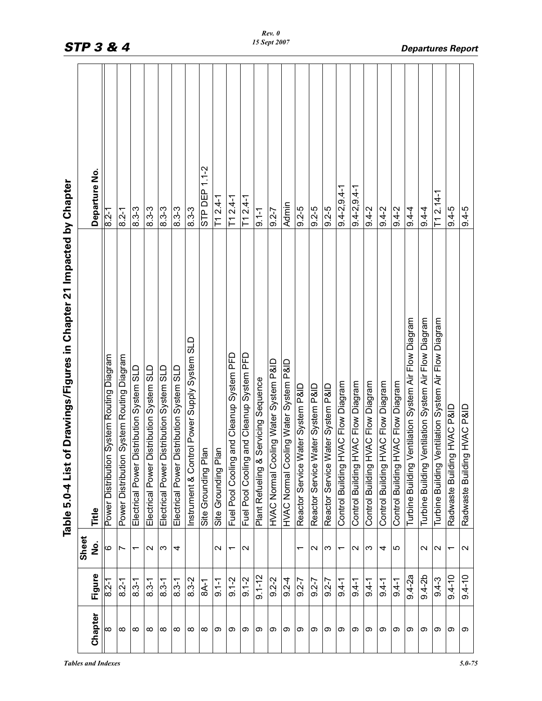|           |               |                          | of Drawings/Figures in Chapter 21 Impacted by Chapter<br>Table 5.0-4 List |                   |
|-----------|---------------|--------------------------|---------------------------------------------------------------------------|-------------------|
| Chapter   | Figure        | Sheet<br>ġ               | Title                                                                     | Departure No.     |
| $\infty$  | $\frac{2}{1}$ | ဖ                        | Power Distribution System Routing Diagram                                 | $8.2 - 1$         |
| $\infty$  | $8.2 - 1$     | Ľ                        | Power Distribution System Routing Diagram                                 | $8.2 - 1$         |
| $\infty$  | $8.3 - 1$     | $\overline{\phantom{0}}$ | Distribution System SLD<br>Electrical Power                               | $8.3 - 3$         |
| $^\infty$ | $8.3 - 1$     | $\sim$                   | Distribution System SLD<br>Electrical Power                               | $8.3 - 3$         |
| $\infty$  | $8.3 - 1$     | S                        | Distribution System SLD<br>Electrical Power                               | $8.3 - 3$         |
| $\infty$  | $8.3 - 1$     | 4                        | Distribution System SLD<br>Electrical Power                               | $8.3 - 3$         |
| $\infty$  | $8.3 - 2$     |                          | ntrol Power Supply System SLD<br>Instrument & Cor                         | $8.3 - 3$         |
| ∞         | 8A-1          |                          | Site Grounding Plan                                                       | STP DEP 1.1-2     |
| ග         | $9.1 - 1$     | $\sim$                   | Site Grounding Plan                                                       | $T1 2.4 - 1$      |
| တ         | $9.1 - 2$     | ٣                        | Fuel Pool Cooling and Cleanup System PFD                                  | $T12.4-1$         |
| တ         | $9.1 - 2$     | $\sim$                   | Fuel Pool Cooling and Cleanup System PFD                                  | $T12.4-1$         |
| တ         | $9.1 - 12$    |                          | Plant Refueling & Servicing Sequence                                      | $9.1 - 1$         |
| တ         | $9.2 - 2$     |                          | HVAC Normal Cooling Water System P&ID                                     | $9.2 - 7$         |
| တ         | $9.2 - 4$     |                          | HVAC Normal Cooling Water System P&ID                                     | Admin             |
| თ         | $9.2 - 7$     | $\overline{\phantom{0}}$ | Water System P&ID<br>Reactor Service                                      | $9.2 - 5$         |
| တ         | $9.2 - 7$     | $\mathbf{\sim}$          | Water System P&ID<br>Reactor Service                                      | $9.2 - 5$         |
| တ         | $9.2 - 7$     | က                        | Water System P&ID<br>Reactor Service                                      | $9.2 - 5$         |
| တ         | $9.4 - 1$     | $\overline{\phantom{0}}$ | <b>HVAC Flow Diagram</b><br>Control Building                              | $9.4 - 2.9.4 - 1$ |
| တ         | $9.4 - 1$     | $\sim$                   | <b>HVAC Flow Diagram</b><br>Control Building                              | $9.4 - 2.9.4 - 1$ |
| ග         | $9.4 - 1$     | ω                        | HVAC Flow Diagram<br>Control Building                                     | $9.4 - 2$         |
| တ         | $9.4 - 1$     | 4                        | <b>HVAC Flow Diagram</b><br>Control Building                              | $9.4 - 2$         |
| တ         | $9.4 - 1$     | 5                        | <b>HVAC Flow Diagram</b><br>Control Building                              | $9.4 - 2$         |
| ග         | $9.4 - 2a$    |                          | Ventilation System Air Flow Diagram<br>Turbine Building                   | $9.4 - 4$         |
| တ         | $9.4 - 2b$    | $\sim$                   | Ventilation System Air Flow Diagram<br>Turbine Building                   | $9.4 - 4$         |
| တ         | $9.4 - 3$     | $\mathbf{\Omega}$        | Ventilation System Air Flow Diagram<br>Turbine Building                   | $T1 2.14 - 1$     |
| တ         | $9.4 - 10$    | ٣                        | <b>OISH OWN PRID</b><br>Radwaste Buildir                                  | $9.4 - 5$         |
| တ         | $9.4 - 10$    | $\sim$                   | <b>QIRA OMNH bu</b><br>Radwaste Buildir                                   | $9.4-5$           |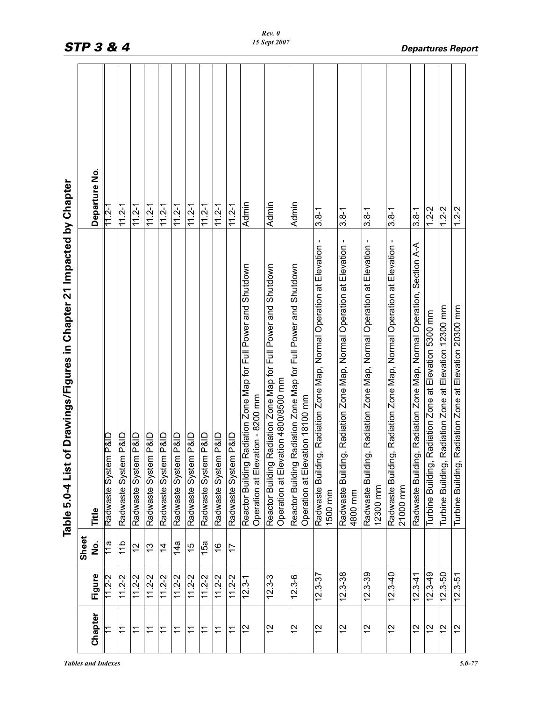|             |                | of Drawings/Figures in Chapter 21 Impacted by Chapter<br>Table 5.0-4 List                                 |               |
|-------------|----------------|-----------------------------------------------------------------------------------------------------------|---------------|
|             | Sheet          |                                                                                                           | Departure No. |
| 11.2-2      | 11a            | Radwaste System P&ID                                                                                      | $11.2 - 1$    |
| $11.2 - 2$  | $\frac{4}{10}$ | Radwaste System P&ID                                                                                      | $11.2 - 1$    |
| $11.2 - 2$  | 12             | Radwaste System P&ID                                                                                      | $11.2 - 1$    |
| $11.2 - 2$  | $\frac{3}{2}$  | Radwaste System P&ID                                                                                      | $11.2 - 1$    |
| $11.2 - 2$  | $\frac{4}{4}$  | Radwaste System P&ID                                                                                      | $11.2 - 1$    |
| $11.2 - 2$  | 14a            | Radwaste System P&ID                                                                                      | $11.2 - 1$    |
| $11.2 - 2$  | 15             | Radwaste System P&ID                                                                                      | $11.2 - 1$    |
| $11.2 - 2$  | 15a            | Radwaste System P&ID                                                                                      | $11.2 - 1$    |
| $11.2 - 2$  | $\frac{6}{5}$  | Radwaste System P&ID                                                                                      | $11.2 - 1$    |
| $11.2 - 2$  | 17             | Radwaste System P&ID                                                                                      | $11.2 - 1$    |
| $12.3 - 1$  |                | Radiation Zone Map for Full Power and Shutdown<br>Operation at Elevation - 8200 mm<br>Reactor Building    | Admin         |
| $12.3 - 3$  |                | Radiation Zone Map for Full Power and Shutdown<br>Operation at Elevation 4800/8500 mm<br>Reactor Building | Admin         |
| $12.3 - 6$  |                | Radiation Zone Map for Full Power and Shutdown<br>Operation at Elevation 18100 mm<br>Reactor Building     | Admin         |
| $12.3 - 37$ |                | ng, Radiation Zone Map, Normal Operation at Elevation -<br>Radwaste Buildir<br>1500 mm                    | $3.8 - 1$     |
| $12.3 - 38$ |                | ng, Radiation Zone Map, Normal Operation at Elevation -<br>Radwaste Buildir<br>4800 mm                    | $3.8 - 1$     |
| $12.3 - 39$ |                | ng, Radiation Zone Map, Normal Operation at Elevation -<br>Radwaste Buildir<br>12300 mm                   | $3.8 - 1$     |
| $12.3 - 40$ |                | ng, Radiation Zone Map, Normal Operation at Elevation -<br>Radwaste Buildi<br>21000 mm                    | $3.8 - 1$     |
| $12.3 - 41$ |                | Radwaste Building, Radiation Zone Map, Normal Operation, Section A-A                                      | $3.8 - 1$     |
| $12.3 - 49$ |                | Radiation Zone at Elevation 5300 mm<br>Turbine Building                                                   | $1.2 - 2$     |
| $12.3 - 50$ |                | Radiation Zone at Elevation 12300 mm<br>Turbine Building,                                                 | $1.2 - 2$     |
| $12.3 - 51$ |                | Radiation Zone at Elevation 20300 mm<br>Turbine Building                                                  | $1.2 - 2$     |
|             | Figure         | ف<br>S                                                                                                    | Title         |